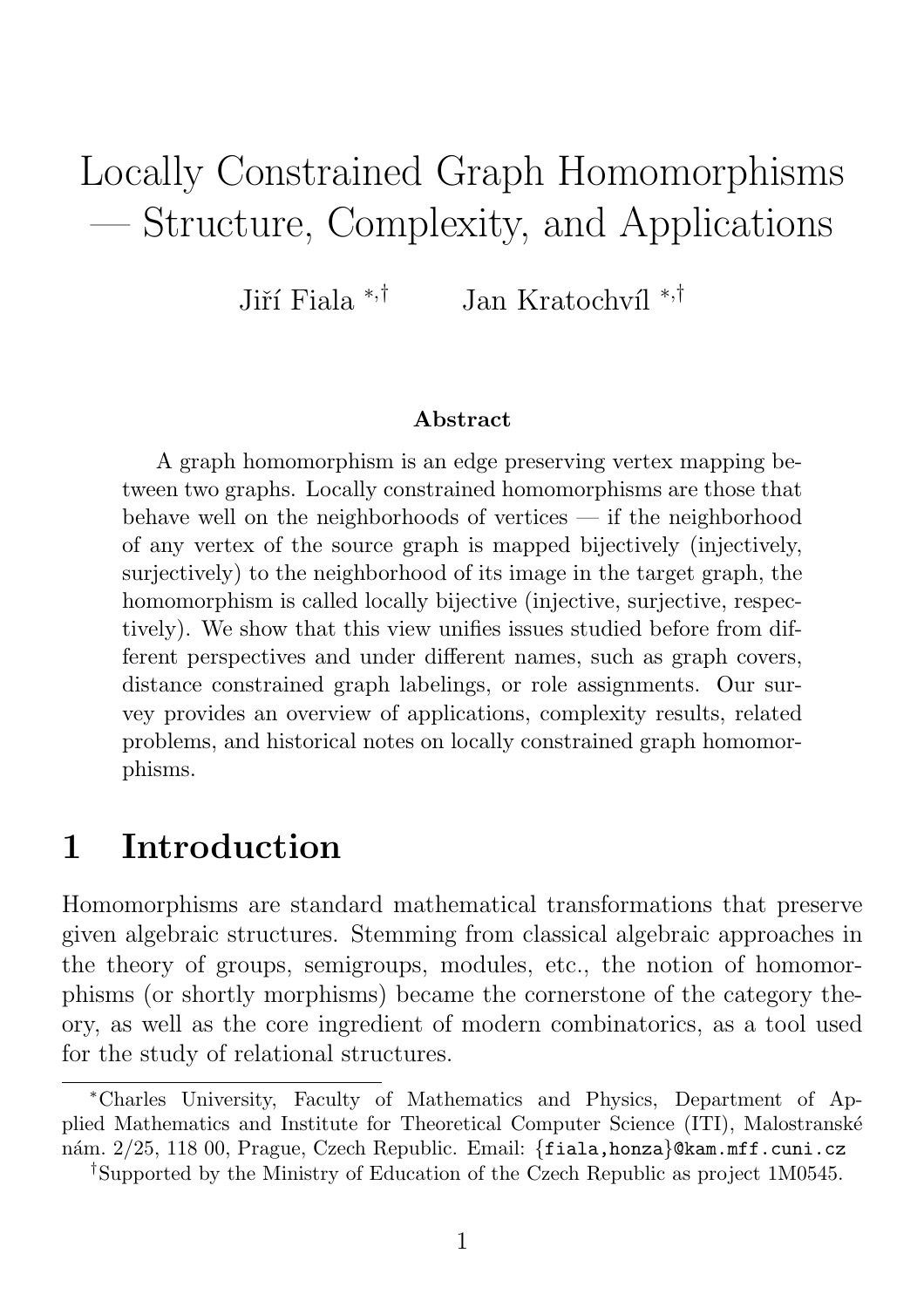# Locally Constrained Graph Homomorphisms — Structure, Complexity, and Applications

Jiří Fiala  $*$ ,† Jan Kratochvíl <sup>∗,†</sup>

#### Abstract

A graph homomorphism is an edge preserving vertex mapping between two graphs. Locally constrained homomorphisms are those that behave well on the neighborhoods of vertices — if the neighborhood of any vertex of the source graph is mapped bijectively (injectively, surjectively) to the neighborhood of its image in the target graph, the homomorphism is called locally bijective (injective, surjective, respectively). We show that this view unifies issues studied before from different perspectives and under different names, such as graph covers, distance constrained graph labelings, or role assignments. Our survey provides an overview of applications, complexity results, related problems, and historical notes on locally constrained graph homomorphisms.

# 1 Introduction

Homomorphisms are standard mathematical transformations that preserve given algebraic structures. Stemming from classical algebraic approaches in the theory of groups, semigroups, modules, etc., the notion of homomorphisms (or shortly morphisms) became the cornerstone of the category theory, as well as the core ingredient of modern combinatorics, as a tool used for the study of relational structures.

<sup>∗</sup>Charles University, Faculty of Mathematics and Physics, Department of Applied Mathematics and Institute for Theoretical Computer Science (ITI), Malostransk´e nám. 2/25, 118 00, Prague, Czech Republic. Email: {fiala,honza}@kam.mff.cuni.cz

<sup>†</sup> Supported by the Ministry of Education of the Czech Republic as project 1M0545.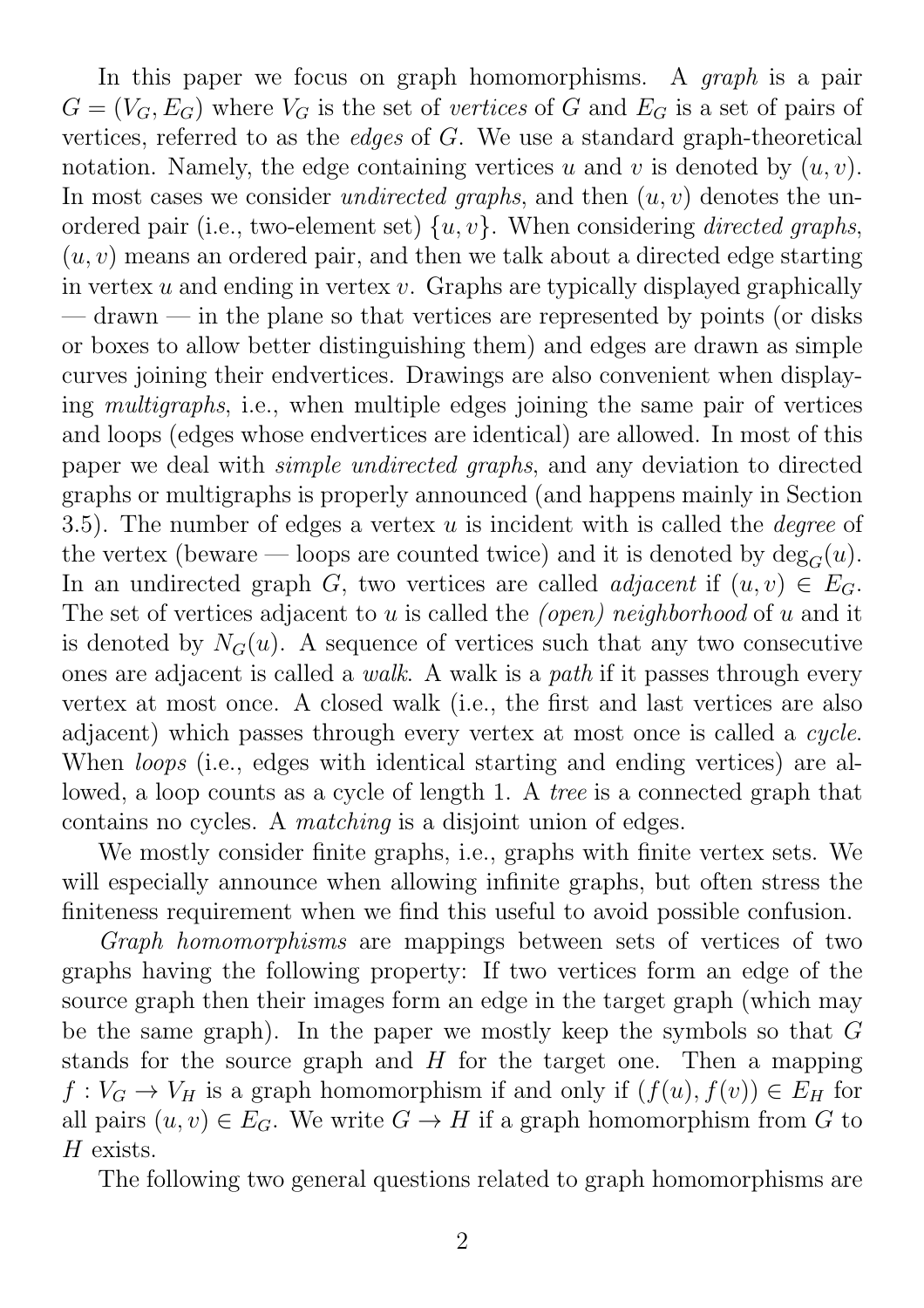In this paper we focus on graph homomorphisms. A *graph* is a pair  $G = (V_G, E_G)$  where  $V_G$  is the set of vertices of G and  $E_G$  is a set of pairs of vertices, referred to as the edges of G. We use a standard graph-theoretical notation. Namely, the edge containing vertices u and v is denoted by  $(u, v)$ . In most cases we consider *undirected graphs*, and then  $(u, v)$  denotes the unordered pair (i.e., two-element set)  $\{u, v\}$ . When considering *directed graphs*,  $(u, v)$  means an ordered pair, and then we talk about a directed edge starting in vertex  $u$  and ending in vertex  $v$ . Graphs are typically displayed graphically — drawn — in the plane so that vertices are represented by points (or disks or boxes to allow better distinguishing them) and edges are drawn as simple curves joining their endvertices. Drawings are also convenient when displaying multigraphs, i.e., when multiple edges joining the same pair of vertices and loops (edges whose endvertices are identical) are allowed. In most of this paper we deal with simple undirected graphs, and any deviation to directed graphs or multigraphs is properly announced (and happens mainly in Section 3.5). The number of edges a vertex  $u$  is incident with is called the *degree* of the vertex (beware — loops are counted twice) and it is denoted by  $deg_G(u)$ . In an undirected graph G, two vertices are called *adjacent* if  $(u, v) \in E_G$ . The set of vertices adjacent to u is called the *(open)* neighborhood of u and it is denoted by  $N_G(u)$ . A sequence of vertices such that any two consecutive ones are adjacent is called a walk. A walk is a path if it passes through every vertex at most once. A closed walk (i.e., the first and last vertices are also adjacent) which passes through every vertex at most once is called a cycle. When *loops* (i.e., edges with identical starting and ending vertices) are allowed, a loop counts as a cycle of length 1. A tree is a connected graph that contains no cycles. A matching is a disjoint union of edges.

We mostly consider finite graphs, i.e., graphs with finite vertex sets. We will especially announce when allowing infinite graphs, but often stress the finiteness requirement when we find this useful to avoid possible confusion.

Graph homomorphisms are mappings between sets of vertices of two graphs having the following property: If two vertices form an edge of the source graph then their images form an edge in the target graph (which may be the same graph). In the paper we mostly keep the symbols so that  $G$ stands for the source graph and  $H$  for the target one. Then a mapping  $f: V_G \to V_H$  is a graph homomorphism if and only if  $(f(u), f(v)) \in E_H$  for all pairs  $(u, v) \in E_G$ . We write  $G \to H$  if a graph homomorphism from G to H exists.

The following two general questions related to graph homomorphisms are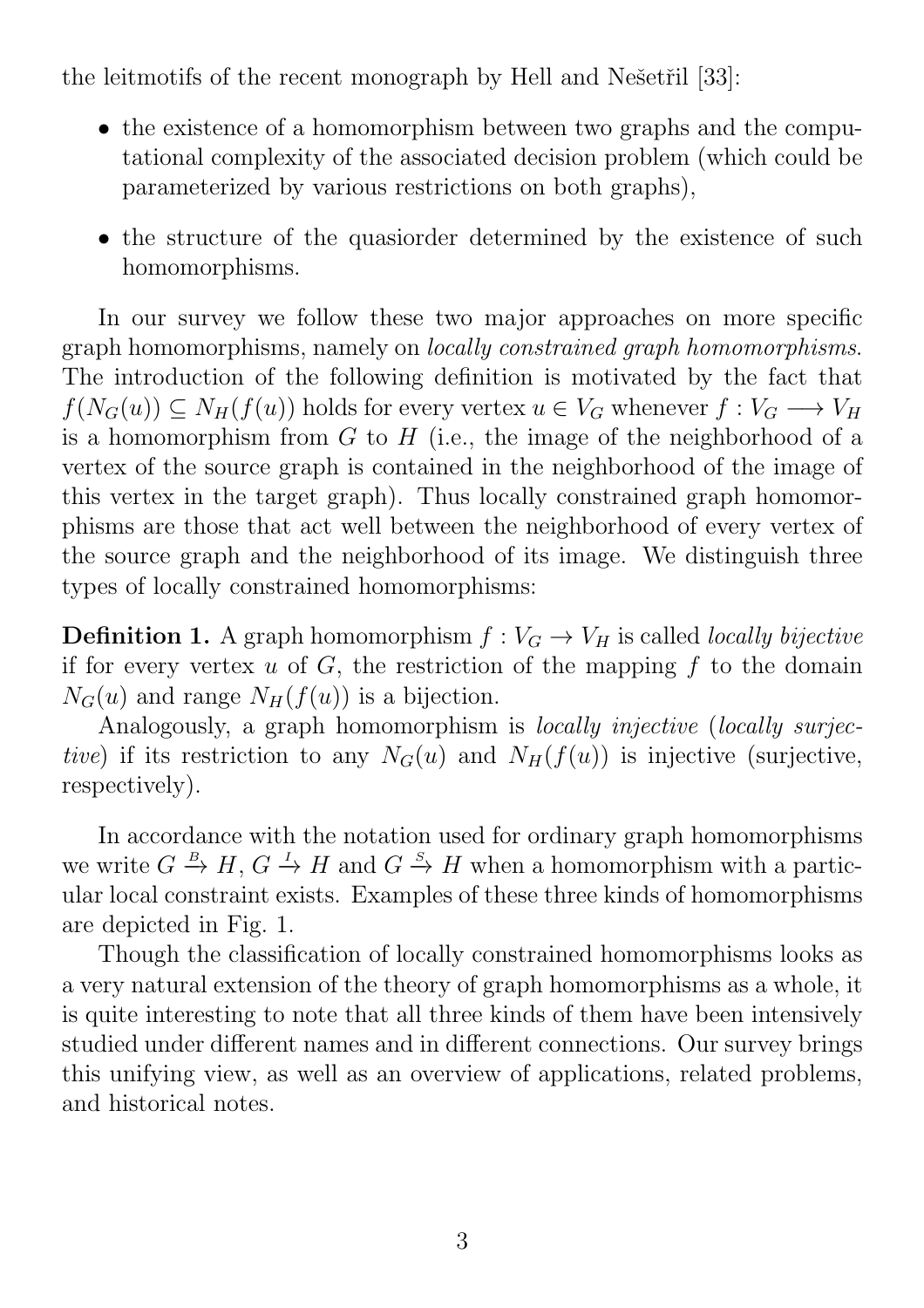the leitmotifs of the recent monograph by Hell and Nešetřil [33]:

- the existence of a homomorphism between two graphs and the computational complexity of the associated decision problem (which could be parameterized by various restrictions on both graphs),
- the structure of the quasioner determined by the existence of such homomorphisms.

In our survey we follow these two major approaches on more specific graph homomorphisms, namely on locally constrained graph homomorphisms. The introduction of the following definition is motivated by the fact that  $f(N_G(u)) \subseteq N_H(f(u))$  holds for every vertex  $u \in V_G$  whenever  $f: V_G \longrightarrow V_H$ is a homomorphism from  $G$  to  $H$  (i.e., the image of the neighborhood of a vertex of the source graph is contained in the neighborhood of the image of this vertex in the target graph). Thus locally constrained graph homomorphisms are those that act well between the neighborhood of every vertex of the source graph and the neighborhood of its image. We distinguish three types of locally constrained homomorphisms:

**Definition 1.** A graph homomorphism  $f: V_G \to V_H$  is called *locally bijective* if for every vertex  $u$  of  $G$ , the restriction of the mapping  $f$  to the domain  $N_G(u)$  and range  $N_H(f(u))$  is a bijection.

Analogously, a graph homomorphism is *locally injective* (*locally surjec*tive) if its restriction to any  $N_G(u)$  and  $N_H(f(u))$  is injective (surjective, respectively).

In accordance with the notation used for ordinary graph homomorphisms we write  $G \stackrel{B}{\to} H$ ,  $G \stackrel{I}{\to} H$  and  $G \stackrel{S}{\to} H$  when a homomorphism with a particular local constraint exists. Examples of these three kinds of homomorphisms are depicted in Fig. 1.

Though the classification of locally constrained homomorphisms looks as a very natural extension of the theory of graph homomorphisms as a whole, it is quite interesting to note that all three kinds of them have been intensively studied under different names and in different connections. Our survey brings this unifying view, as well as an overview of applications, related problems, and historical notes.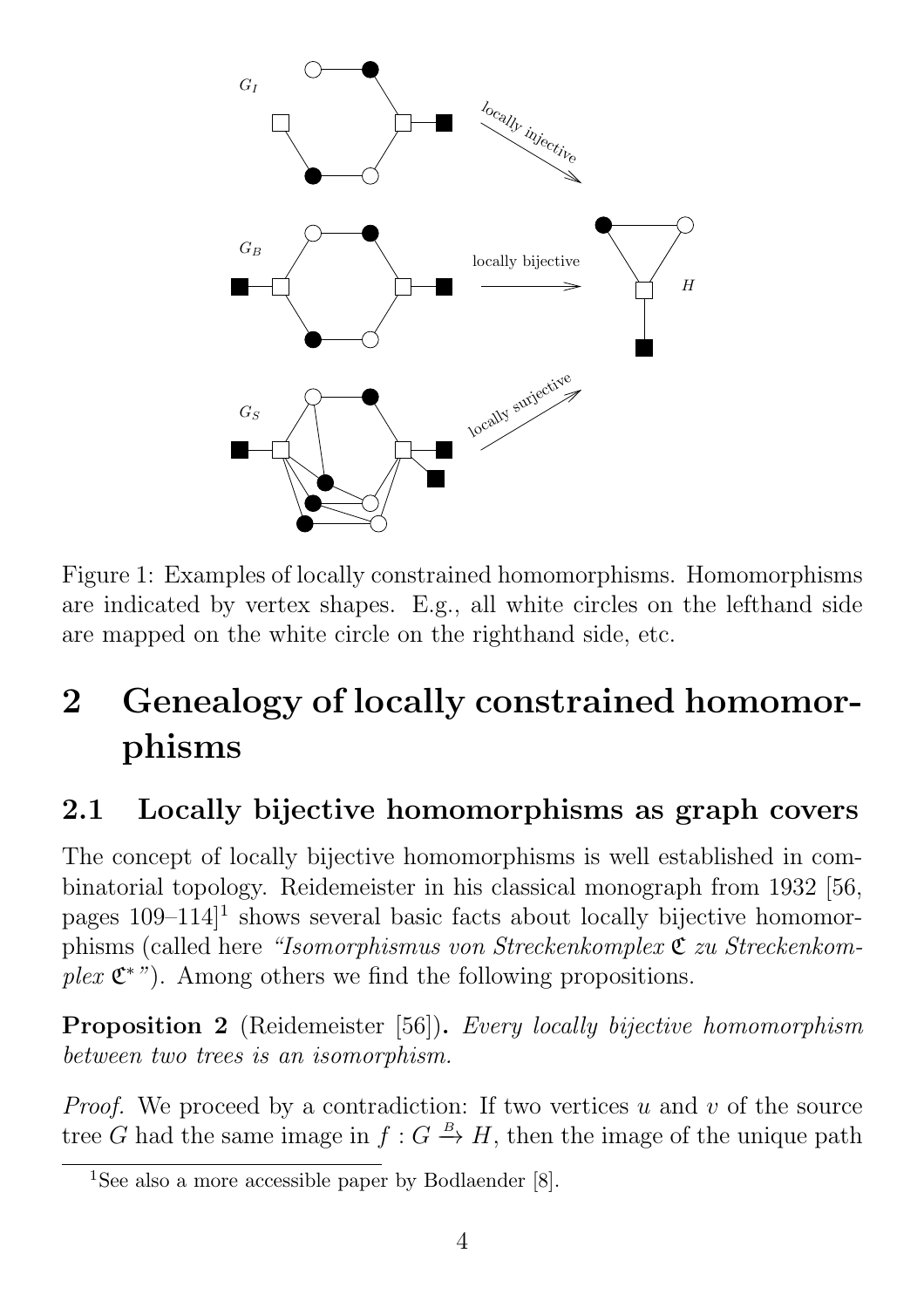

Figure 1: Examples of locally constrained homomorphisms. Homomorphisms are indicated by vertex shapes. E.g., all white circles on the lefthand side are mapped on the white circle on the righthand side, etc.

# 2 Genealogy of locally constrained homomorphisms

# 2.1 Locally bijective homomorphisms as graph covers

The concept of locally bijective homomorphisms is well established in combinatorial topology. Reidemeister in his classical monograph from 1932 [56, pages  $109-114$ <sup>1</sup> shows several basic facts about locally bijective homomorphisms (called here "Isomorphismus von Streckenkomplex C zu Streckenkomplex  $\mathfrak{C}^*$ "). Among others we find the following propositions.

Proposition 2 (Reidemeister [56]). Every locally bijective homomorphism between two trees is an isomorphism.

*Proof.* We proceed by a contradiction: If two vertices u and v of the source tree G had the same image in  $f: G \stackrel{B}{\to} H$ , then the image of the unique path

<sup>&</sup>lt;sup>1</sup>See also a more accessible paper by Bodlaender [8].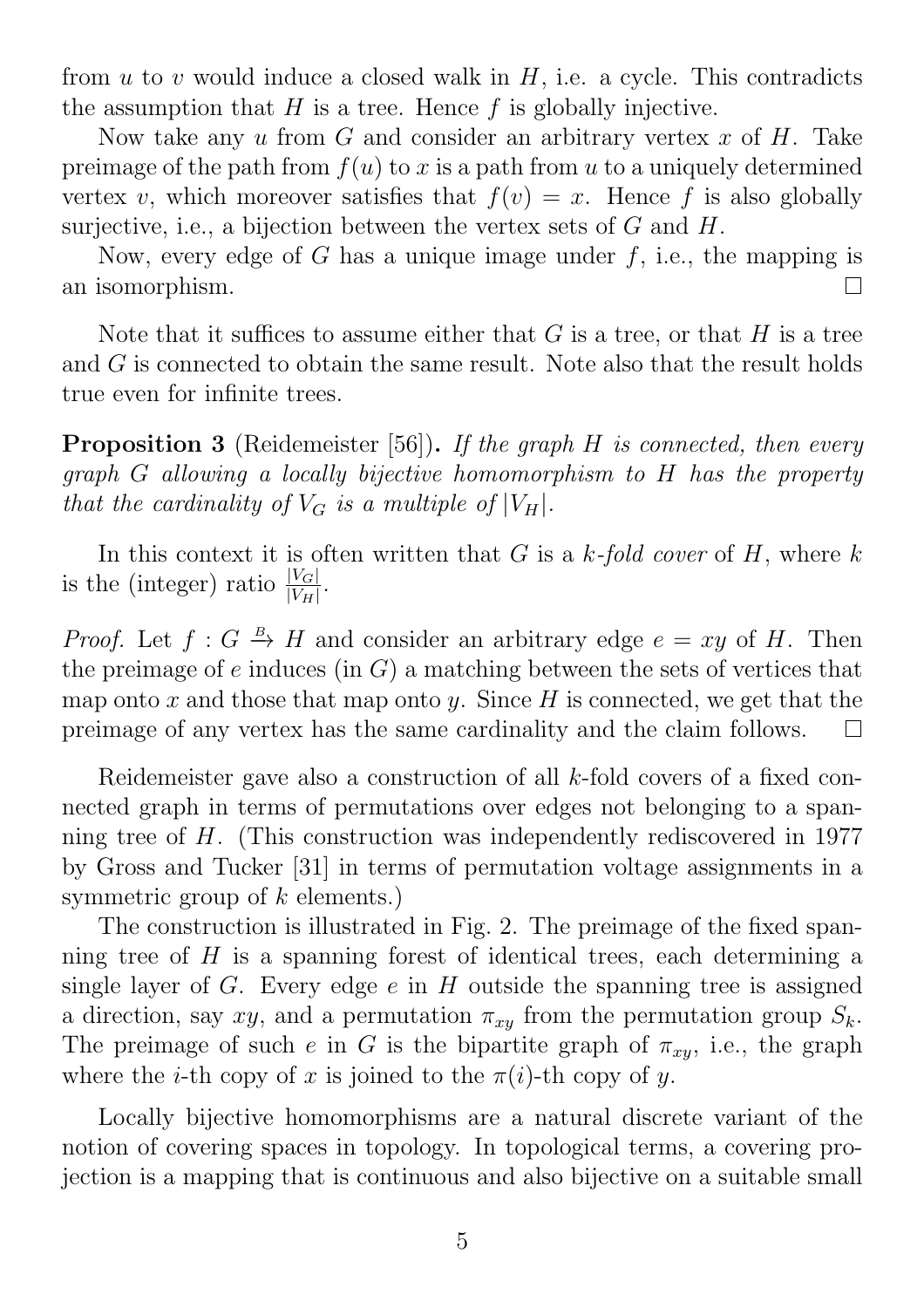from  $u$  to  $v$  would induce a closed walk in  $H$ , i.e. a cycle. This contradicts the assumption that  $H$  is a tree. Hence  $f$  is globally injective.

Now take any u from G and consider an arbitrary vertex x of  $H$ . Take preimage of the path from  $f(u)$  to x is a path from u to a uniquely determined vertex v, which moreover satisfies that  $f(v) = x$ . Hence f is also globally surjective, i.e., a bijection between the vertex sets of  $G$  and  $H$ .

Now, every edge of G has a unique image under  $f$ , i.e., the mapping is an isomorphism.  $\Box$ 

Note that it suffices to assume either that  $G$  is a tree, or that  $H$  is a tree and G is connected to obtain the same result. Note also that the result holds true even for infinite trees.

**Proposition 3** (Reidemeister [56]). If the graph  $H$  is connected, then every graph G allowing a locally bijective homomorphism to H has the property that the cardinality of  $V_G$  is a multiple of  $|V_H|$ .

In this context it is often written that  $G$  is a  $k$ -fold cover of  $H$ , where  $k$ is the (integer) ratio  $\frac{|V_G|}{|V_H|}$ .

*Proof.* Let  $f: G \stackrel{B}{\to} H$  and consider an arbitrary edge  $e = xy$  of H. Then the preimage of e induces (in  $G$ ) a matching between the sets of vertices that map onto x and those that map onto y. Since H is connected, we get that the preimage of any vertex has the same cardinality and the claim follows.  $\Box$ 

Reidemeister gave also a construction of all k-fold covers of a fixed connected graph in terms of permutations over edges not belonging to a spanning tree of H. (This construction was independently rediscovered in 1977 by Gross and Tucker [31] in terms of permutation voltage assignments in a symmetric group of  $k$  elements.)

The construction is illustrated in Fig. 2. The preimage of the fixed spanning tree of  $H$  is a spanning forest of identical trees, each determining a single layer of  $G$ . Every edge  $e$  in  $H$  outside the spanning tree is assigned a direction, say xy, and a permutation  $\pi_{xy}$  from the permutation group  $S_k$ . The preimage of such e in G is the bipartite graph of  $\pi_{xy}$ , i.e., the graph where the *i*-th copy of x is joined to the  $\pi(i)$ -th copy of y.

Locally bijective homomorphisms are a natural discrete variant of the notion of covering spaces in topology. In topological terms, a covering projection is a mapping that is continuous and also bijective on a suitable small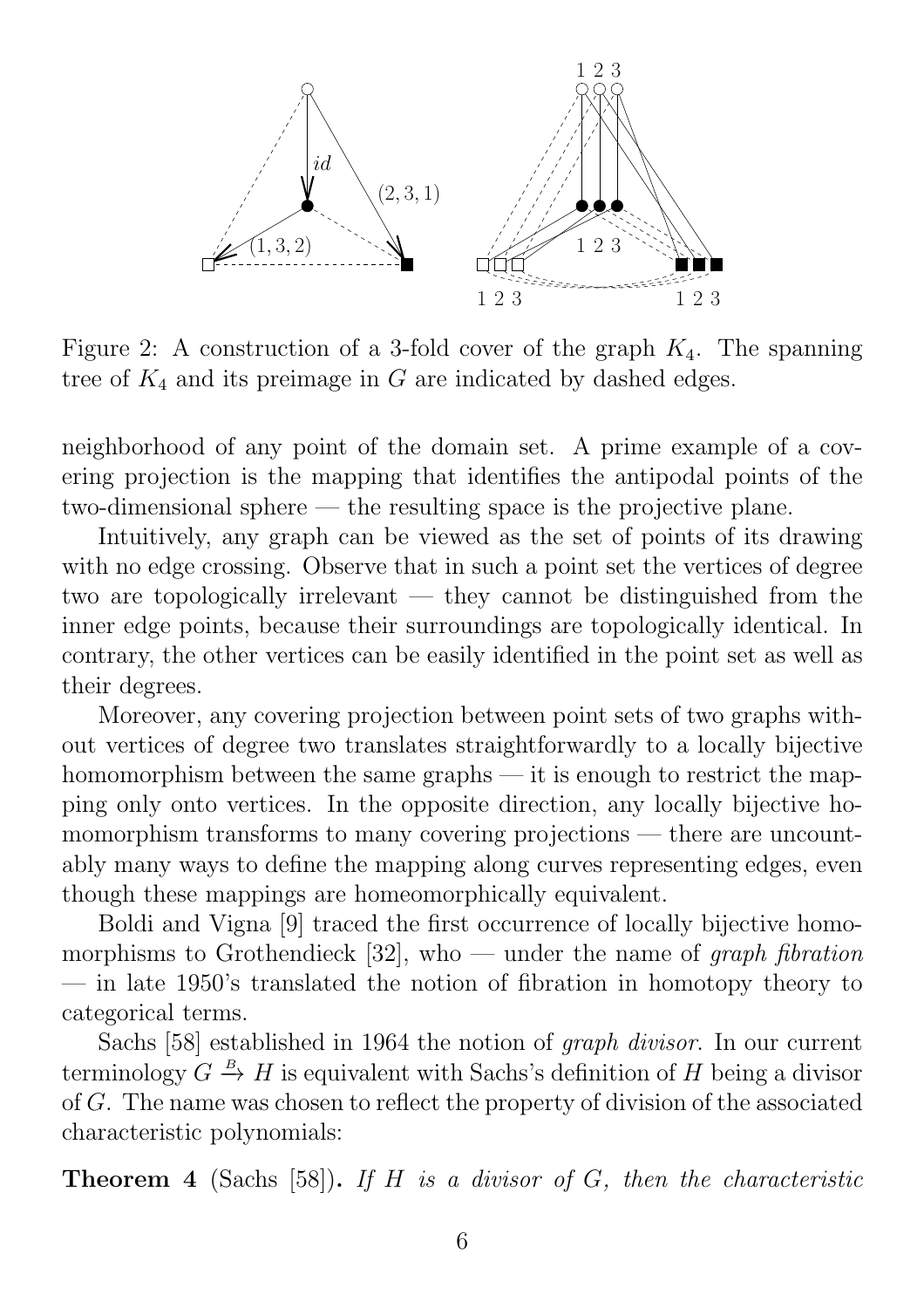

Figure 2: A construction of a 3-fold cover of the graph  $K_4$ . The spanning tree of  $K_4$  and its preimage in G are indicated by dashed edges.

neighborhood of any point of the domain set. A prime example of a covering projection is the mapping that identifies the antipodal points of the two-dimensional sphere — the resulting space is the projective plane.

Intuitively, any graph can be viewed as the set of points of its drawing with no edge crossing. Observe that in such a point set the vertices of degree two are topologically irrelevant — they cannot be distinguished from the inner edge points, because their surroundings are topologically identical. In contrary, the other vertices can be easily identified in the point set as well as their degrees.

Moreover, any covering projection between point sets of two graphs without vertices of degree two translates straightforwardly to a locally bijective homomorphism between the same graphs  $-$  it is enough to restrict the mapping only onto vertices. In the opposite direction, any locally bijective homomorphism transforms to many covering projections — there are uncountably many ways to define the mapping along curves representing edges, even though these mappings are homeomorphically equivalent.

Boldi and Vigna [9] traced the first occurrence of locally bijective homomorphisms to Grothendieck [32], who — under the name of graph fibration — in late 1950's translated the notion of fibration in homotopy theory to categorical terms.

Sachs [58] established in 1964 the notion of graph divisor. In our current terminology  $G \stackrel{B}{\to} H$  is equivalent with Sachs's definition of H being a divisor of G. The name was chosen to reflect the property of division of the associated characteristic polynomials:

**Theorem 4** (Sachs [58]). If H is a divisor of G, then the characteristic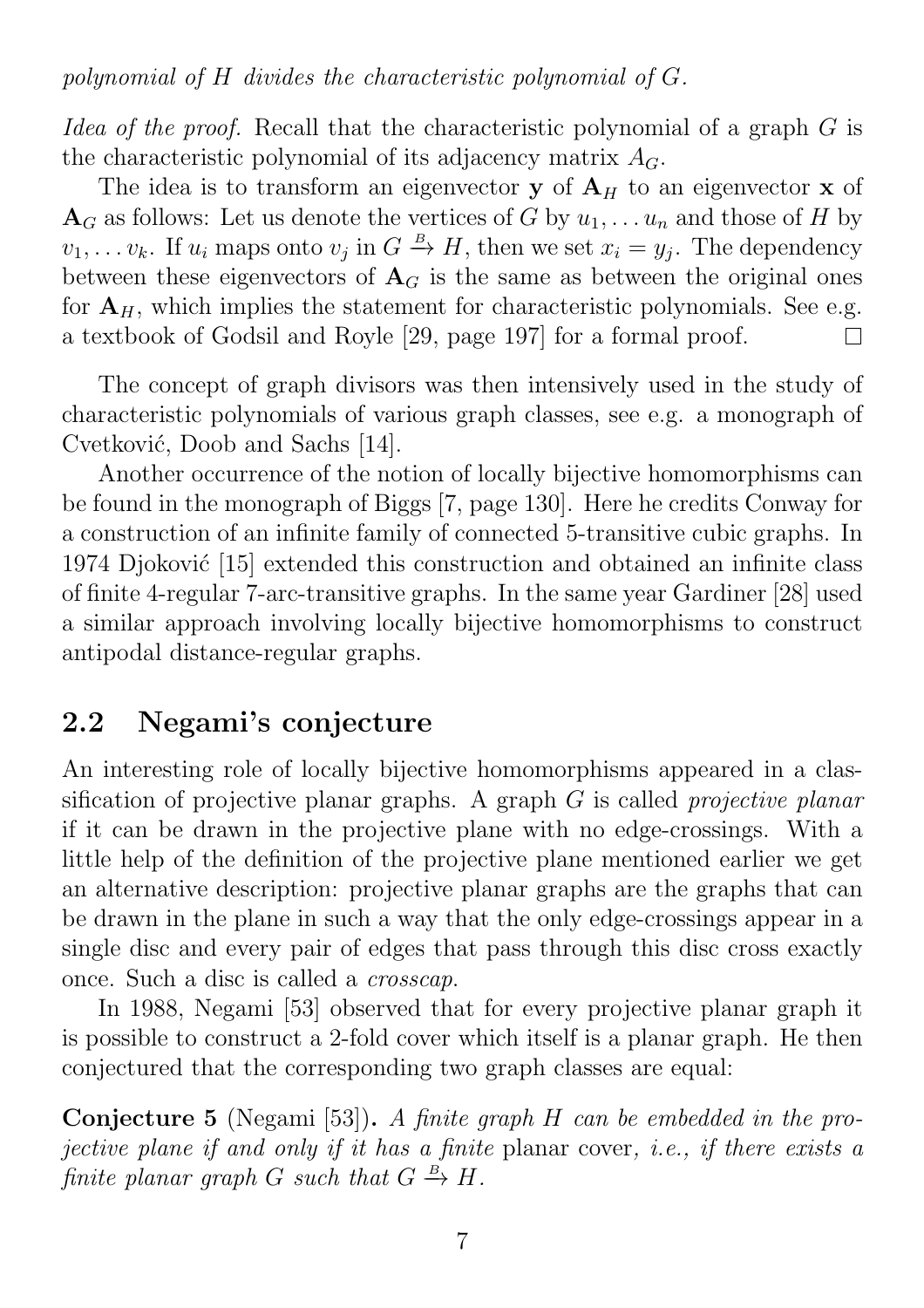polynomial of H divides the characteristic polynomial of G.

Idea of the proof. Recall that the characteristic polynomial of a graph G is the characteristic polynomial of its adjacency matrix  $A_G$ .

The idea is to transform an eigenvector  $y$  of  $A_H$  to an eigenvector  $x$  of  $\mathbf{A}_G$  as follows: Let us denote the vertices of G by  $u_1, \ldots u_n$  and those of H by  $v_1, \ldots v_k$ . If  $u_i$  maps onto  $v_j$  in  $G \stackrel{B}{\to} H$ , then we set  $x_i = y_j$ . The dependency between these eigenvectors of  $A_G$  is the same as between the original ones for  $A_H$ , which implies the statement for characteristic polynomials. See e.g. a textbook of Godsil and Royle [29, page 197] for a formal proof. П

The concept of graph divisors was then intensively used in the study of characteristic polynomials of various graph classes, see e.g. a monograph of Cvetković, Doob and Sachs [14].

Another occurrence of the notion of locally bijective homomorphisms can be found in the monograph of Biggs [7, page 130]. Here he credits Conway for a construction of an infinite family of connected 5-transitive cubic graphs. In 1974 Djoković  $[15]$  extended this construction and obtained an infinite class of finite 4-regular 7-arc-transitive graphs. In the same year Gardiner [28] used a similar approach involving locally bijective homomorphisms to construct antipodal distance-regular graphs.

## 2.2 Negami's conjecture

An interesting role of locally bijective homomorphisms appeared in a classification of projective planar graphs. A graph  $G$  is called *projective planar* if it can be drawn in the projective plane with no edge-crossings. With a little help of the definition of the projective plane mentioned earlier we get an alternative description: projective planar graphs are the graphs that can be drawn in the plane in such a way that the only edge-crossings appear in a single disc and every pair of edges that pass through this disc cross exactly once. Such a disc is called a crosscap.

In 1988, Negami [53] observed that for every projective planar graph it is possible to construct a 2-fold cover which itself is a planar graph. He then conjectured that the corresponding two graph classes are equal:

Conjecture 5 (Negami [53]). A finite graph H can be embedded in the projective plane if and only if it has a finite planar cover, i.e., if there exists a finite planar graph G such that  $G \stackrel{B}{\to} H$ .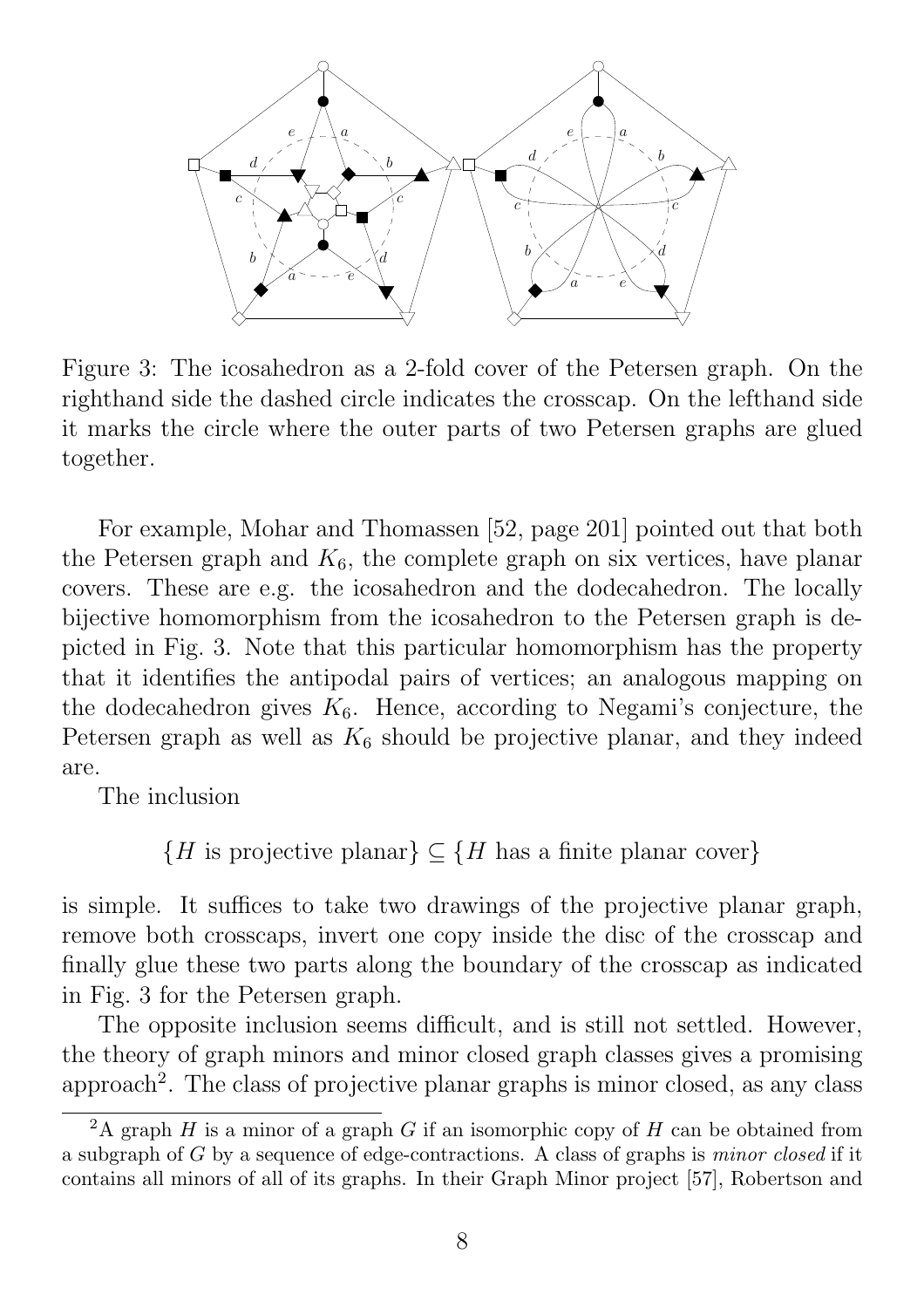

Figure 3: The icosahedron as a 2-fold cover of the Petersen graph. On the righthand side the dashed circle indicates the crosscap. On the lefthand side it marks the circle where the outer parts of two Petersen graphs are glued together.

For example, Mohar and Thomassen [52, page 201] pointed out that both the Petersen graph and  $K_6$ , the complete graph on six vertices, have planar covers. These are e.g. the icosahedron and the dodecahedron. The locally bijective homomorphism from the icosahedron to the Petersen graph is depicted in Fig. 3. Note that this particular homomorphism has the property that it identifies the antipodal pairs of vertices; an analogous mapping on the dodecahedron gives  $K_6$ . Hence, according to Negami's conjecture, the Petersen graph as well as  $K_6$  should be projective planar, and they indeed are.

The inclusion

 ${H \text{ is projective planar}} \subseteq {H \text{ has a finite planar cover}}$ 

is simple. It suffices to take two drawings of the projective planar graph, remove both crosscaps, invert one copy inside the disc of the crosscap and finally glue these two parts along the boundary of the crosscap as indicated in Fig. 3 for the Petersen graph.

The opposite inclusion seems difficult, and is still not settled. However, the theory of graph minors and minor closed graph classes gives a promising approach<sup>2</sup>. The class of projective planar graphs is minor closed, as any class

<sup>&</sup>lt;sup>2</sup>A graph  $H$  is a minor of a graph  $G$  if an isomorphic copy of  $H$  can be obtained from a subgraph of G by a sequence of edge-contractions. A class of graphs is minor closed if it contains all minors of all of its graphs. In their Graph Minor project [57], Robertson and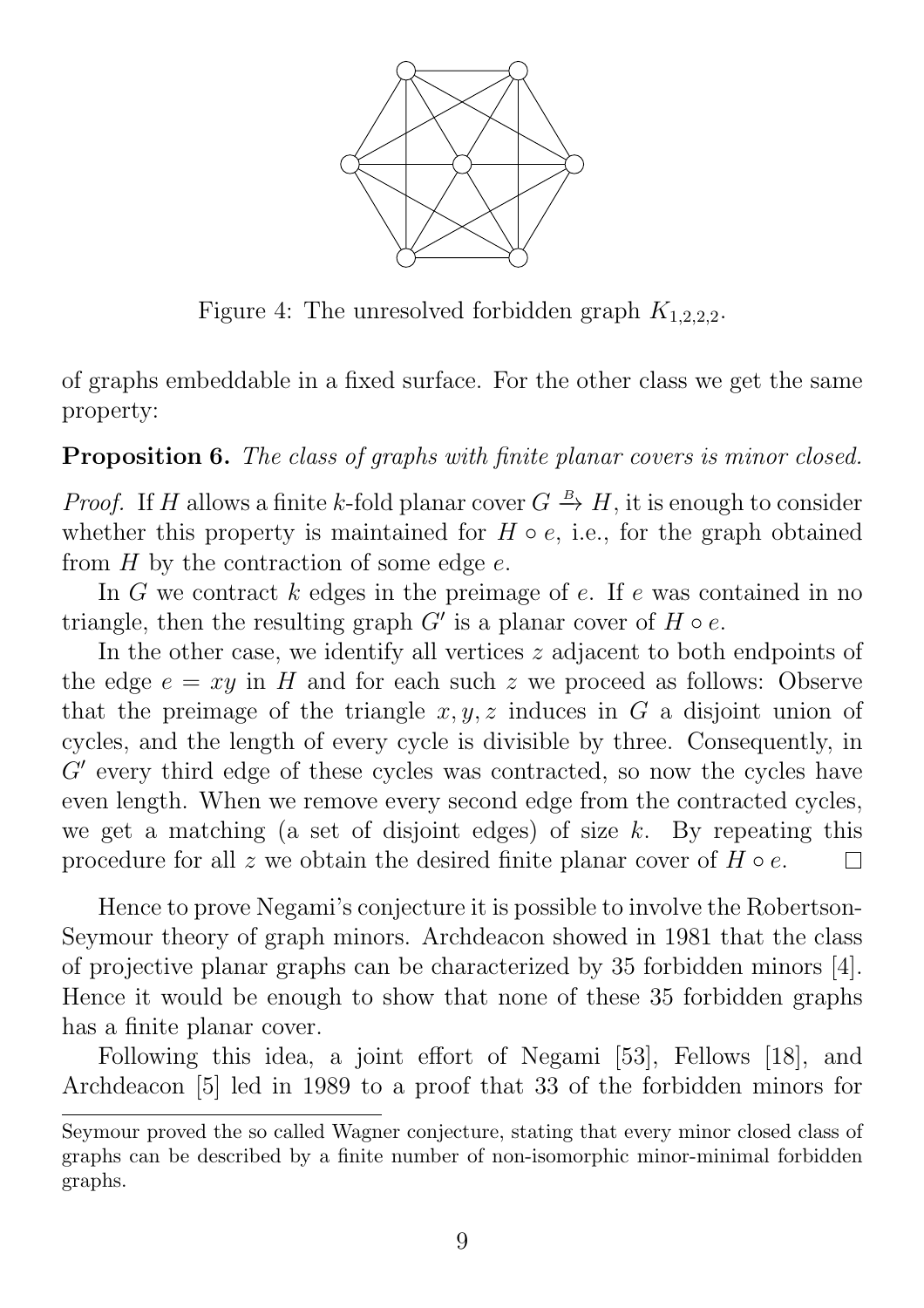

Figure 4: The unresolved forbidden graph  $K_{1,2,2,2}$ .

of graphs embeddable in a fixed surface. For the other class we get the same property:

Proposition 6. The class of graphs with finite planar covers is minor closed.

*Proof.* If H allows a finite k-fold planar cover  $G \stackrel{B}{\to} H$ , it is enough to consider whether this property is maintained for  $H \circ e$ , i.e., for the graph obtained from  $H$  by the contraction of some edge  $e$ .

In G we contract  $k$  edges in the preimage of  $e$ . If  $e$  was contained in no triangle, then the resulting graph  $G'$  is a planar cover of  $H \circ e$ .

In the other case, we identify all vertices  $z$  adjacent to both endpoints of the edge  $e = xy$  in H and for each such z we proceed as follows: Observe that the preimage of the triangle  $x, y, z$  induces in G a disjoint union of cycles, and the length of every cycle is divisible by three. Consequently, in  $G'$  every third edge of these cycles was contracted, so now the cycles have even length. When we remove every second edge from the contracted cycles, we get a matching (a set of disjoint edges) of size  $k$ . By repeating this procedure for all z we obtain the desired finite planar cover of  $H \circ e$ . П

Hence to prove Negami's conjecture it is possible to involve the Robertson-Seymour theory of graph minors. Archdeacon showed in 1981 that the class of projective planar graphs can be characterized by 35 forbidden minors [4]. Hence it would be enough to show that none of these 35 forbidden graphs has a finite planar cover.

Following this idea, a joint effort of Negami [53], Fellows [18], and Archdeacon [5] led in 1989 to a proof that 33 of the forbidden minors for

Seymour proved the so called Wagner conjecture, stating that every minor closed class of graphs can be described by a finite number of non-isomorphic minor-minimal forbidden graphs.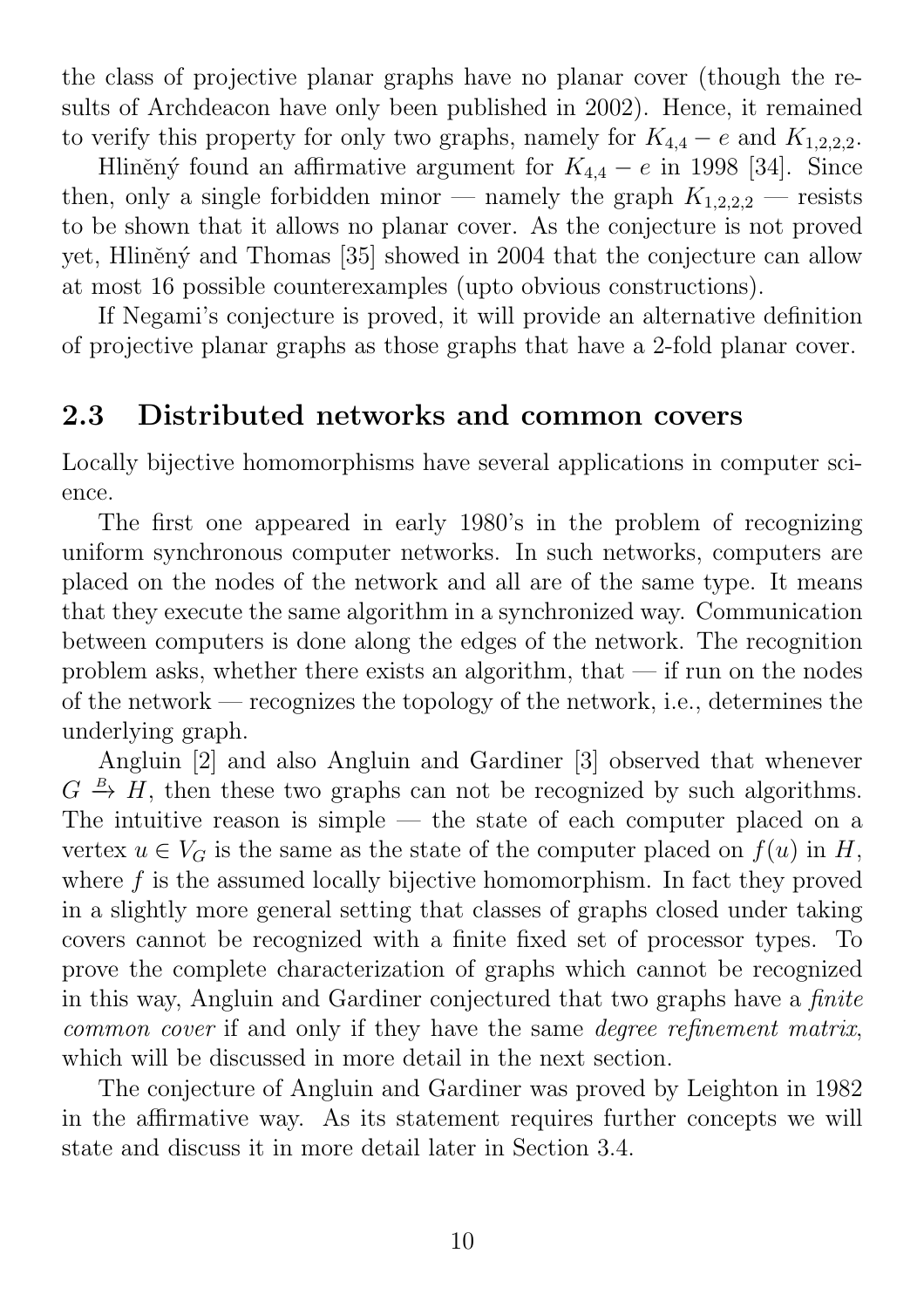the class of projective planar graphs have no planar cover (though the results of Archdeacon have only been published in 2002). Hence, it remained to verify this property for only two graphs, namely for  $K_{4,4} - e$  and  $K_{1,2,2,2}$ .

Hliněný found an affirmative argument for  $K_{4,4} - e$  in 1998 [34]. Since then, only a single forbidden minor — namely the graph  $K_{1,2,2,2}$  — resists to be shown that it allows no planar cover. As the conjecture is not proved yet, Hliněný and Thomas [35] showed in 2004 that the conjecture can allow at most 16 possible counterexamples (upto obvious constructions).

If Negami's conjecture is proved, it will provide an alternative definition of projective planar graphs as those graphs that have a 2-fold planar cover.

### 2.3 Distributed networks and common covers

Locally bijective homomorphisms have several applications in computer science.

The first one appeared in early 1980's in the problem of recognizing uniform synchronous computer networks. In such networks, computers are placed on the nodes of the network and all are of the same type. It means that they execute the same algorithm in a synchronized way. Communication between computers is done along the edges of the network. The recognition problem asks, whether there exists an algorithm, that  $-$  if run on the nodes of the network — recognizes the topology of the network, i.e., determines the underlying graph.

Angluin [2] and also Angluin and Gardiner [3] observed that whenever  $G \stackrel{B}{\rightarrow} H$ , then these two graphs can not be recognized by such algorithms. The intuitive reason is simple  $-$  the state of each computer placed on a vertex  $u \in V_G$  is the same as the state of the computer placed on  $f(u)$  in H, where f is the assumed locally bijective homomorphism. In fact they proved in a slightly more general setting that classes of graphs closed under taking covers cannot be recognized with a finite fixed set of processor types. To prove the complete characterization of graphs which cannot be recognized in this way, Angluin and Gardiner conjectured that two graphs have a finite common cover if and only if they have the same degree refinement matrix, which will be discussed in more detail in the next section.

The conjecture of Angluin and Gardiner was proved by Leighton in 1982 in the affirmative way. As its statement requires further concepts we will state and discuss it in more detail later in Section 3.4.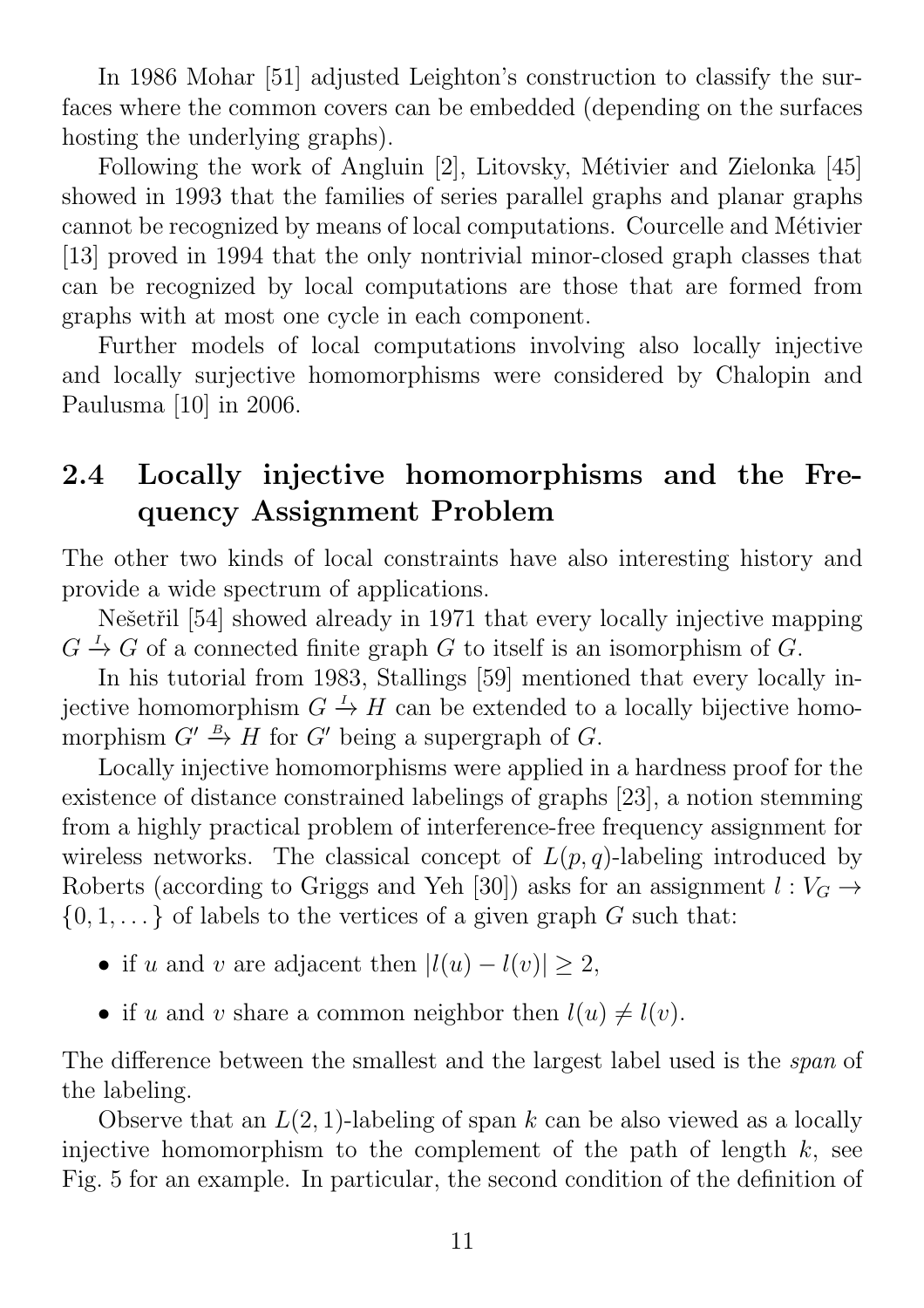In 1986 Mohar [51] adjusted Leighton's construction to classify the surfaces where the common covers can be embedded (depending on the surfaces hosting the underlying graphs).

Following the work of Angluin [2], Litovsky, Métivier and Zielonka [45] showed in 1993 that the families of series parallel graphs and planar graphs cannot be recognized by means of local computations. Courcelle and Métivier [13] proved in 1994 that the only nontrivial minor-closed graph classes that can be recognized by local computations are those that are formed from graphs with at most one cycle in each component.

Further models of local computations involving also locally injective and locally surjective homomorphisms were considered by Chalopin and Paulusma [10] in 2006.

# 2.4 Locally injective homomorphisms and the Frequency Assignment Problem

The other two kinds of local constraints have also interesting history and provide a wide spectrum of applications.

Nešetřil [54] showed already in 1971 that every locally injective mapping  $G \stackrel{I}{\rightarrow} G$  of a connected finite graph G to itself is an isomorphism of G.

In his tutorial from 1983, Stallings [59] mentioned that every locally injective homomorphism  $G \stackrel{I}{\rightarrow} H$  can be extended to a locally bijective homomorphism  $G' \stackrel{B}{\rightarrow} H$  for  $G'$  being a supergraph of G.

Locally injective homomorphisms were applied in a hardness proof for the existence of distance constrained labelings of graphs [23], a notion stemming from a highly practical problem of interference-free frequency assignment for wireless networks. The classical concept of  $L(p,q)$ -labeling introduced by Roberts (according to Griggs and Yeh [30]) asks for an assignment  $l: V_G \rightarrow$  $\{0, 1, \ldots\}$  of labels to the vertices of a given graph G such that:

- if u and v are adjacent then  $|l(u) l(v)| \geq 2$ ,
- if u and v share a common neighbor then  $l(u) \neq l(v)$ .

The difference between the smallest and the largest label used is the span of the labeling.

Observe that an  $L(2, 1)$ -labeling of span k can be also viewed as a locally injective homomorphism to the complement of the path of length  $k$ , see Fig. 5 for an example. In particular, the second condition of the definition of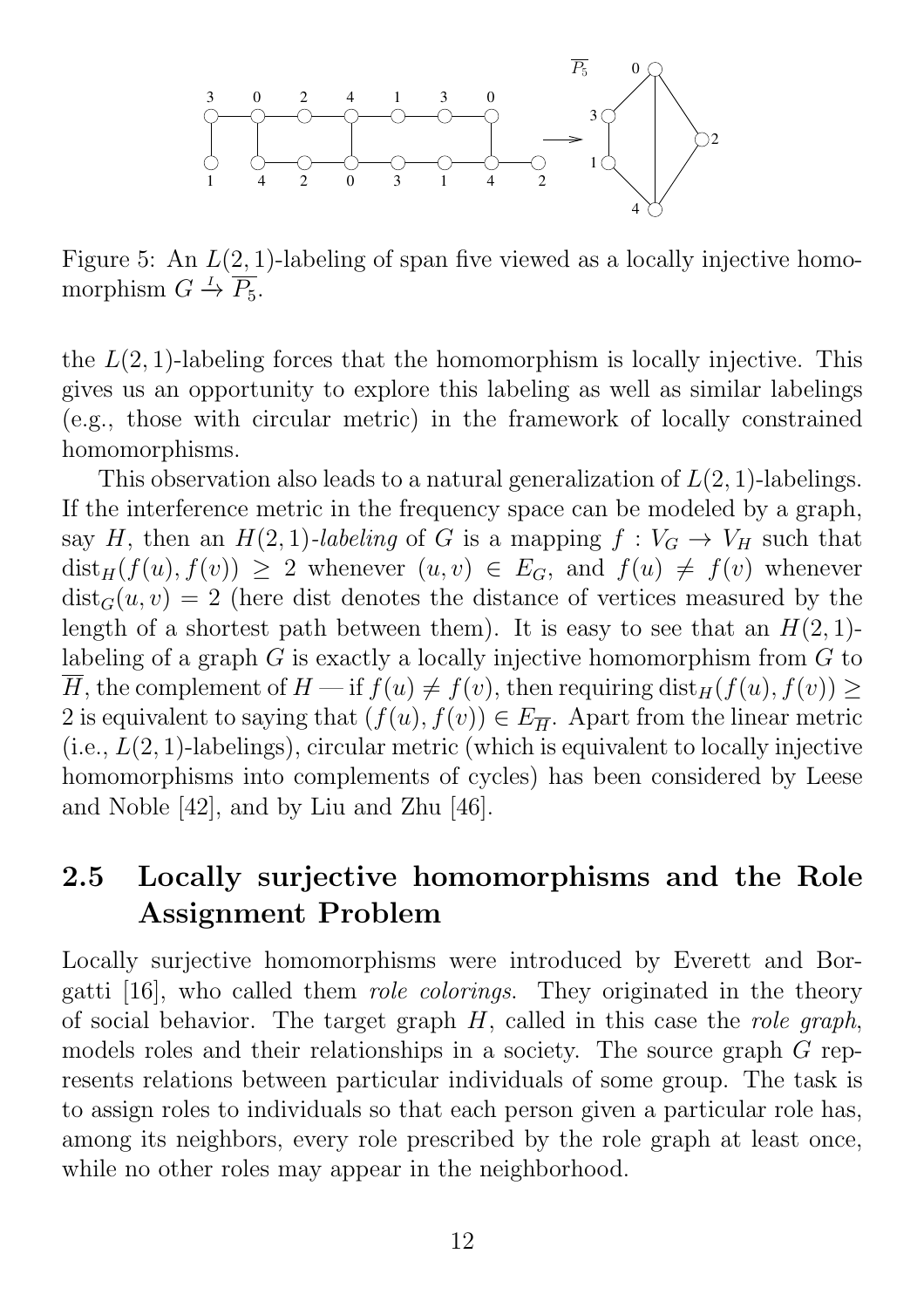

Figure 5: An  $L(2, 1)$ -labeling of span five viewed as a locally injective homomorphism  $G \stackrel{I}{\rightarrow} \overline{P_5}$ .

the  $L(2, 1)$ -labeling forces that the homomorphism is locally injective. This gives us an opportunity to explore this labeling as well as similar labelings (e.g., those with circular metric) in the framework of locally constrained homomorphisms.

This observation also leads to a natural generalization of  $L(2, 1)$ -labelings. If the interference metric in the frequency space can be modeled by a graph, say H, then an  $H(2, 1)$ -labeling of G is a mapping  $f: V_G \to V_H$  such that  $dist_H(f(u), f(v)) \geq 2$  whenever  $(u, v) \in E_G$ , and  $f(u) \neq f(v)$  whenever  $dist_G(u, v) = 2$  (here dist denotes the distance of vertices measured by the length of a shortest path between them). It is easy to see that an  $H(2, 1)$ labeling of a graph G is exactly a locally injective homomorphism from G to H, the complement of  $H$  — if  $f(u) \neq f(v)$ , then requiring  $dist_H(f(u), f(v)) \geq$ 2 is equivalent to saying that  $(f(u), f(v)) \in E_{\overline{H}}$ . Apart from the linear metric  $(i.e., L(2, 1)-labelings)$ , circular metric (which is equivalent to locally injective homomorphisms into complements of cycles) has been considered by Leese and Noble [42], and by Liu and Zhu [46].

## 2.5 Locally surjective homomorphisms and the Role Assignment Problem

Locally surjective homomorphisms were introduced by Everett and Borgatti [16], who called them role colorings. They originated in the theory of social behavior. The target graph  $H$ , called in this case the *role graph*, models roles and their relationships in a society. The source graph G represents relations between particular individuals of some group. The task is to assign roles to individuals so that each person given a particular role has, among its neighbors, every role prescribed by the role graph at least once, while no other roles may appear in the neighborhood.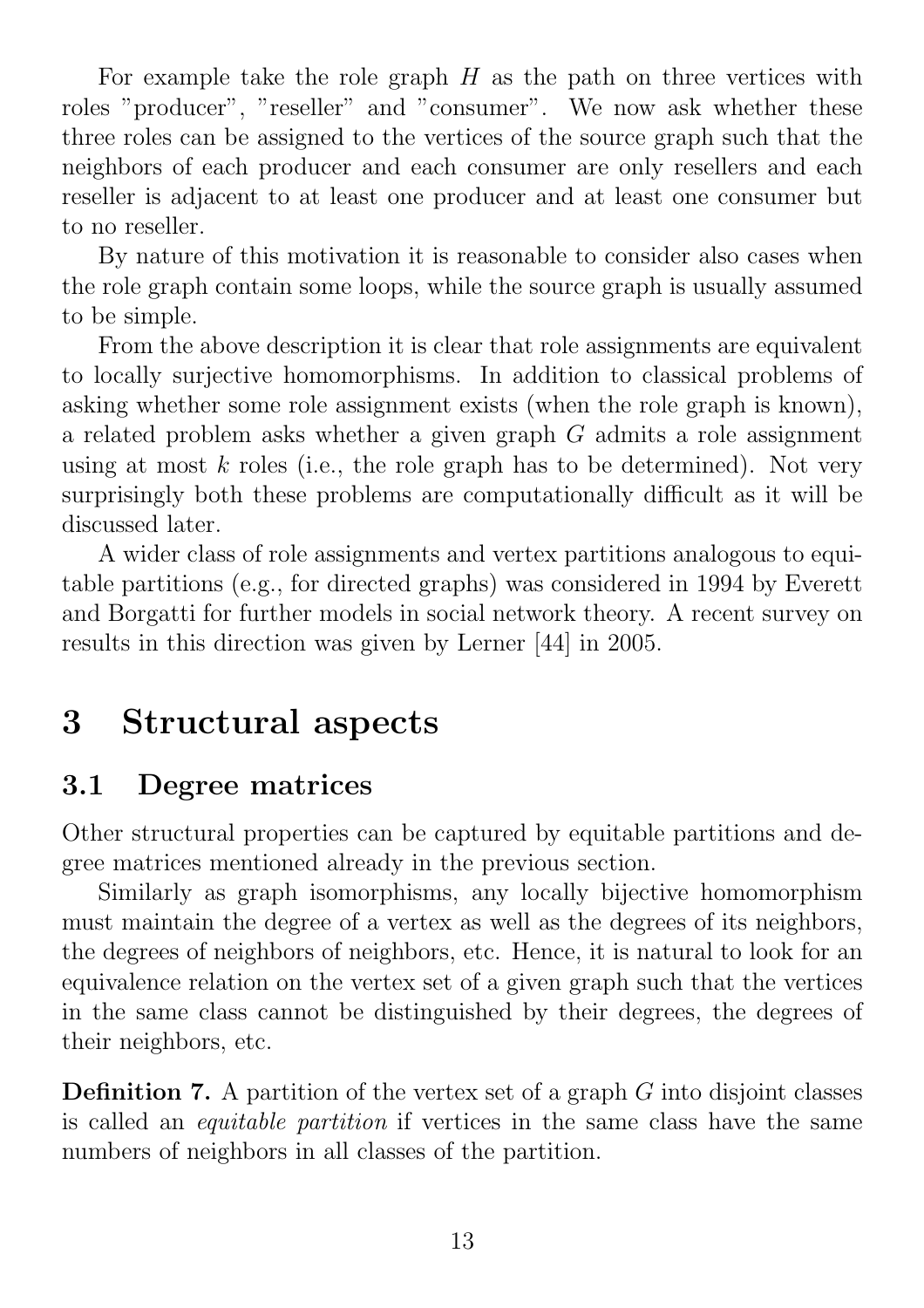For example take the role graph  $H$  as the path on three vertices with roles "producer", "reseller" and "consumer". We now ask whether these three roles can be assigned to the vertices of the source graph such that the neighbors of each producer and each consumer are only resellers and each reseller is adjacent to at least one producer and at least one consumer but to no reseller.

By nature of this motivation it is reasonable to consider also cases when the role graph contain some loops, while the source graph is usually assumed to be simple.

From the above description it is clear that role assignments are equivalent to locally surjective homomorphisms. In addition to classical problems of asking whether some role assignment exists (when the role graph is known), a related problem asks whether a given graph G admits a role assignment using at most  $k$  roles (i.e., the role graph has to be determined). Not very surprisingly both these problems are computationally difficult as it will be discussed later.

A wider class of role assignments and vertex partitions analogous to equitable partitions (e.g., for directed graphs) was considered in 1994 by Everett and Borgatti for further models in social network theory. A recent survey on results in this direction was given by Lerner [44] in 2005.

# 3 Structural aspects

# 3.1 Degree matrices

Other structural properties can be captured by equitable partitions and degree matrices mentioned already in the previous section.

Similarly as graph isomorphisms, any locally bijective homomorphism must maintain the degree of a vertex as well as the degrees of its neighbors, the degrees of neighbors of neighbors, etc. Hence, it is natural to look for an equivalence relation on the vertex set of a given graph such that the vertices in the same class cannot be distinguished by their degrees, the degrees of their neighbors, etc.

**Definition 7.** A partition of the vertex set of a graph  $G$  into disjoint classes is called an equitable partition if vertices in the same class have the same numbers of neighbors in all classes of the partition.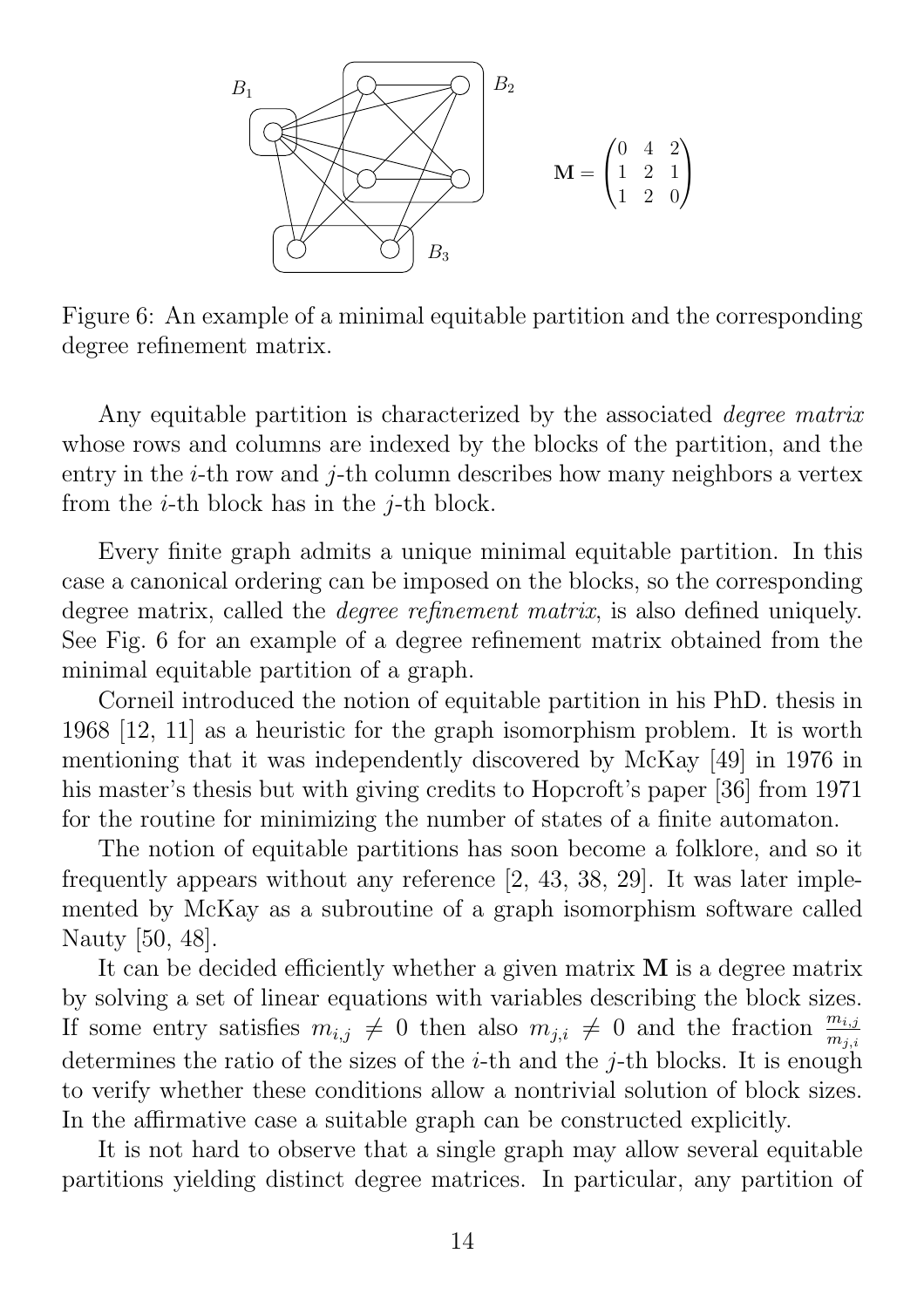

Figure 6: An example of a minimal equitable partition and the corresponding degree refinement matrix.

Any equitable partition is characterized by the associated *degree matrix* whose rows and columns are indexed by the blocks of the partition, and the entry in the  $i$ -th row and  $j$ -th column describes how many neighbors a vertex from the *i*-th block has in the *j*-th block.

Every finite graph admits a unique minimal equitable partition. In this case a canonical ordering can be imposed on the blocks, so the corresponding degree matrix, called the *degree refinement matrix*, is also defined uniquely. See Fig. 6 for an example of a degree refinement matrix obtained from the minimal equitable partition of a graph.

Corneil introduced the notion of equitable partition in his PhD. thesis in 1968 [12, 11] as a heuristic for the graph isomorphism problem. It is worth mentioning that it was independently discovered by McKay [49] in 1976 in his master's thesis but with giving credits to Hopcroft's paper [36] from 1971 for the routine for minimizing the number of states of a finite automaton.

The notion of equitable partitions has soon become a folklore, and so it frequently appears without any reference [2, 43, 38, 29]. It was later implemented by McKay as a subroutine of a graph isomorphism software called Nauty [50, 48].

It can be decided efficiently whether a given matrix M is a degree matrix by solving a set of linear equations with variables describing the block sizes. If some entry satisfies  $m_{i,j} \neq 0$  then also  $m_{j,i} \neq 0$  and the fraction  $\frac{m_{i,j}}{m_{j,i}}$ determines the ratio of the sizes of the *i*-th and the *i*-th blocks. It is enough to verify whether these conditions allow a nontrivial solution of block sizes. In the affirmative case a suitable graph can be constructed explicitly.

It is not hard to observe that a single graph may allow several equitable partitions yielding distinct degree matrices. In particular, any partition of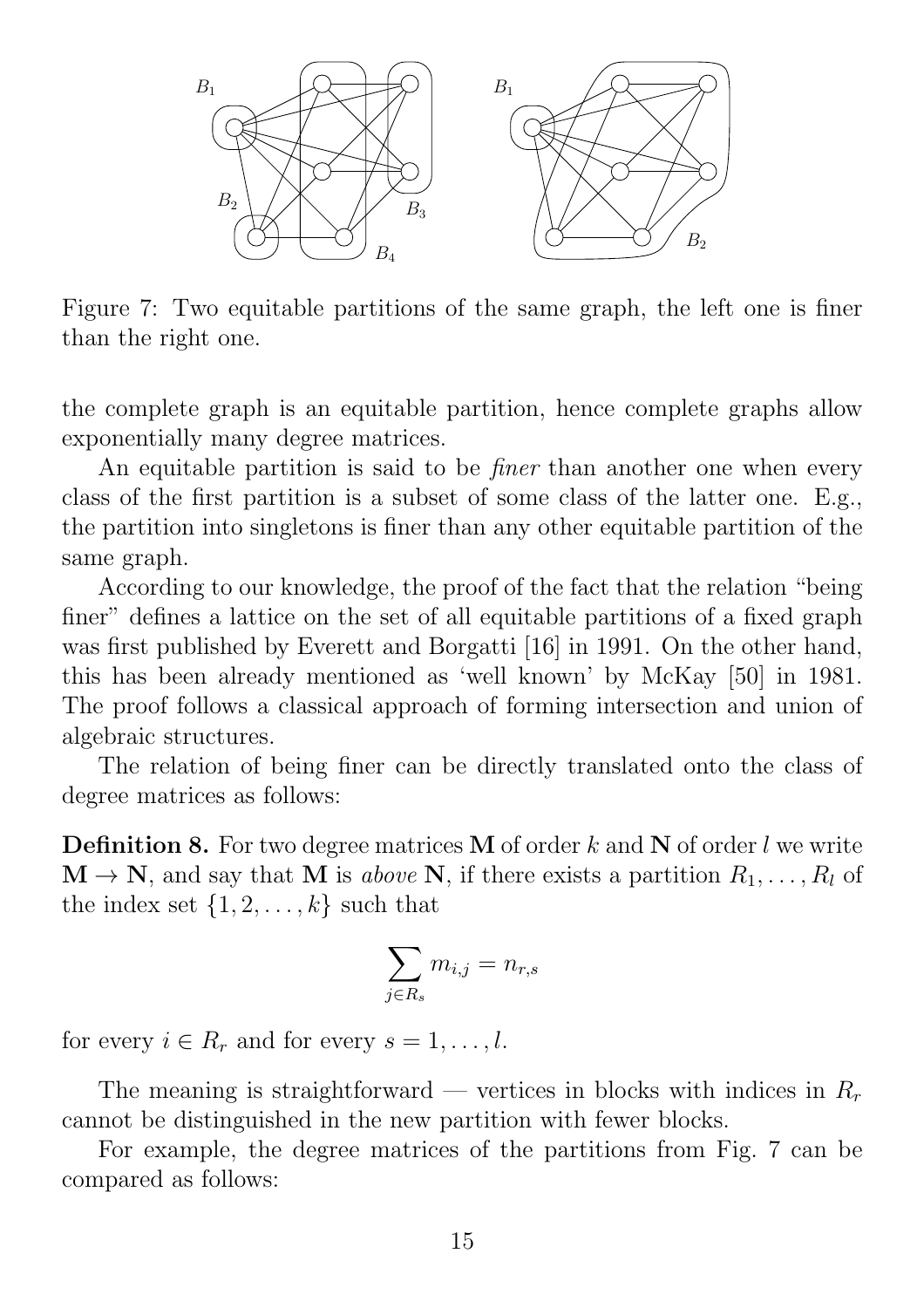

Figure 7: Two equitable partitions of the same graph, the left one is finer than the right one.

the complete graph is an equitable partition, hence complete graphs allow exponentially many degree matrices.

An equitable partition is said to be *finer* than another one when every class of the first partition is a subset of some class of the latter one. E.g., the partition into singletons is finer than any other equitable partition of the same graph.

According to our knowledge, the proof of the fact that the relation "being finer" defines a lattice on the set of all equitable partitions of a fixed graph was first published by Everett and Borgatti [16] in 1991. On the other hand, this has been already mentioned as 'well known' by McKay [50] in 1981. The proof follows a classical approach of forming intersection and union of algebraic structures.

The relation of being finer can be directly translated onto the class of degree matrices as follows:

**Definition 8.** For two degree matrices **M** of order k and **N** of order l we write  $\mathbf{M} \to \mathbf{N}$ , and say that M is above N, if there exists a partition  $R_1, \ldots, R_l$  of the index set  $\{1, 2, \ldots, k\}$  such that

$$
\sum_{j \in R_s} m_{i,j} = n_{r,s}
$$

for every  $i \in R_r$  and for every  $s = 1, \ldots, l$ .

The meaning is straightforward — vertices in blocks with indices in  $R_r$ cannot be distinguished in the new partition with fewer blocks.

For example, the degree matrices of the partitions from Fig. 7 can be compared as follows: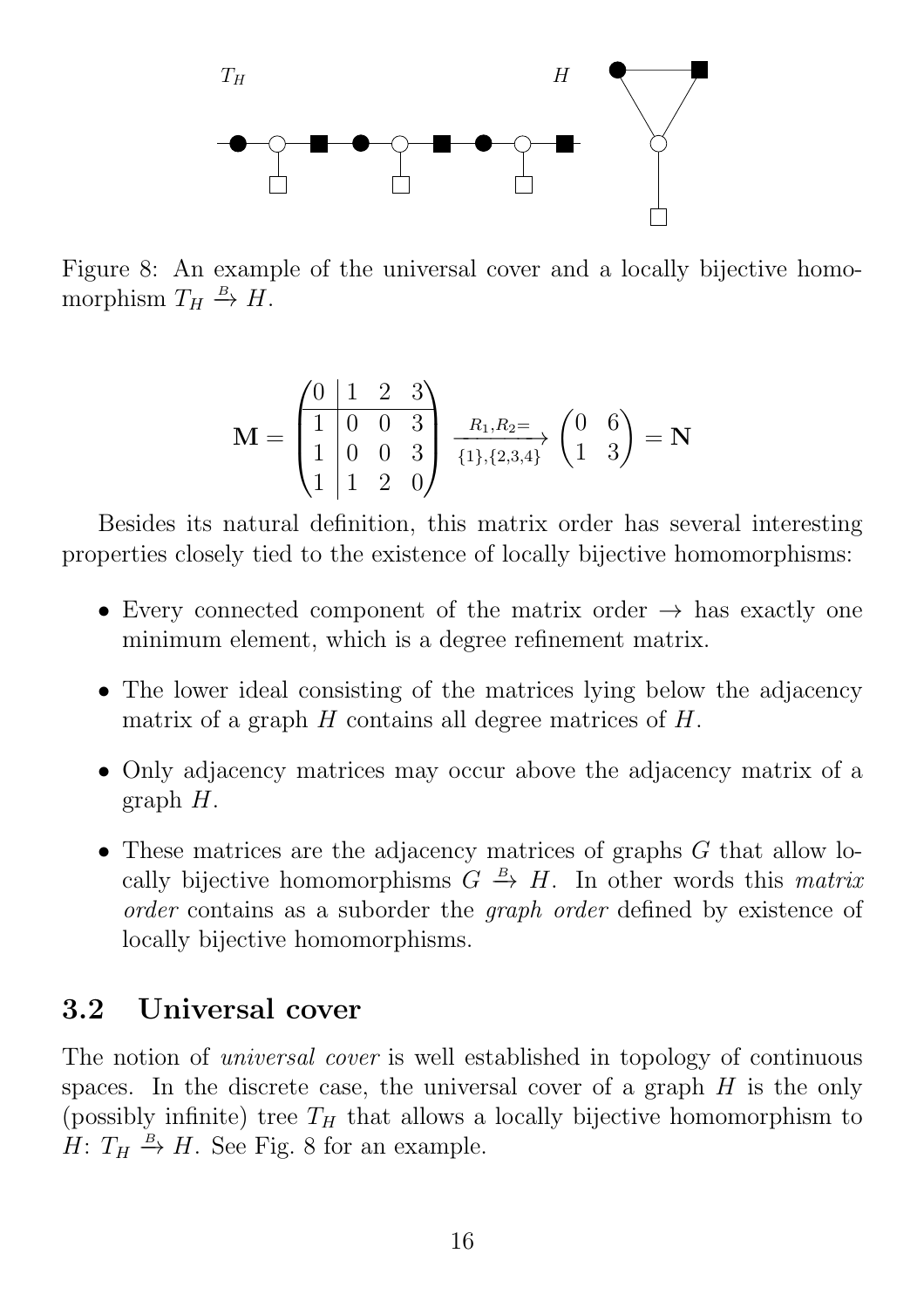

Figure 8: An example of the universal cover and a locally bijective homomorphism  $T_H \stackrel{B}{\to} H$ .

$$
\mathbf{M} = \begin{pmatrix} 0 & 1 & 2 & 3 \\ 1 & 0 & 0 & 3 \\ 1 & 0 & 0 & 3 \\ 1 & 1 & 2 & 0 \end{pmatrix} \xrightarrow[\{1\},\{2,3,4\}]{R_{1},R_{2}=} \begin{pmatrix} 0 & 6 \\ 1 & 3 \end{pmatrix} = \mathbf{N}
$$

Besides its natural definition, this matrix order has several interesting properties closely tied to the existence of locally bijective homomorphisms:

- Every connected component of the matrix order  $\rightarrow$  has exactly one minimum element, which is a degree refinement matrix.
- The lower ideal consisting of the matrices lying below the adjacency matrix of a graph  $H$  contains all degree matrices of  $H$ .
- Only adjacency matrices may occur above the adjacency matrix of a graph  $H$ .
- These matrices are the adjacency matrices of graphs G that allow locally bijective homomorphisms  $G \stackrel{B}{\to} H$ . In other words this *matrix* order contains as a suborder the graph order defined by existence of locally bijective homomorphisms.

#### 3.2 Universal cover

The notion of *universal cover* is well established in topology of continuous spaces. In the discrete case, the universal cover of a graph  $H$  is the only (possibly infinite) tree  $T_H$  that allows a locally bijective homomorphism to  $H: T_H \xrightarrow{B} H$ . See Fig. 8 for an example.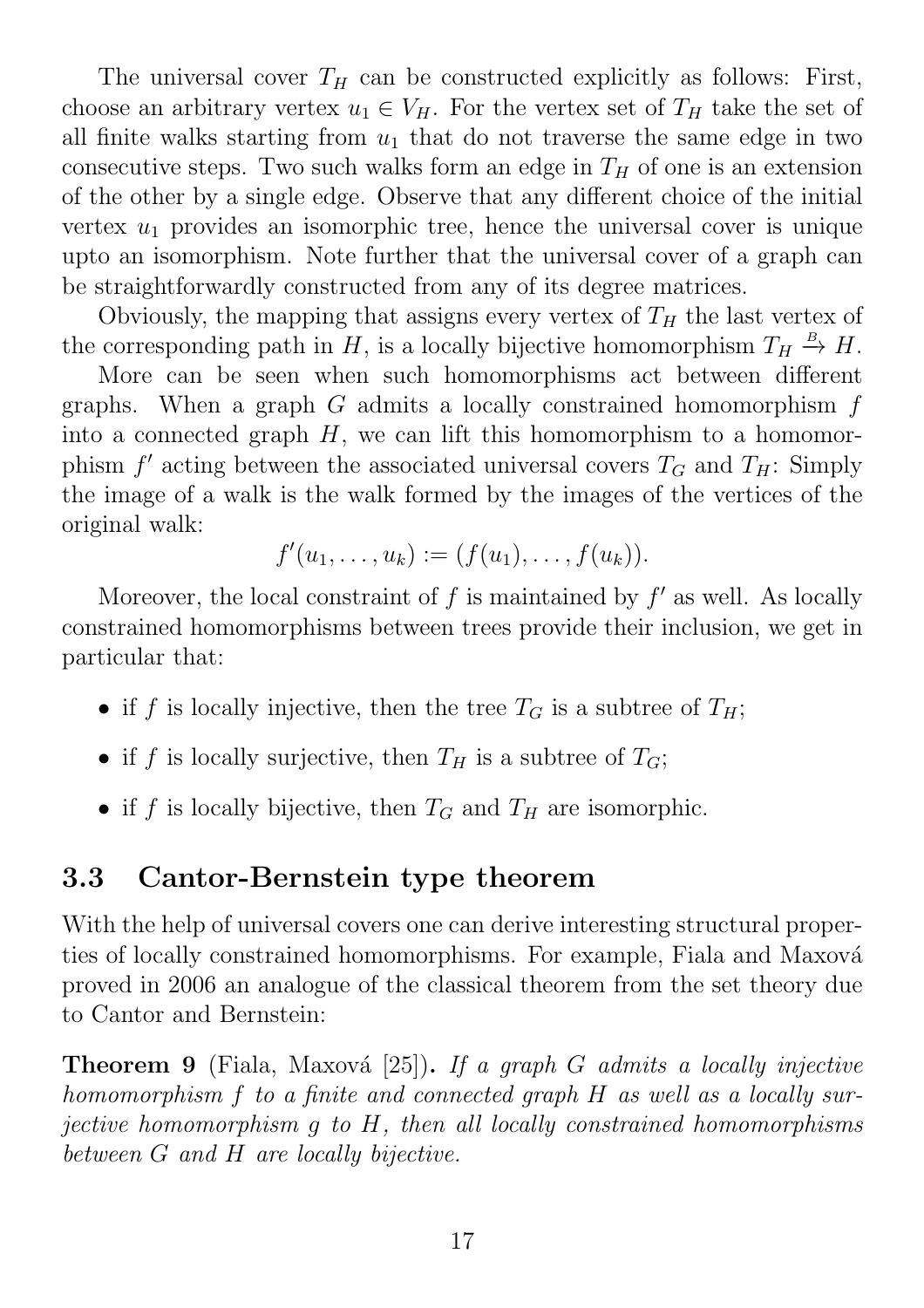The universal cover  $T_H$  can be constructed explicitly as follows: First, choose an arbitrary vertex  $u_1 \in V_H$ . For the vertex set of  $T_H$  take the set of all finite walks starting from  $u_1$  that do not traverse the same edge in two consecutive steps. Two such walks form an edge in  $T_H$  of one is an extension of the other by a single edge. Observe that any different choice of the initial vertex  $u_1$  provides an isomorphic tree, hence the universal cover is unique upto an isomorphism. Note further that the universal cover of a graph can be straightforwardly constructed from any of its degree matrices.

Obviously, the mapping that assigns every vertex of  $T_H$  the last vertex of the corresponding path in H, is a locally bijective homomorphism  $T_H \stackrel{B}{\rightarrow} H$ .

More can be seen when such homomorphisms act between different graphs. When a graph  $G$  admits a locally constrained homomorphism  $f$ into a connected graph  $H$ , we can lift this homomorphism to a homomorphism  $f'$  acting between the associated universal covers  $T_G$  and  $T_H$ : Simply the image of a walk is the walk formed by the images of the vertices of the original walk:

$$
f'(u_1,\ldots,u_k):=(f(u_1),\ldots,f(u_k)).
$$

Moreover, the local constraint of  $f$  is maintained by  $f'$  as well. As locally constrained homomorphisms between trees provide their inclusion, we get in particular that:

- if f is locally injective, then the tree  $T_G$  is a subtree of  $T_H$ ;
- if f is locally surjective, then  $T_H$  is a subtree of  $T_G$ ;
- if f is locally bijective, then  $T_G$  and  $T_H$  are isomorphic.

### 3.3 Cantor-Bernstein type theorem

With the help of universal covers one can derive interesting structural properties of locally constrained homomorphisms. For example, Fiala and Maxová proved in 2006 an analogue of the classical theorem from the set theory due to Cantor and Bernstein:

**Theorem 9** (Fiala, Maxová [25]). If a graph G admits a locally injective homomorphism f to a finite and connected graph H as well as a locally surjective homomorphism g to H, then all locally constrained homomorphisms between G and H are locally bijective.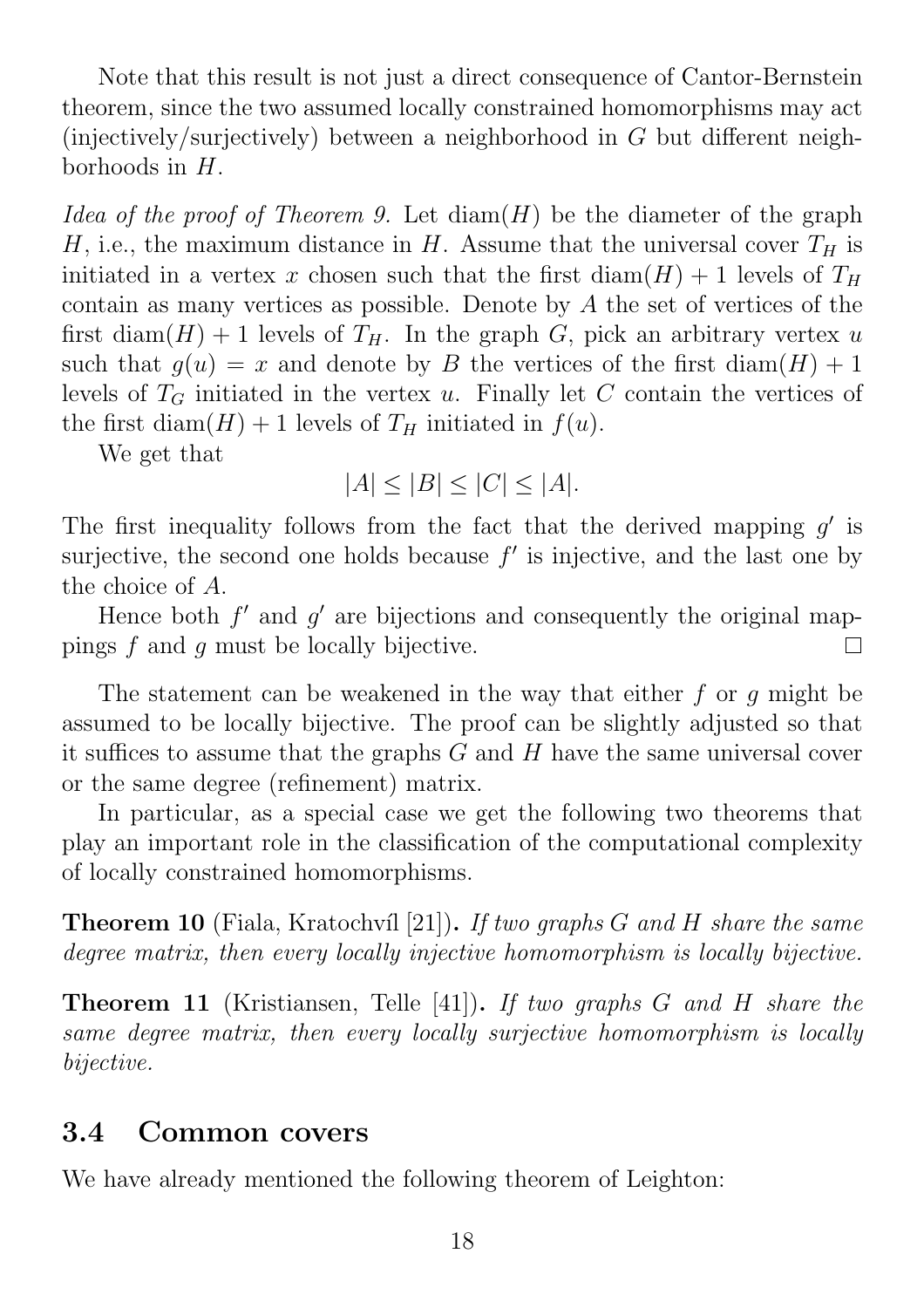Note that this result is not just a direct consequence of Cantor-Bernstein theorem, since the two assumed locally constrained homomorphisms may act (injectively/surjectively) between a neighborhood in G but different neighborhoods in H.

Idea of the proof of Theorem 9. Let  $\text{diam}(H)$  be the diameter of the graph H, i.e., the maximum distance in H. Assume that the universal cover  $T_H$  is initiated in a vertex x chosen such that the first diam( $H$ ) + 1 levels of  $T_H$ contain as many vertices as possible. Denote by A the set of vertices of the first diam(H) + 1 levels of  $T_H$ . In the graph G, pick an arbitrary vertex u such that  $q(u) = x$  and denote by B the vertices of the first diam(H) + 1 levels of  $T_G$  initiated in the vertex u. Finally let C contain the vertices of the first diam( $H$ ) + 1 levels of  $T_H$  initiated in  $f(u)$ .

We get that

$$
|A| \le |B| \le |C| \le |A|.
$$

The first inequality follows from the fact that the derived mapping  $g'$  is surjective, the second one holds because  $f'$  is injective, and the last one by the choice of A.

Hence both  $f'$  and  $g'$  are bijections and consequently the original mappings f and g must be locally bijective.  $\Box$ 

The statement can be weakened in the way that either f or q might be assumed to be locally bijective. The proof can be slightly adjusted so that it suffices to assume that the graphs  $G$  and  $H$  have the same universal cover or the same degree (refinement) matrix.

In particular, as a special case we get the following two theorems that play an important role in the classification of the computational complexity of locally constrained homomorphisms.

**Theorem 10** (Fiala, Kratochvíl [21]). If two graphs G and H share the same degree matrix, then every locally injective homomorphism is locally bijective.

Theorem 11 (Kristiansen, Telle [41]). If two graphs G and H share the same degree matrix, then every locally surjective homomorphism is locally bijective.

#### 3.4 Common covers

We have already mentioned the following theorem of Leighton: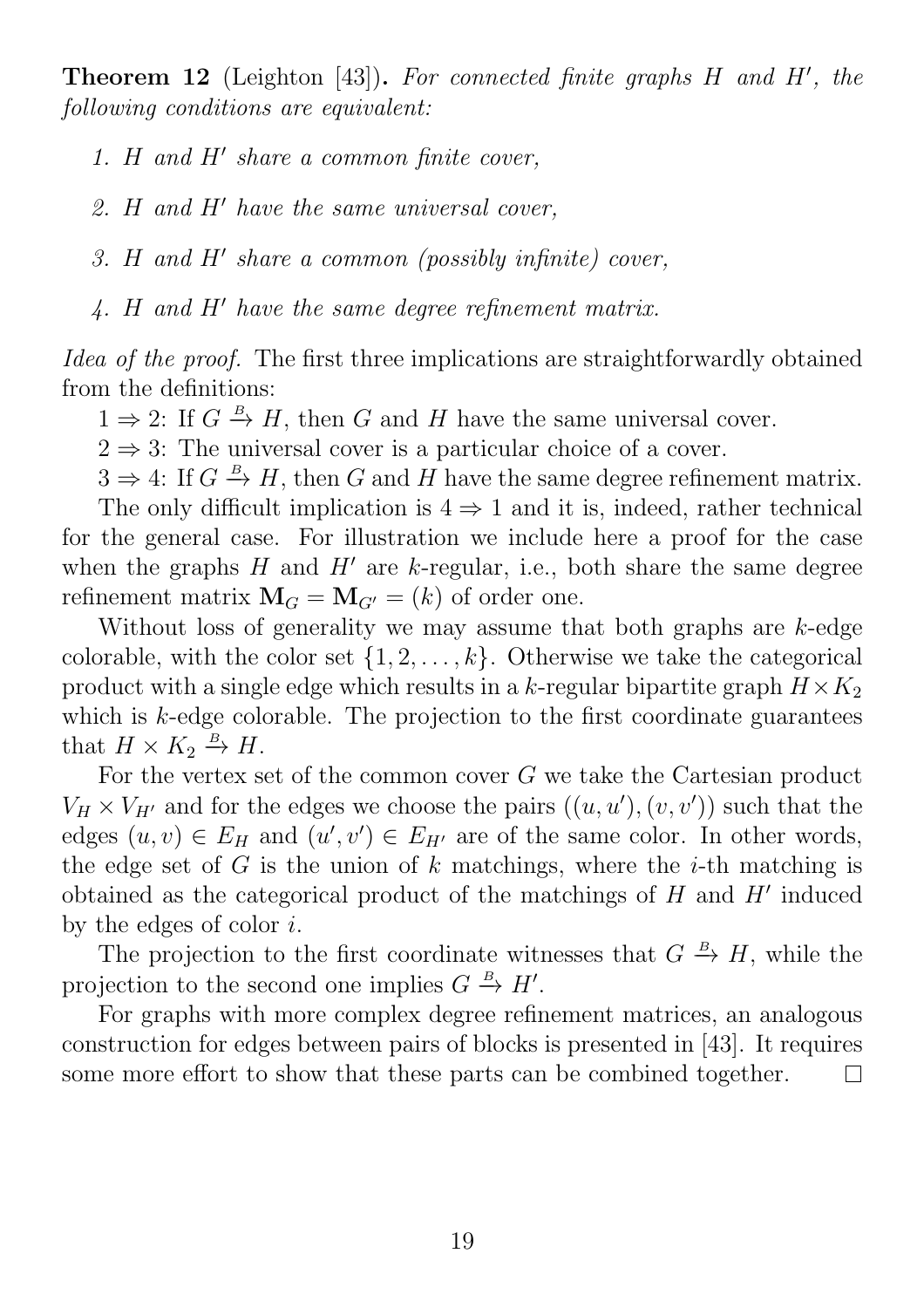**Theorem 12** (Leighton [43]). For connected finite graphs  $H$  and  $H'$ , the following conditions are equivalent:

- 1. H and  $H'$  share a common finite cover,
- 2. H and  $H'$  have the same universal cover,
- $3.$  H and H' share a common (possibly infinite) cover,
- $4.$  H and H' have the same degree refinement matrix.

Idea of the proof. The first three implications are straightforwardly obtained from the definitions:

 $1 \Rightarrow 2$ : If  $G \stackrel{B}{\rightarrow} H$ , then G and H have the same universal cover.

 $2 \Rightarrow 3$ : The universal cover is a particular choice of a cover.

 $3 \Rightarrow 4$ : If  $G \stackrel{B}{\rightarrow} H$ , then G and H have the same degree refinement matrix.

The only difficult implication is  $4 \Rightarrow 1$  and it is, indeed, rather technical for the general case. For illustration we include here a proof for the case when the graphs  $H$  and  $H'$  are k-regular, i.e., both share the same degree refinement matrix  $\mathbf{M}_G = \mathbf{M}_{G'} = (k)$  of order one.

Without loss of generality we may assume that both graphs are  $k$ -edge colorable, with the color set  $\{1, 2, \ldots, k\}$ . Otherwise we take the categorical product with a single edge which results in a k-regular bipartite graph  $H \times K_2$ which is  $k$ -edge colorable. The projection to the first coordinate guarantees that  $H \times K_2 \stackrel{B}{\to} H$ .

For the vertex set of the common cover G we take the Cartesian product  $V_H \times V_{H'}$  and for the edges we choose the pairs  $((u, u'), (v, v'))$  such that the edges  $(u, v) \in E_H$  and  $(u', v') \in E_{H'}$  are of the same color. In other words, the edge set of  $G$  is the union of  $k$  matchings, where the  $i$ -th matching is obtained as the categorical product of the matchings of  $H$  and  $H'$  induced by the edges of color  $i$ .

The projection to the first coordinate witnesses that  $G \stackrel{B}{\to} H$ , while the projection to the second one implies  $G \stackrel{B}{\to} H'$ .

For graphs with more complex degree refinement matrices, an analogous construction for edges between pairs of blocks is presented in [43]. It requires some more effort to show that these parts can be combined together.  $\Box$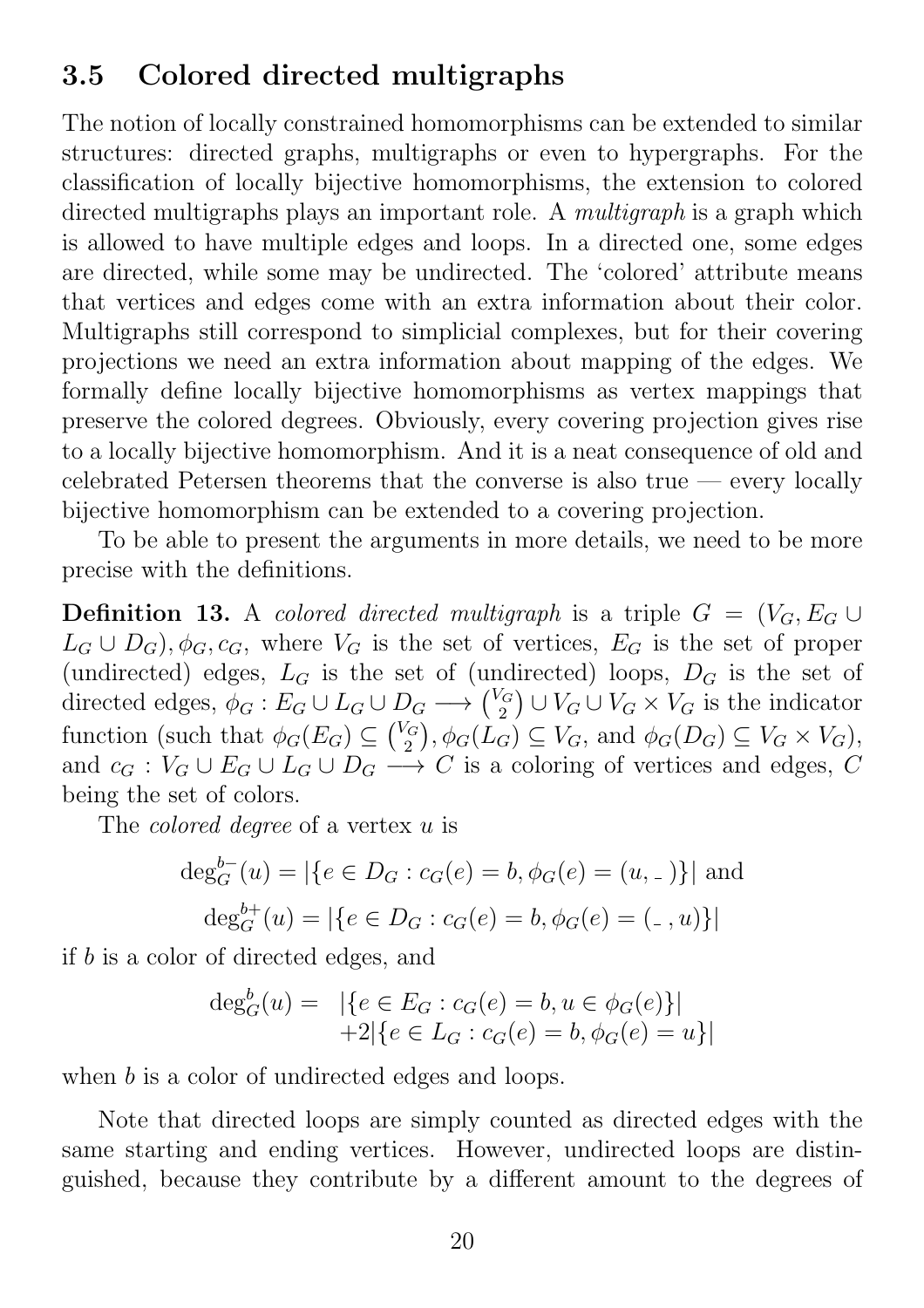### 3.5 Colored directed multigraphs

The notion of locally constrained homomorphisms can be extended to similar structures: directed graphs, multigraphs or even to hypergraphs. For the classification of locally bijective homomorphisms, the extension to colored directed multigraphs plays an important role. A *multigraph* is a graph which is allowed to have multiple edges and loops. In a directed one, some edges are directed, while some may be undirected. The 'colored' attribute means that vertices and edges come with an extra information about their color. Multigraphs still correspond to simplicial complexes, but for their covering projections we need an extra information about mapping of the edges. We formally define locally bijective homomorphisms as vertex mappings that preserve the colored degrees. Obviously, every covering projection gives rise to a locally bijective homomorphism. And it is a neat consequence of old and celebrated Petersen theorems that the converse is also true — every locally bijective homomorphism can be extended to a covering projection.

To be able to present the arguments in more details, we need to be more precise with the definitions.

**Definition 13.** A colored directed multigraph is a triple  $G = (V_G, E_G \cup$  $L_G \cup D_G$ ,  $\phi_G$ ,  $c_G$ , where  $V_G$  is the set of vertices,  $E_G$  is the set of proper (undirected) edges,  $L_G$  is the set of (undirected) loops,  $D_G$  is the set of directed edges,  $\phi_G : E_G \cup L_G \cup D_G \longrightarrow \binom{V_G}{2}$  $\binom{G}{2} \cup V_G \cup V_G \times V_G$  is the indicator function (such that  $\phi_G(E_G) \subseteq {V_G \choose 2}$  $\psi_2^{G}$ ,  $\phi_G(L_G) \subseteq V_G$ , and  $\phi_G(D_G) \subseteq V_G \times V_G$ , and  $c_G : V_G \cup E_G \cup L_G \cup D_G \longrightarrow C$  is a coloring of vertices and edges, C being the set of colors.

The *colored degree* of a vertex u is

$$
\deg_G^{b-}(u) = |\{e \in D_G : c_G(e) = b, \phi_G(e) = (u, \_)\}|
$$
and  

$$
\deg_G^{b+}(u) = |\{e \in D_G : c_G(e) = b, \phi_G(e) = (\_ , u)\}|
$$

if b is a color of directed edges, and

$$
\deg_G^b(u) = \left| \{ e \in E_G : c_G(e) = b, u \in \phi_G(e) \} \right|
$$
  
+2 $\left| \{ e \in L_G : c_G(e) = b, \phi_G(e) = u \} \right|$ 

when b is a color of undirected edges and loops.

Note that directed loops are simply counted as directed edges with the same starting and ending vertices. However, undirected loops are distinguished, because they contribute by a different amount to the degrees of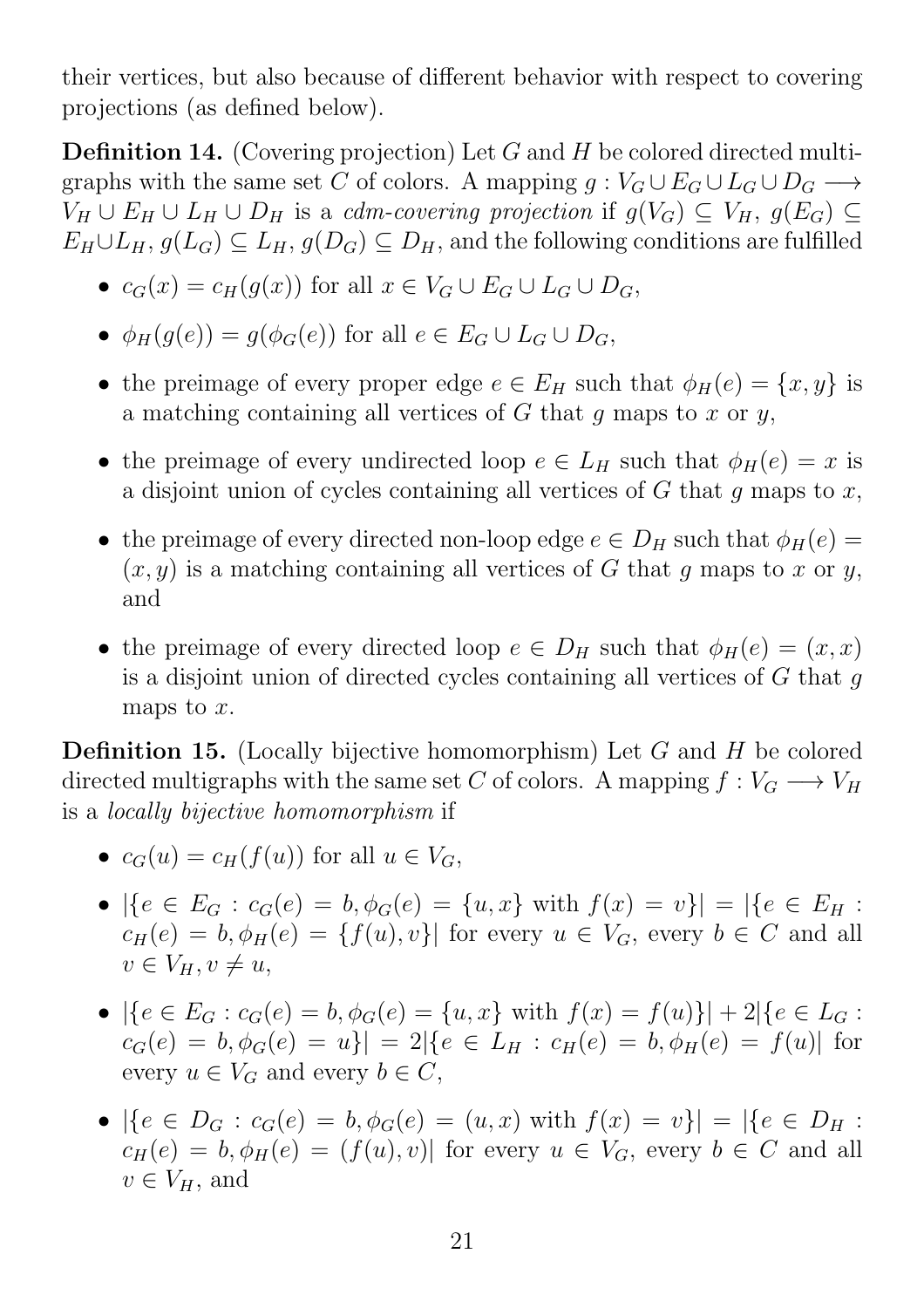their vertices, but also because of different behavior with respect to covering projections (as defined below).

**Definition 14.** (Covering projection) Let G and H be colored directed multigraphs with the same set C of colors. A mapping  $g: V_G \cup E_G \cup L_G \cup D_G \longrightarrow$  $V_H \cup E_H \cup L_H \cup D_H$  is a cdm-covering projection if  $g(V_G) \subseteq V_H$ ,  $g(E_G) \subseteq$  $E_H \cup L_H$ ,  $g(L_G) \subseteq L_H$ ,  $g(D_G) \subseteq D_H$ , and the following conditions are fulfilled

- $c_G(x) = c_H(g(x))$  for all  $x \in V_G \cup E_G \cup L_G \cup D_G$ ,
- $\phi_H(g(e)) = g(\phi_G(e))$  for all  $e \in E_G \cup L_G \cup D_G$ ,
- the preimage of every proper edge  $e \in E_H$  such that  $\phi_H(e) = \{x, y\}$  is a matching containing all vertices of  $G$  that  $q$  maps to  $x$  or  $y$ ,
- the preimage of every undirected loop  $e \in L_H$  such that  $\phi_H(e) = x$  is a disjoint union of cycles containing all vertices of  $G$  that  $q$  maps to  $x$ ,
- the preimage of every directed non-loop edge  $e \in D_H$  such that  $\phi_H(e) =$  $(x, y)$  is a matching containing all vertices of G that q maps to x or y, and
- the preimage of every directed loop  $e \in D_H$  such that  $\phi_H(e) = (x, x)$ is a disjoint union of directed cycles containing all vertices of  $G$  that  $g$ maps to  $x$ .

**Definition 15.** (Locally bijective homomorphism) Let  $G$  and  $H$  be colored directed multigraphs with the same set C of colors. A mapping  $f: V_G \longrightarrow V_H$ is a locally bijective homomorphism if

- $c_G(u) = c_H(f(u))$  for all  $u \in V_G$ ,
- $|\{e \in E_G : c_G(e) = b, \phi_G(e) = \{u, x\} \text{ with } f(x) = v\}| = |\{e \in E_H :$  $c_H(e) = b, \phi_H(e) = \{f(u), v\}$  for every  $u \in V_G$ , every  $b \in C$  and all  $v \in V_H, v \neq u$ ,
- $|\{e \in E_G : c_G(e) = b, \phi_G(e) = \{u, x\} \text{ with } f(x) = f(u)\}| + 2|\{e \in L_G : c_G(e) = \{u, x\}\}|$  $c_G(e) = b, \phi_G(e) = u\}| = 2|\{e \in L_H : c_H(e) = b, \phi_H(e) = f(u)|$  for every  $u \in V_G$  and every  $b \in C$ ,
- $|\{e \in D_G : c_G(e) = b, \phi_G(e) = (u, x) \text{ with } f(x) = v\}| = |\{e \in D_H :$  $c_H(e) = b, \phi_H(e) = (f(u), v)$  for every  $u \in V_G$ , every  $b \in C$  and all  $v \in V_H$ , and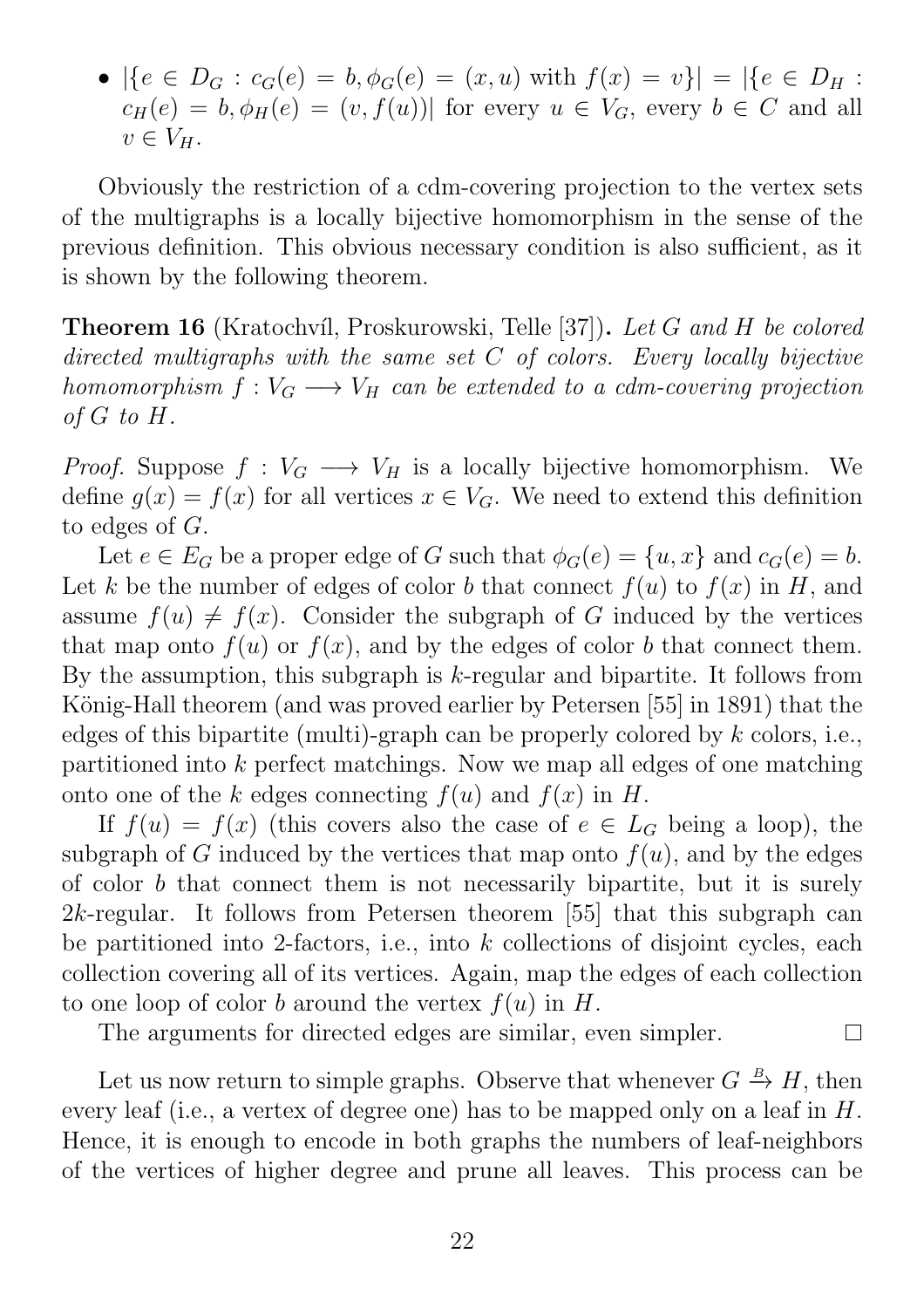•  $|\{e \in D_G : c_G(e) = b, \phi_G(e) = (x, u) \text{ with } f(x) = v\}| = |\{e \in D_H :$  $c_H(e) = b, \phi_H(e) = (v, f(u))$  for every  $u \in V_G$ , every  $b \in C$  and all  $v \in V_H$ .

Obviously the restriction of a cdm-covering projection to the vertex sets of the multigraphs is a locally bijective homomorphism in the sense of the previous definition. This obvious necessary condition is also sufficient, as it is shown by the following theorem.

**Theorem 16** (Kratochvíl, Proskurowski, Telle [37]). Let G and H be colored directed multigraphs with the same set  $C$  of colors. Every locally bijective homomorphism  $f: V_G \longrightarrow V_H$  can be extended to a cdm-covering projection of G to H.

*Proof.* Suppose  $f: V_G \longrightarrow V_H$  is a locally bijective homomorphism. We define  $g(x) = f(x)$  for all vertices  $x \in V_G$ . We need to extend this definition to edges of G.

Let  $e \in E_G$  be a proper edge of G such that  $\phi_G(e) = \{u, x\}$  and  $c_G(e) = b$ . Let k be the number of edges of color b that connect  $f(u)$  to  $f(x)$  in H, and assume  $f(u) \neq f(x)$ . Consider the subgraph of G induced by the vertices that map onto  $f(u)$  or  $f(x)$ , and by the edges of color b that connect them. By the assumption, this subgraph is  $k$ -regular and bipartite. It follows from König-Hall theorem (and was proved earlier by Petersen [55] in 1891) that the edges of this bipartite (multi)-graph can be properly colored by  $k$  colors, i.e., partitioned into k perfect matchings. Now we map all edges of one matching onto one of the k edges connecting  $f(u)$  and  $f(x)$  in H.

If  $f(u) = f(x)$  (this covers also the case of  $e \in L_G$  being a loop), the subgraph of G induced by the vertices that map onto  $f(u)$ , and by the edges of color b that connect them is not necessarily bipartite, but it is surely 2k-regular. It follows from Petersen theorem [55] that this subgraph can be partitioned into 2-factors, i.e., into  $k$  collections of disjoint cycles, each collection covering all of its vertices. Again, map the edges of each collection to one loop of color b around the vertex  $f(u)$  in H.

The arguments for directed edges are similar, even simpler.

Let us now return to simple graphs. Observe that whenever  $G \stackrel{B}{\to} H$ , then every leaf (i.e., a vertex of degree one) has to be mapped only on a leaf in H. Hence, it is enough to encode in both graphs the numbers of leaf-neighbors of the vertices of higher degree and prune all leaves. This process can be

 $\Box$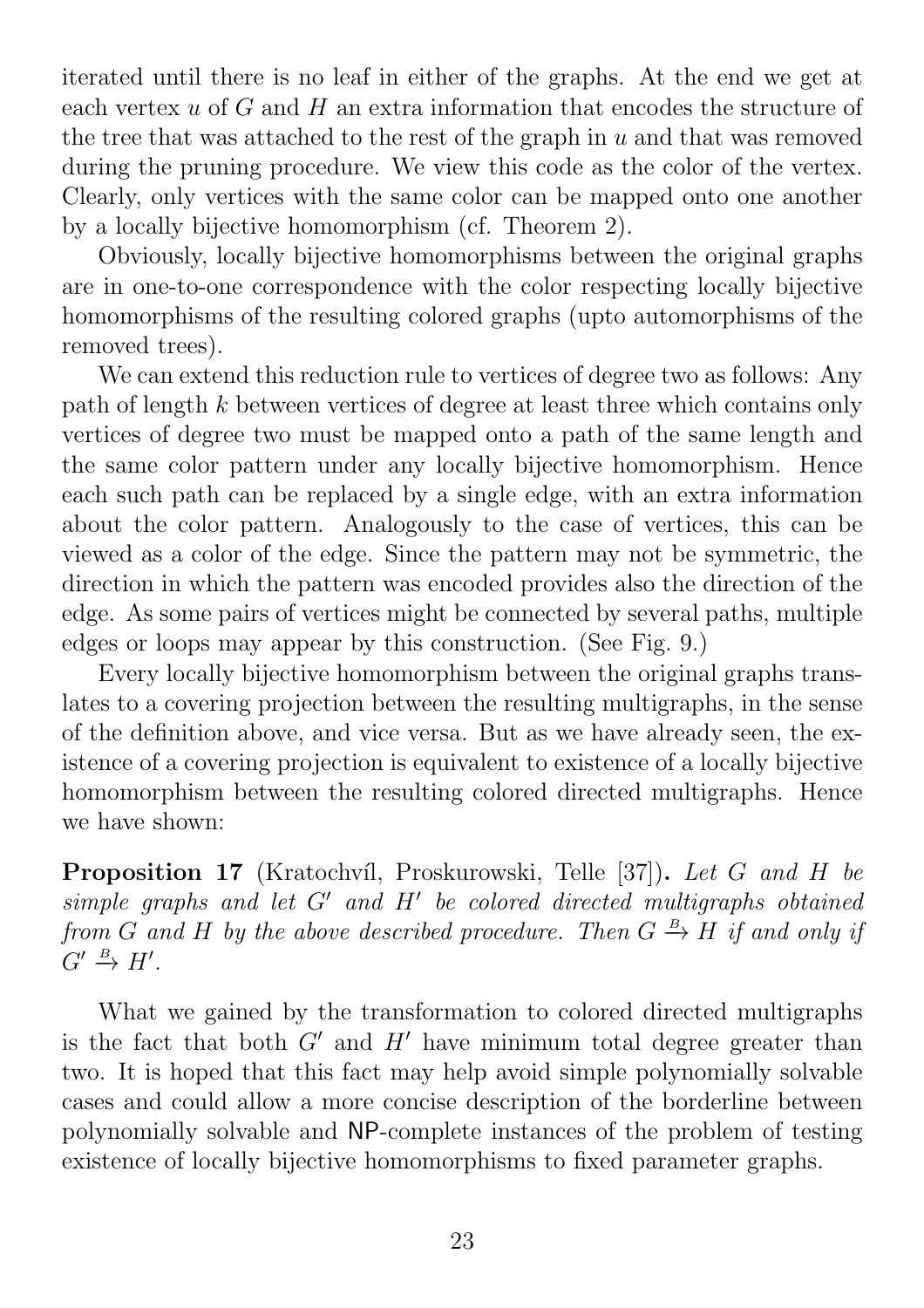iterated until there is no leaf in either of the graphs. At the end we get at each vertex  $u$  of  $G$  and  $H$  an extra information that encodes the structure of the tree that was attached to the rest of the graph in  $u$  and that was removed during the pruning procedure. We view this code as the color of the vertex. Clearly, only vertices with the same color can be mapped onto one another by a locally bijective homomorphism (cf. Theorem 2).

Obviously, locally bijective homomorphisms between the original graphs are in one-to-one correspondence with the color respecting locally bijective homomorphisms of the resulting colored graphs (upto automorphisms of the removed trees).

We can extend this reduction rule to vertices of degree two as follows: Any path of length k between vertices of degree at least three which contains only vertices of degree two must be mapped onto a path of the same length and the same color pattern under any locally bijective homomorphism. Hence each such path can be replaced by a single edge, with an extra information about the color pattern. Analogously to the case of vertices, this can be viewed as a color of the edge. Since the pattern may not be symmetric, the direction in which the pattern was encoded provides also the direction of the edge. As some pairs of vertices might be connected by several paths, multiple edges or loops may appear by this construction. (See Fig. 9.)

Every locally bijective homomorphism between the original graphs translates to a covering projection between the resulting multigraphs, in the sense of the definition above, and vice versa. But as we have already seen, the existence of a covering projection is equivalent to existence of a locally bijective homomorphism between the resulting colored directed multigraphs. Hence we have shown:

Proposition 17 (Kratochvíl, Proskurowski, Telle [37]). Let G and H be  $simple\ graphs\ and\ let\ G'\ and\ H'\ be\ colored\ directed\ multigraphs\ obtained$ from G and H by the above described procedure. Then  $G \stackrel{B}{\rightarrow} H$  if and only if  $G' \stackrel{B}{\rightarrow} H'.$ 

What we gained by the transformation to colored directed multigraphs is the fact that both  $G'$  and  $H'$  have minimum total degree greater than two. It is hoped that this fact may help avoid simple polynomially solvable cases and could allow a more concise description of the borderline between polynomially solvable and NP-complete instances of the problem of testing existence of locally bijective homomorphisms to fixed parameter graphs.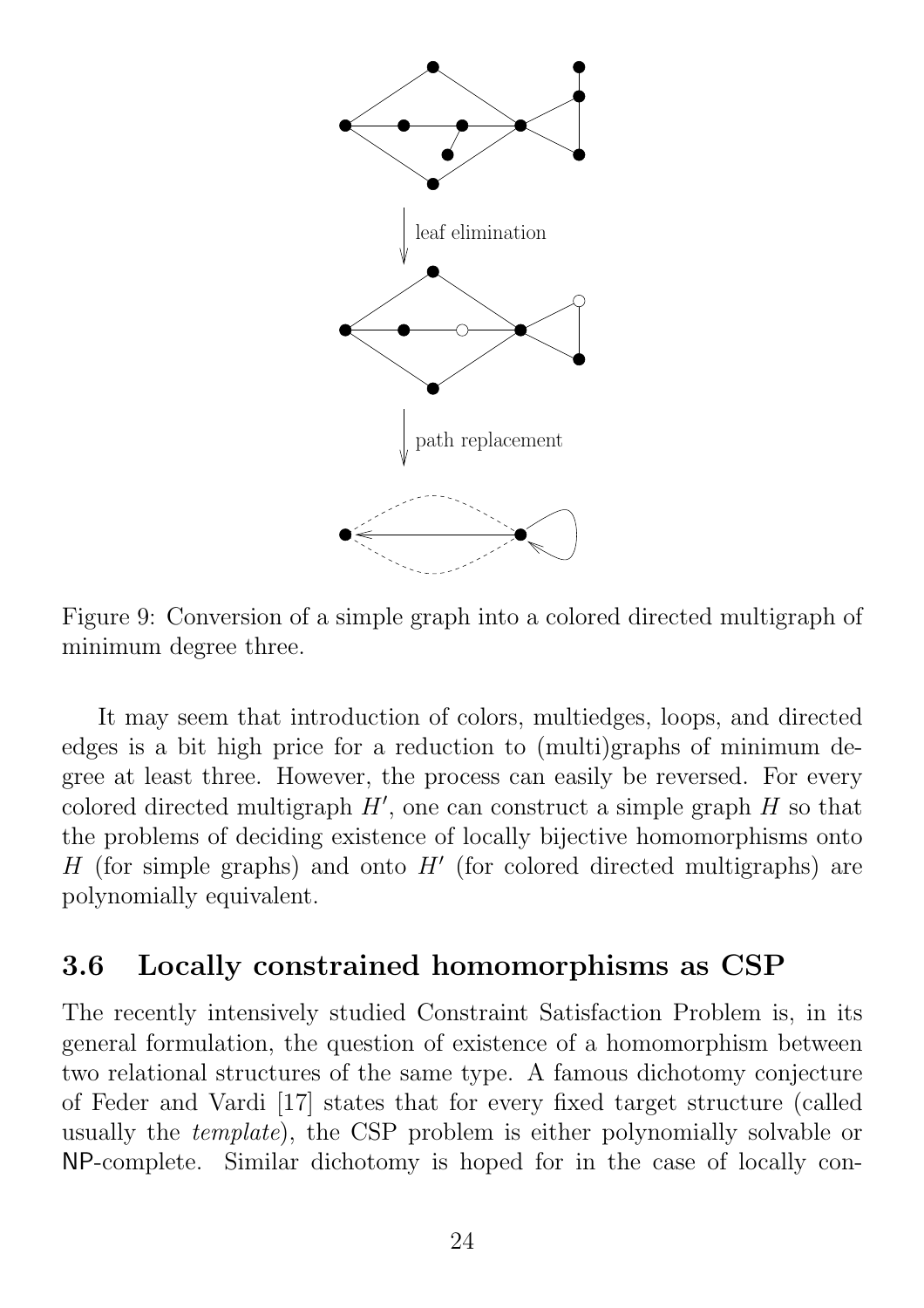

Figure 9: Conversion of a simple graph into a colored directed multigraph of minimum degree three.

It may seem that introduction of colors, multiedges, loops, and directed edges is a bit high price for a reduction to (multi)graphs of minimum degree at least three. However, the process can easily be reversed. For every colored directed multigraph  $H'$ , one can construct a simple graph  $H$  so that the problems of deciding existence of locally bijective homomorphisms onto H (for simple graphs) and onto  $H'$  (for colored directed multigraphs) are polynomially equivalent.

#### 3.6 Locally constrained homomorphisms as CSP

The recently intensively studied Constraint Satisfaction Problem is, in its general formulation, the question of existence of a homomorphism between two relational structures of the same type. A famous dichotomy conjecture of Feder and Vardi [17] states that for every fixed target structure (called usually the template), the CSP problem is either polynomially solvable or NP-complete. Similar dichotomy is hoped for in the case of locally con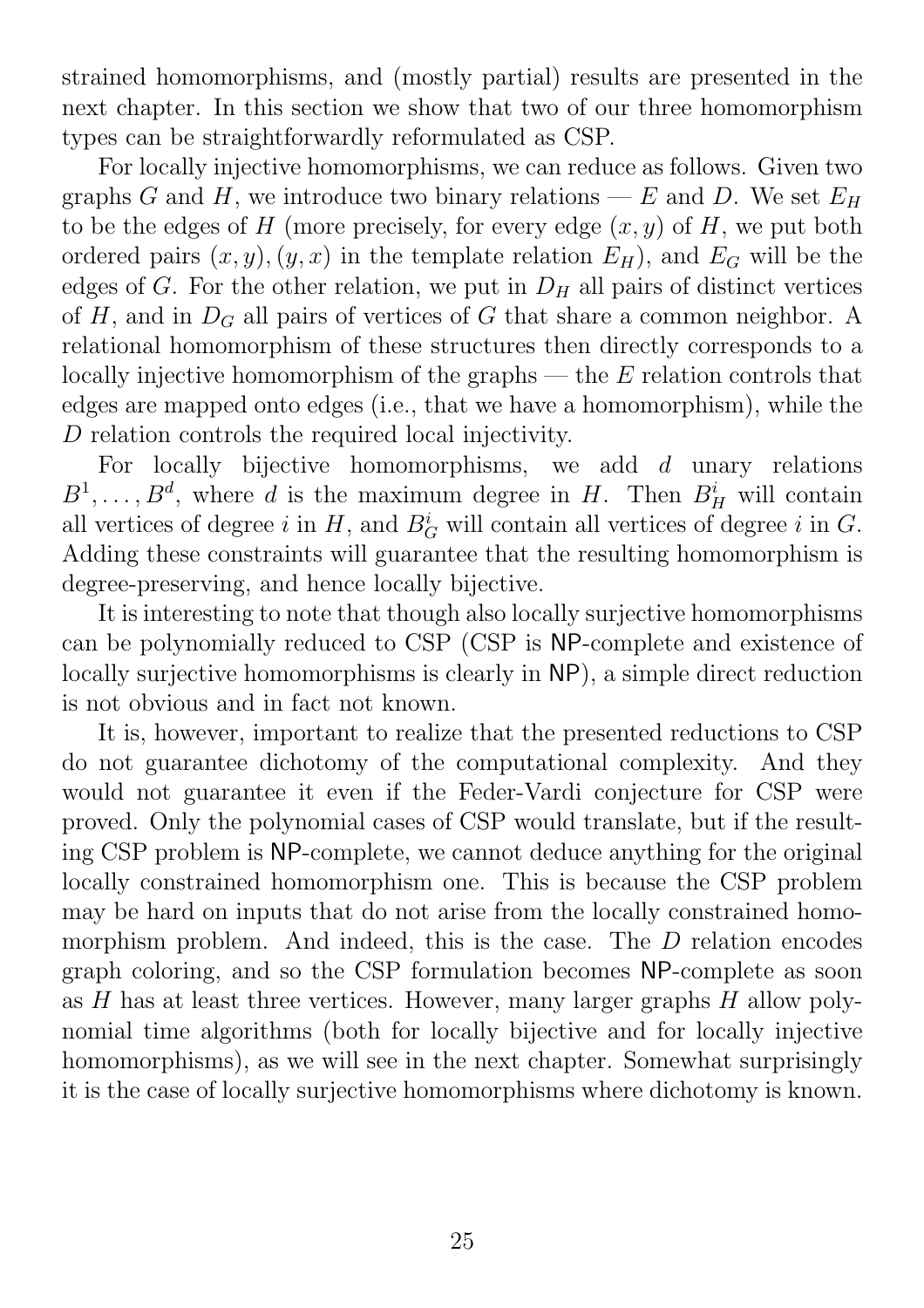strained homomorphisms, and (mostly partial) results are presented in the next chapter. In this section we show that two of our three homomorphism types can be straightforwardly reformulated as CSP.

For locally injective homomorphisms, we can reduce as follows. Given two graphs G and H, we introduce two binary relations — E and D. We set  $E_H$ to be the edges of H (more precisely, for every edge  $(x, y)$  of H, we put both ordered pairs  $(x, y), (y, x)$  in the template relation  $E_H$ ), and  $E_G$  will be the edges of G. For the other relation, we put in  $D_H$  all pairs of distinct vertices of H, and in  $D_G$  all pairs of vertices of G that share a common neighbor. A relational homomorphism of these structures then directly corresponds to a locally injective homomorphism of the graphs  $-$  the  $E$  relation controls that edges are mapped onto edges (i.e., that we have a homomorphism), while the D relation controls the required local injectivity.

For locally bijective homomorphisms, we add  $d$  unary relations  $B^1, \ldots, B^d$ , where d is the maximum degree in H. Then  $B_H^i$  will contain all vertices of degree i in  $H$ , and  $B_G^i$  will contain all vertices of degree i in  $G$ . Adding these constraints will guarantee that the resulting homomorphism is degree-preserving, and hence locally bijective.

It is interesting to note that though also locally surjective homomorphisms can be polynomially reduced to CSP (CSP is NP-complete and existence of locally surjective homomorphisms is clearly in NP), a simple direct reduction is not obvious and in fact not known.

It is, however, important to realize that the presented reductions to CSP do not guarantee dichotomy of the computational complexity. And they would not guarantee it even if the Feder-Vardi conjecture for CSP were proved. Only the polynomial cases of CSP would translate, but if the resulting CSP problem is NP-complete, we cannot deduce anything for the original locally constrained homomorphism one. This is because the CSP problem may be hard on inputs that do not arise from the locally constrained homomorphism problem. And indeed, this is the case. The D relation encodes graph coloring, and so the CSP formulation becomes NP-complete as soon as  $H$  has at least three vertices. However, many larger graphs  $H$  allow polynomial time algorithms (both for locally bijective and for locally injective homomorphisms), as we will see in the next chapter. Somewhat surprisingly it is the case of locally surjective homomorphisms where dichotomy is known.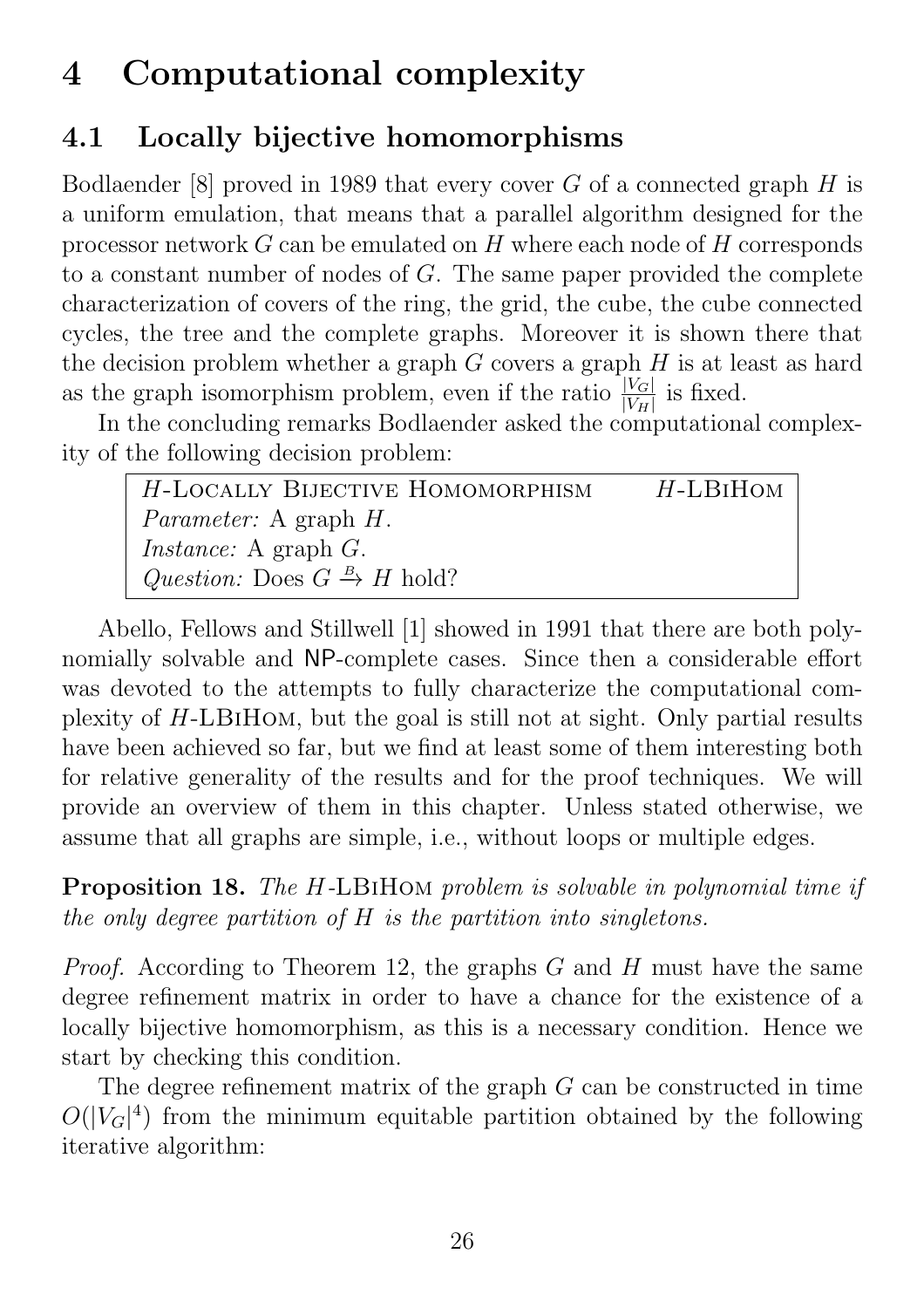# 4 Computational complexity

# 4.1 Locally bijective homomorphisms

Bodlaender [8] proved in 1989 that every cover  $G$  of a connected graph  $H$  is a uniform emulation, that means that a parallel algorithm designed for the processor network G can be emulated on H where each node of H corresponds to a constant number of nodes of G. The same paper provided the complete characterization of covers of the ring, the grid, the cube, the cube connected cycles, the tree and the complete graphs. Moreover it is shown there that the decision problem whether a graph  $G$  covers a graph  $H$  is at least as hard as the graph isomorphism problem, even if the ratio  $\frac{|V_G|}{|V_H|}$  is fixed.

In the concluding remarks Bodlaender asked the computational complexity of the following decision problem:

| H-LOCALLY BIJECTIVE HOMOMORPHISM                     | $H$ -LBIHOM |
|------------------------------------------------------|-------------|
| <i>Parameter:</i> A graph <i>H</i> .                 |             |
| <i>Instance:</i> A graph $G$ .                       |             |
| Question: Does $G \stackrel{B}{\rightarrow} H$ hold? |             |

Abello, Fellows and Stillwell [1] showed in 1991 that there are both polynomially solvable and NP-complete cases. Since then a considerable effort was devoted to the attempts to fully characterize the computational complexity of H-LBiHom, but the goal is still not at sight. Only partial results have been achieved so far, but we find at least some of them interesting both for relative generality of the results and for the proof techniques. We will provide an overview of them in this chapter. Unless stated otherwise, we assume that all graphs are simple, i.e., without loops or multiple edges.

Proposition 18. The H-LBiHom problem is solvable in polynomial time if the only degree partition of H is the partition into singletons.

*Proof.* According to Theorem 12, the graphs  $G$  and  $H$  must have the same degree refinement matrix in order to have a chance for the existence of a locally bijective homomorphism, as this is a necessary condition. Hence we start by checking this condition.

The degree refinement matrix of the graph G can be constructed in time  $O(|V_G|^4)$  from the minimum equitable partition obtained by the following iterative algorithm: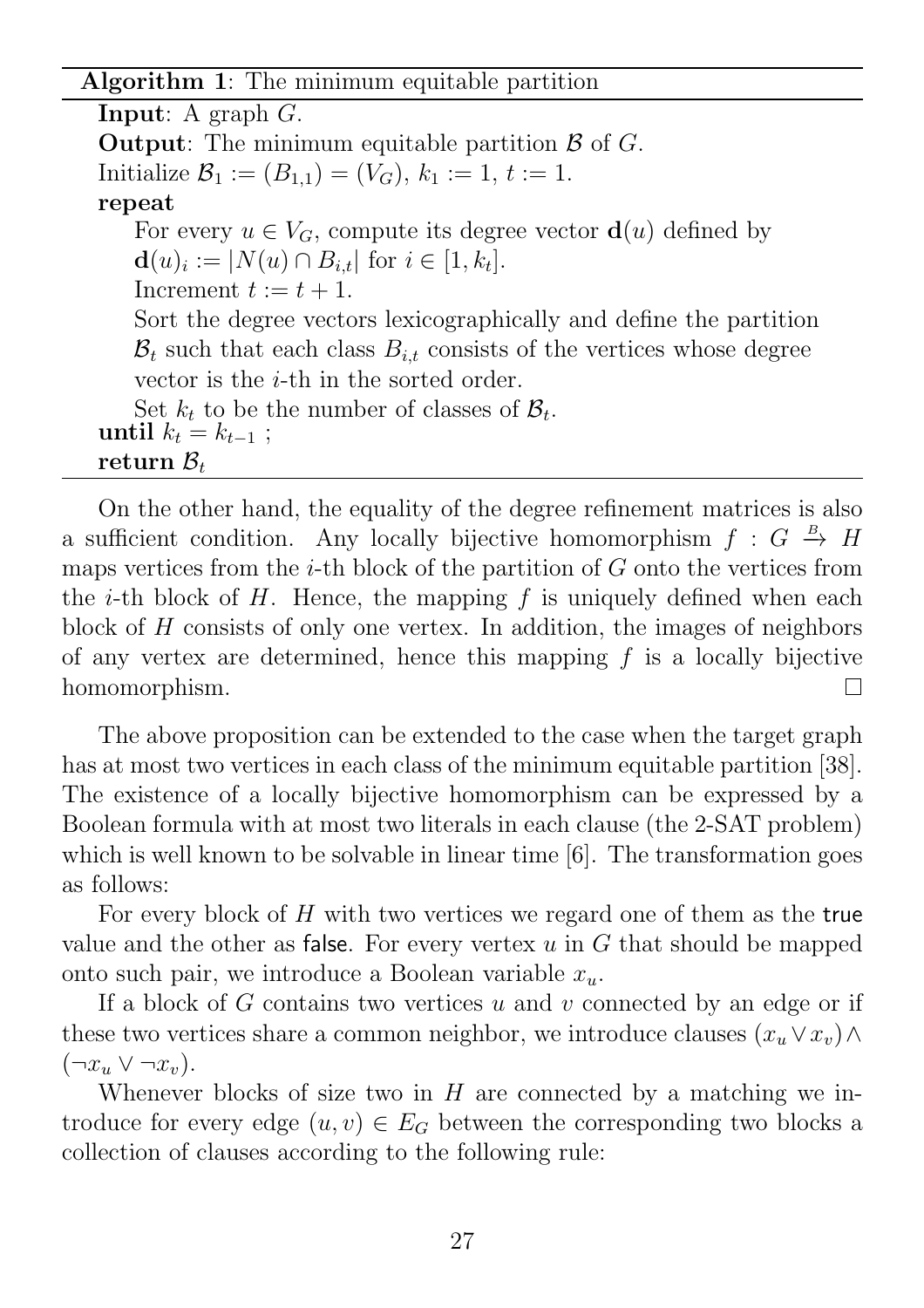#### Algorithm 1: The minimum equitable partition

**Input:** A graph  $G$ . **Output:** The minimum equitable partition  $\beta$  of  $G$ . Initialize  $\mathcal{B}_1 := (B_{1,1}) = (V_G)$ ,  $k_1 := 1$ ,  $t := 1$ . repeat For every  $u \in V_G$ , compute its degree vector  $\mathbf{d}(u)$  defined by  $\mathbf{d}(u)_i := |N(u) \cap B_{i,t}| \text{ for } i \in [1, k_t].$ Increment  $t := t + 1$ . Sort the degree vectors lexicographically and define the partition  $\mathcal{B}_t$  such that each class  $B_{i,t}$  consists of the vertices whose degree vector is the *i*-th in the sorted order. Set  $k_t$  to be the number of classes of  $\mathcal{B}_t$ . until  $k_t = k_{t-1}$ ; return  $\mathcal{B}_t$ 

On the other hand, the equality of the degree refinement matrices is also a sufficient condition. Any locally bijective homomorphism  $f: G \stackrel{B}{\to} H$ maps vertices from the  $i$ -th block of the partition of  $G$  onto the vertices from the *i*-th block of  $H$ . Hence, the mapping  $f$  is uniquely defined when each block of H consists of only one vertex. In addition, the images of neighbors of any vertex are determined, hence this mapping  $f$  is a locally bijective homomorphism. П

The above proposition can be extended to the case when the target graph has at most two vertices in each class of the minimum equitable partition [38]. The existence of a locally bijective homomorphism can be expressed by a Boolean formula with at most two literals in each clause (the 2-SAT problem) which is well known to be solvable in linear time [6]. The transformation goes as follows:

For every block of H with two vertices we regard one of them as the true value and the other as false. For every vertex  $u$  in  $G$  that should be mapped onto such pair, we introduce a Boolean variable  $x_u$ .

If a block of  $G$  contains two vertices  $u$  and  $v$  connected by an edge or if these two vertices share a common neighbor, we introduce clauses  $(x_u \vee x_v) \wedge$  $(\neg x_u \lor \neg x_v).$ 

Whenever blocks of size two in  $H$  are connected by a matching we introduce for every edge  $(u, v) \in E_G$  between the corresponding two blocks a collection of clauses according to the following rule: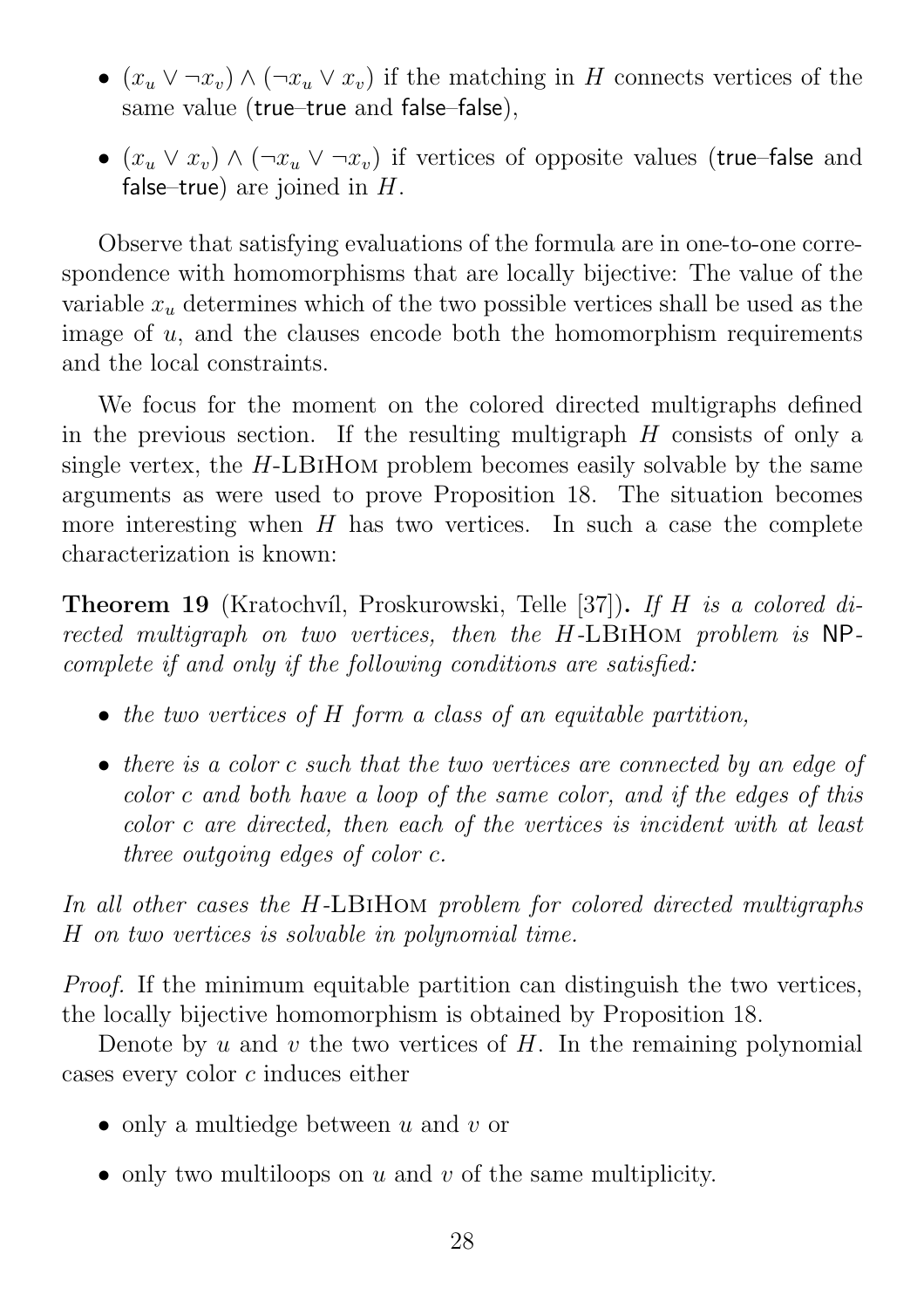- $(x_u \vee \neg x_v) \wedge (\neg x_u \vee x_v)$  if the matching in H connects vertices of the same value (true–true and false–false),
- $(x_u \vee x_v) \wedge (\neg x_u \vee \neg x_v)$  if vertices of opposite values (true–false and false–true) are joined in  $H$ .

Observe that satisfying evaluations of the formula are in one-to-one correspondence with homomorphisms that are locally bijective: The value of the variable  $x_u$  determines which of the two possible vertices shall be used as the image of  $u$ , and the clauses encode both the homomorphism requirements and the local constraints.

We focus for the moment on the colored directed multigraphs defined in the previous section. If the resulting multigraph  $H$  consists of only a single vertex, the  $H$ -LBIHOM problem becomes easily solvable by the same arguments as were used to prove Proposition 18. The situation becomes more interesting when  $H$  has two vertices. In such a case the complete characterization is known:

**Theorem 19** (Kratochvíl, Proskurowski, Telle [37]). If H is a colored directed multigraph on two vertices, then the H-LBIHOM problem is NPcomplete if and only if the following conditions are satisfied:

- the two vertices of H form a class of an equitable partition,
- there is a color c such that the two vertices are connected by an edge of color c and both have a loop of the same color, and if the edges of this color c are directed, then each of the vertices is incident with at least three outgoing edges of color c.

In all other cases the H-LBiHom problem for colored directed multigraphs H on two vertices is solvable in polynomial time.

Proof. If the minimum equitable partition can distinguish the two vertices, the locally bijective homomorphism is obtained by Proposition 18.

Denote by u and v the two vertices of  $H$ . In the remaining polynomial cases every color c induces either

- only a multiedge between  $u$  and  $v$  or
- only two multiloops on  $u$  and  $v$  of the same multiplicity.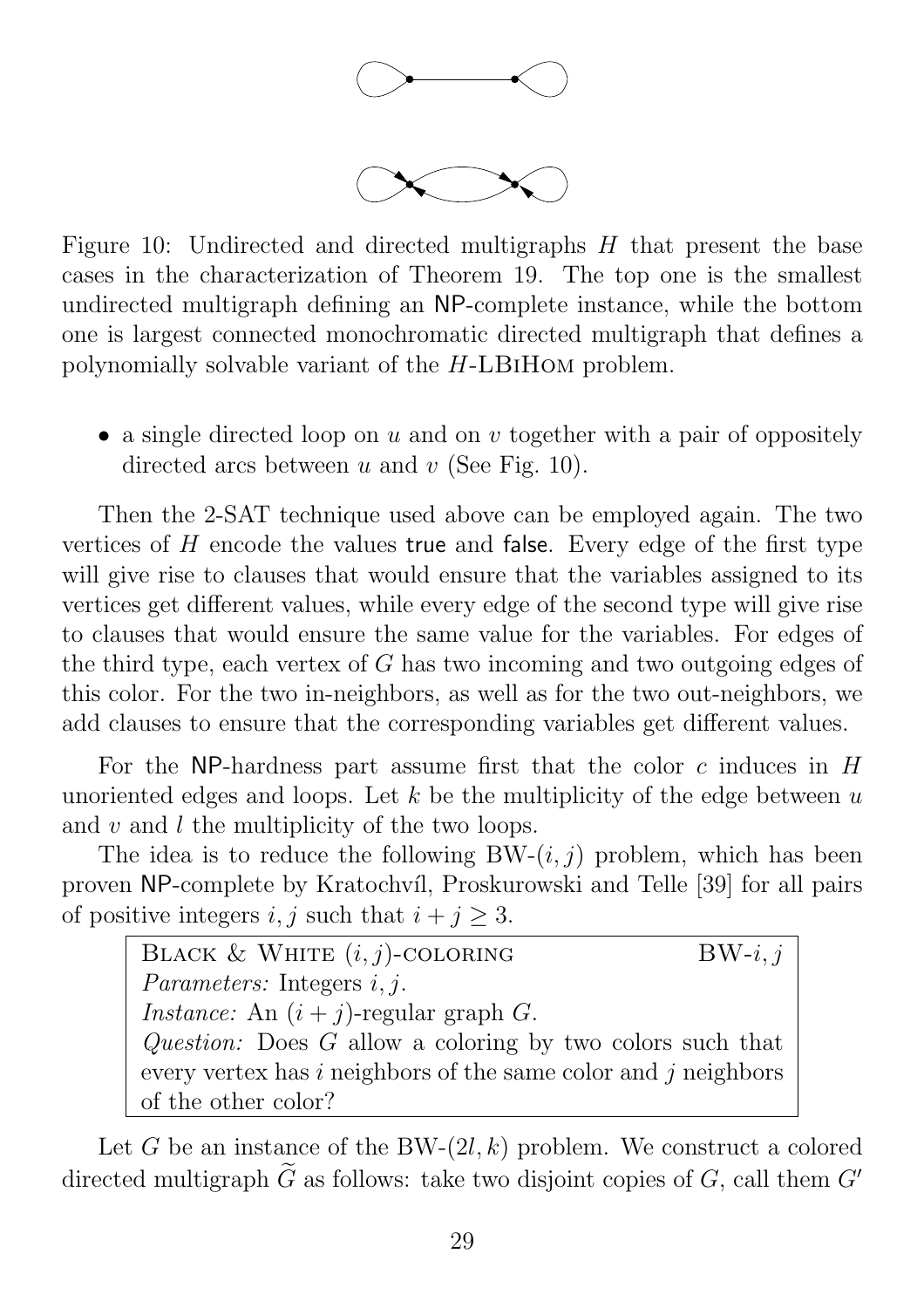

Figure 10: Undirected and directed multigraphs H that present the base cases in the characterization of Theorem 19. The top one is the smallest undirected multigraph defining an NP-complete instance, while the bottom one is largest connected monochromatic directed multigraph that defines a polynomially solvable variant of the H-LBiHom problem.

• a single directed loop on u and on v together with a pair of oppositely directed arcs between u and v (See Fig. 10).

Then the 2-SAT technique used above can be employed again. The two vertices of  $H$  encode the values true and false. Every edge of the first type will give rise to clauses that would ensure that the variables assigned to its vertices get different values, while every edge of the second type will give rise to clauses that would ensure the same value for the variables. For edges of the third type, each vertex of  $G$  has two incoming and two outgoing edges of this color. For the two in-neighbors, as well as for the two out-neighbors, we add clauses to ensure that the corresponding variables get different values.

For the NP-hardness part assume first that the color c induces in  $H$ unoriented edges and loops. Let  $k$  be the multiplicity of the edge between  $u$ and  $v$  and  $l$  the multiplicity of the two loops.

The idea is to reduce the following  $BW-(i, j)$  problem, which has been proven NP-complete by Kratochvíl, Proskurowski and Telle [39] for all pairs of positive integers i, j such that  $i + j \geq 3$ .

BLACK & WHITE  $(i, j)$ -COLORING BW- $i, j$ Parameters: Integers  $i, j$ . *Instance:* An  $(i + j)$ -regular graph G. Question: Does G allow a coloring by two colors such that every vertex has  $i$  neighbors of the same color and  $j$  neighbors of the other color?

Let G be an instance of the BW- $(2l, k)$  problem. We construct a colored directed multigraph  $\tilde{G}$  as follows: take two disjoint copies of G, call them  $G'$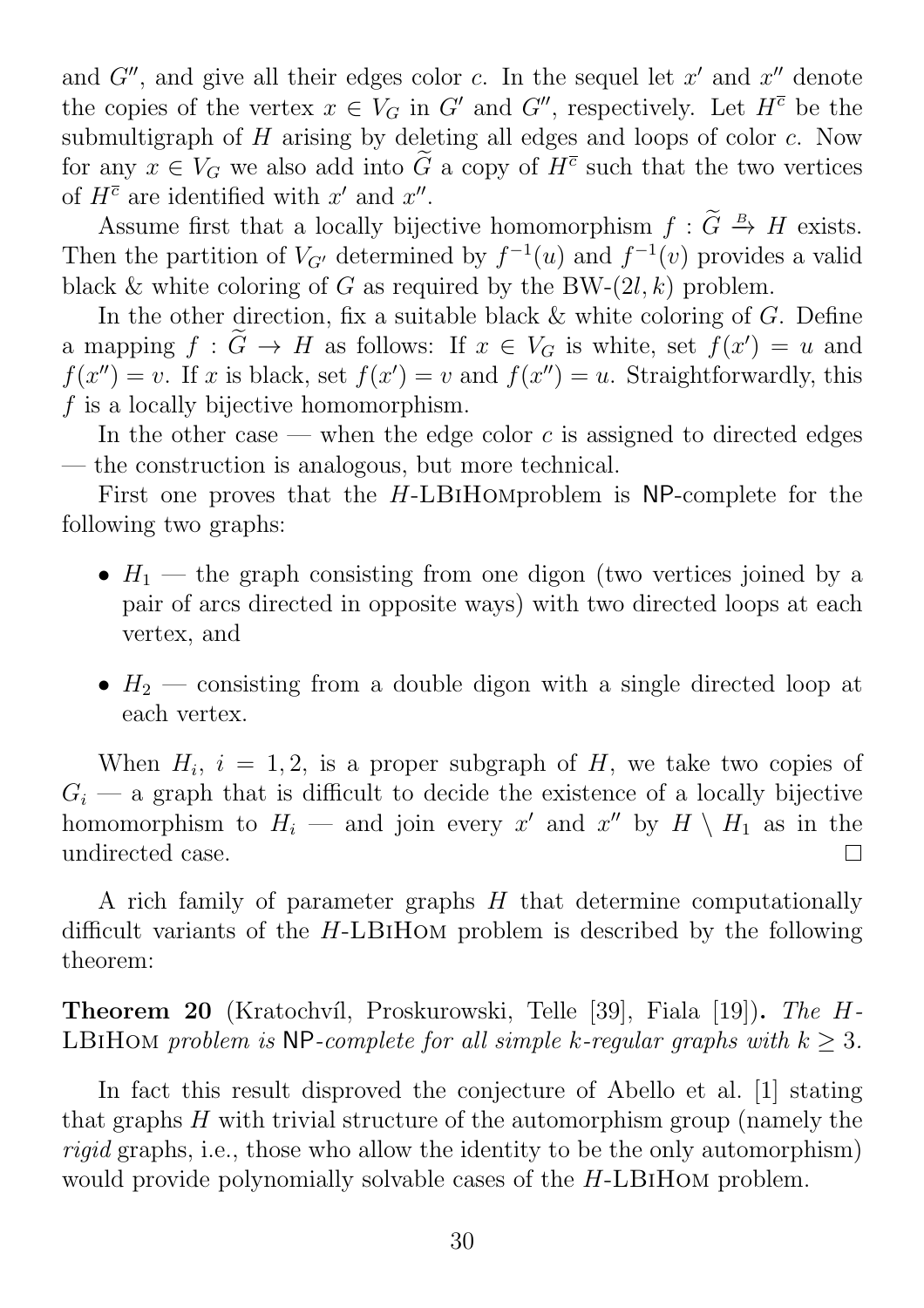and  $G''$ , and give all their edges color c. In the sequel let  $x'$  and  $x''$  denote the copies of the vertex  $x \in V_G$  in G' and G'', respectively. Let  $H^{\overline{c}}$  be the submultigraph of  $H$  arising by deleting all edges and loops of color  $c$ . Now for any  $x \in V_G$  we also add into  $\tilde{G}$  a copy of  $H^{\overline{c}}$  such that the two vertices of  $H^{\overline{c}}$  are identified with  $x'$  and  $x''$ .

Assume first that a locally bijective homomorphism  $f : \tilde{G} \stackrel{B}{\rightarrow} H$  exists. Then the partition of  $V_{G'}$  determined by  $f^{-1}(u)$  and  $f^{-1}(v)$  provides a valid black & white coloring of G as required by the BW- $(2l, k)$  problem.

In the other direction, fix a suitable black & white coloring of G. Define a mapping  $f : G \to H$  as follows: If  $x \in V_G$  is white, set  $f(x') = u$  and  $f(x'') = v$ . If x is black, set  $f(x') = v$  and  $f(x'') = u$ . Straightforwardly, this f is a locally bijective homomorphism.

In the other case — when the edge color c is assigned to directed edges — the construction is analogous, but more technical.

First one proves that the H-LBiHomproblem is NP-complete for the following two graphs:

- $H_1$  the graph consisting from one digon (two vertices joined by a pair of arcs directed in opposite ways) with two directed loops at each vertex, and
- $H_2$  consisting from a double digon with a single directed loop at each vertex.

When  $H_i$ ,  $i = 1, 2$ , is a proper subgraph of H, we take two copies of  $G_i$  — a graph that is difficult to decide the existence of a locally bijective homomorphism to  $H_i$  — and join every x' and x'' by  $H \setminus H_1$  as in the undirected case.  $\Box$ 

A rich family of parameter graphs H that determine computationally difficult variants of the H-LBiHom problem is described by the following theorem:

Theorem 20 (Kratochvíl, Proskurowski, Telle [39], Fiala [19]). The H-LBIHOM problem is NP-complete for all simple k-regular graphs with  $k > 3$ .

In fact this result disproved the conjecture of Abello et al. [1] stating that graphs H with trivial structure of the automorphism group (namely the rigid graphs, i.e., those who allow the identity to be the only automorphism) would provide polynomially solvable cases of the H-LBIHOM problem.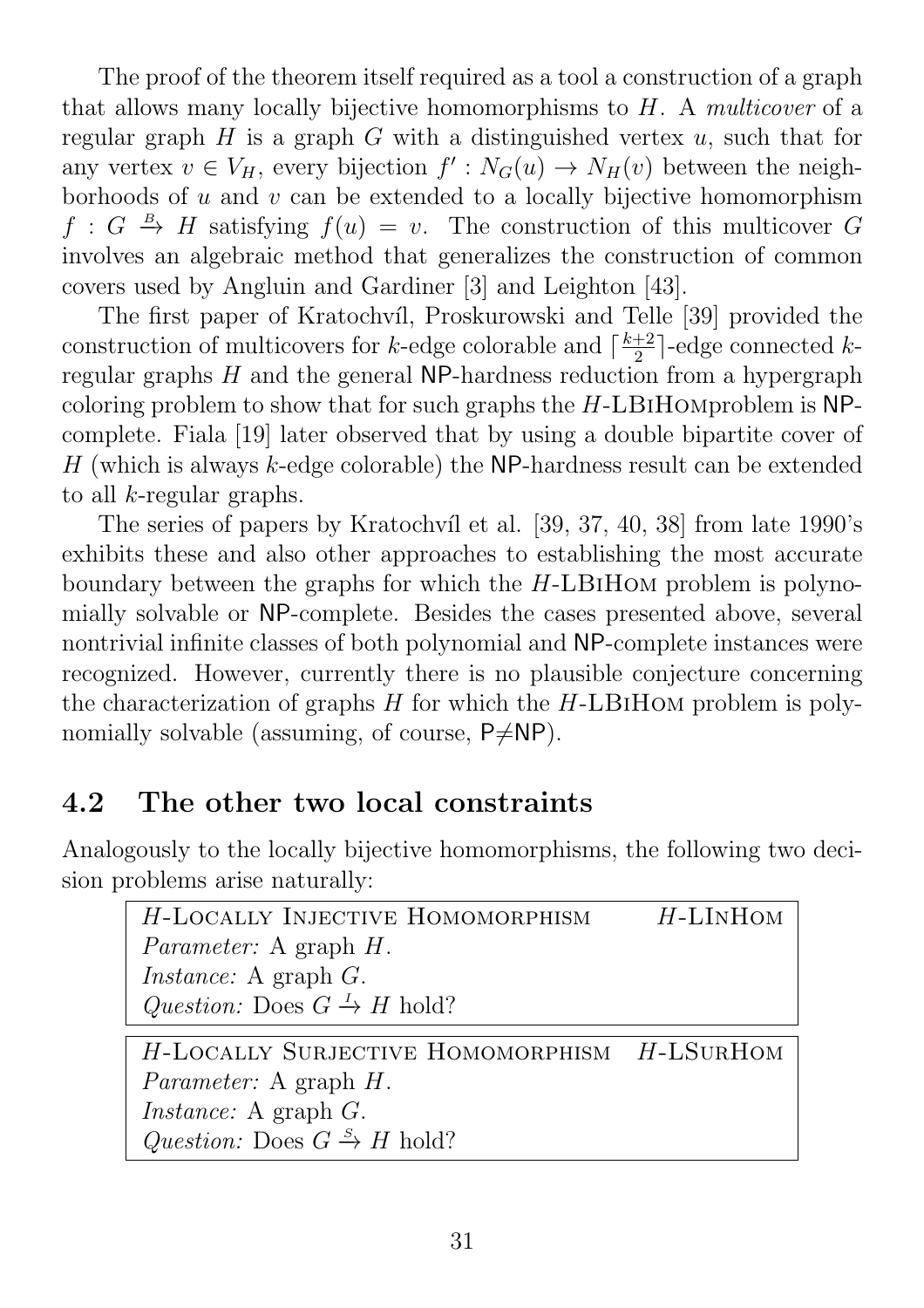The proof of the theorem itself required as a tool a construction of a graph that allows many locally bijective homomorphisms to H. A multicover of a regular graph  $H$  is a graph  $G$  with a distinguished vertex  $u$ , such that for any vertex  $v \in V_H$ , every bijection  $f' : N_G(u) \to N_H(v)$  between the neighborhoods of  $u$  and  $v$  can be extended to a locally bijective homomorphism  $f: G \stackrel{B}{\to} H$  satisfying  $f(u) = v$ . The construction of this multicover G involves an algebraic method that generalizes the construction of common covers used by Angluin and Gardiner [3] and Leighton [43].

The first paper of Kratochvíl, Proskurowski and Telle [39] provided the construction of multicovers for k-edge colorable and  $\lceil \frac{k+2}{2} \rceil$  $\frac{+2}{2}$ ]-edge connected *k*regular graphs  $H$  and the general NP-hardness reduction from a hypergraph coloring problem to show that for such graphs the H-LBiHomproblem is NPcomplete. Fiala [19] later observed that by using a double bipartite cover of  $H$  (which is always  $k$ -edge colorable) the NP-hardness result can be extended to all  $k$ -regular graphs.

The series of papers by Kratochvíl et al. [39, 37, 40, 38] from late 1990's exhibits these and also other approaches to establishing the most accurate boundary between the graphs for which the H-LBiHom problem is polynomially solvable or NP-complete. Besides the cases presented above, several nontrivial infinite classes of both polynomial and NP-complete instances were recognized. However, currently there is no plausible conjecture concerning the characterization of graphs  $H$  for which the  $H$ -LBIHOM problem is polynomially solvable (assuming, of course,  $P\neq NP$ ).

## 4.2 The other two local constraints

Analogously to the locally bijective homomorphisms, the following two decision problems arise naturally:

 $H$ -LOCALLY INJECTIVE HOMOMORPHISM  $H$ -LINHOM Parameter: A graph H. Instance: A graph G. Question: Does  $G \stackrel{I}{\rightarrow} H$  hold?

H-LOCALLY SURJECTIVE HOMOMORPHISM H-LSURHOM Parameter: A graph H. Instance: A graph G. Question: Does  $G \xrightarrow{S} H$  hold?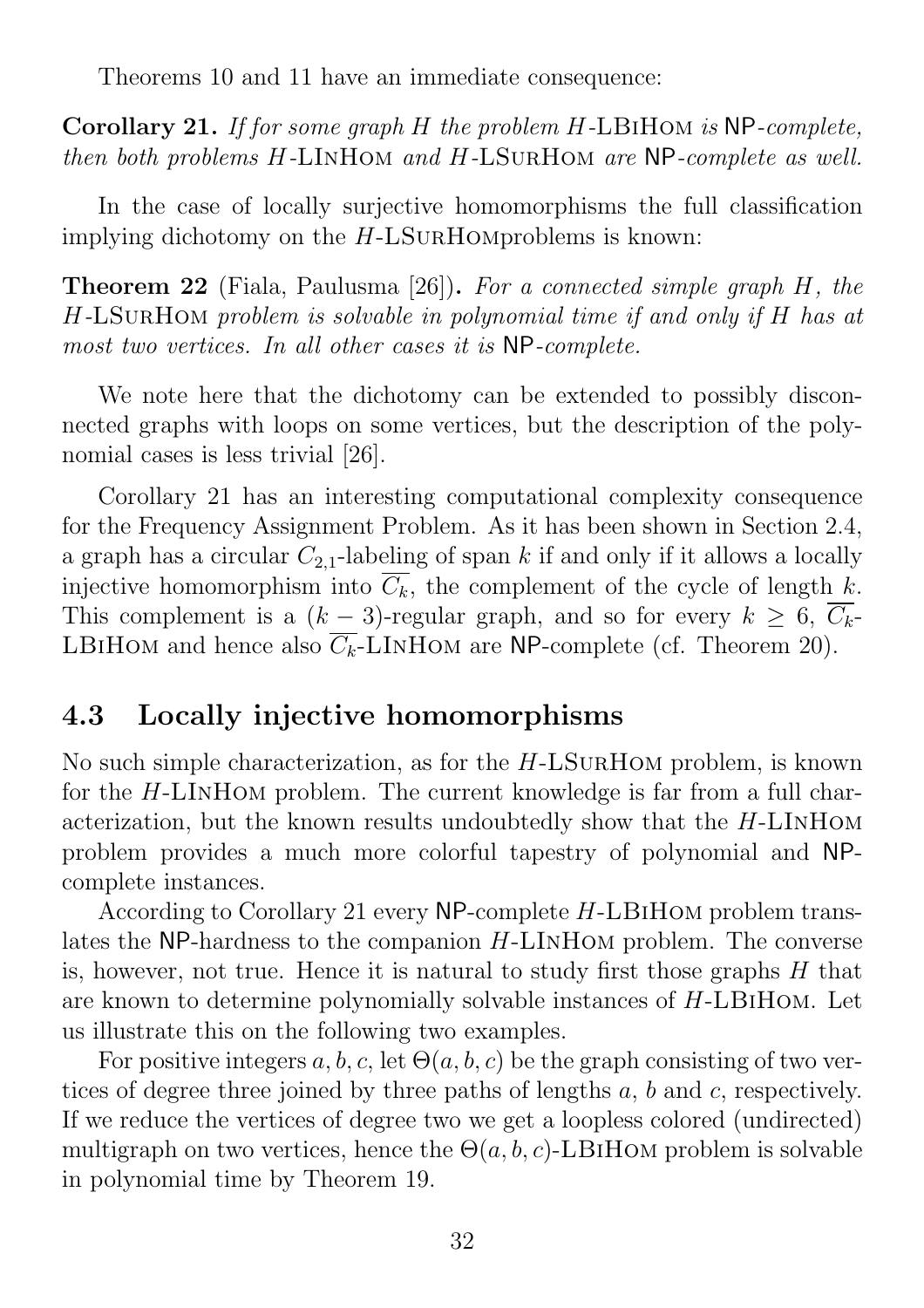Theorems 10 and 11 have an immediate consequence:

Corollary 21. If for some graph H the problem H-LBiHom is NP-complete, then both problems H-LInHom and H-LSurHom are NP-complete as well.

In the case of locally surjective homomorphisms the full classification implying dichotomy on the H-LSurHomproblems is known:

Theorem 22 (Fiala, Paulusma [26]). For a connected simple graph H, the H-LSurHom problem is solvable in polynomial time if and only if H has at most two vertices. In all other cases it is NP-complete.

We note here that the dichotomy can be extended to possibly disconnected graphs with loops on some vertices, but the description of the polynomial cases is less trivial [26].

Corollary 21 has an interesting computational complexity consequence for the Frequency Assignment Problem. As it has been shown in Section 2.4, a graph has a circular  $C_{2,1}$ -labeling of span k if and only if it allows a locally injective homomorphism into  $\overline{C_k}$ , the complement of the cycle of length k. This complement is a  $(k-3)$ -regular graph, and so for every  $k \geq 6$ ,  $\overline{C_k}$ -LBIHOM and hence also  $\overline{C_k}$ -LINHOM are NP-complete (cf. Theorem 20).

### 4.3 Locally injective homomorphisms

No such simple characterization, as for the H-LSurHom problem, is known for the H-LInHom problem. The current knowledge is far from a full characterization, but the known results undoubtedly show that the H-LInHom problem provides a much more colorful tapestry of polynomial and NPcomplete instances.

According to Corollary 21 every NP-complete H-LBiHom problem translates the NP-hardness to the companion H-LInHom problem. The converse is, however, not true. Hence it is natural to study first those graphs  $H$  that are known to determine polynomially solvable instances of H-LBiHom. Let us illustrate this on the following two examples.

For positive integers  $a, b, c$ , let  $\Theta(a, b, c)$  be the graph consisting of two vertices of degree three joined by three paths of lengths a, b and c, respectively. If we reduce the vertices of degree two we get a loopless colored (undirected) multigraph on two vertices, hence the  $\Theta(a, b, c)$ -LBIHOM problem is solvable in polynomial time by Theorem 19.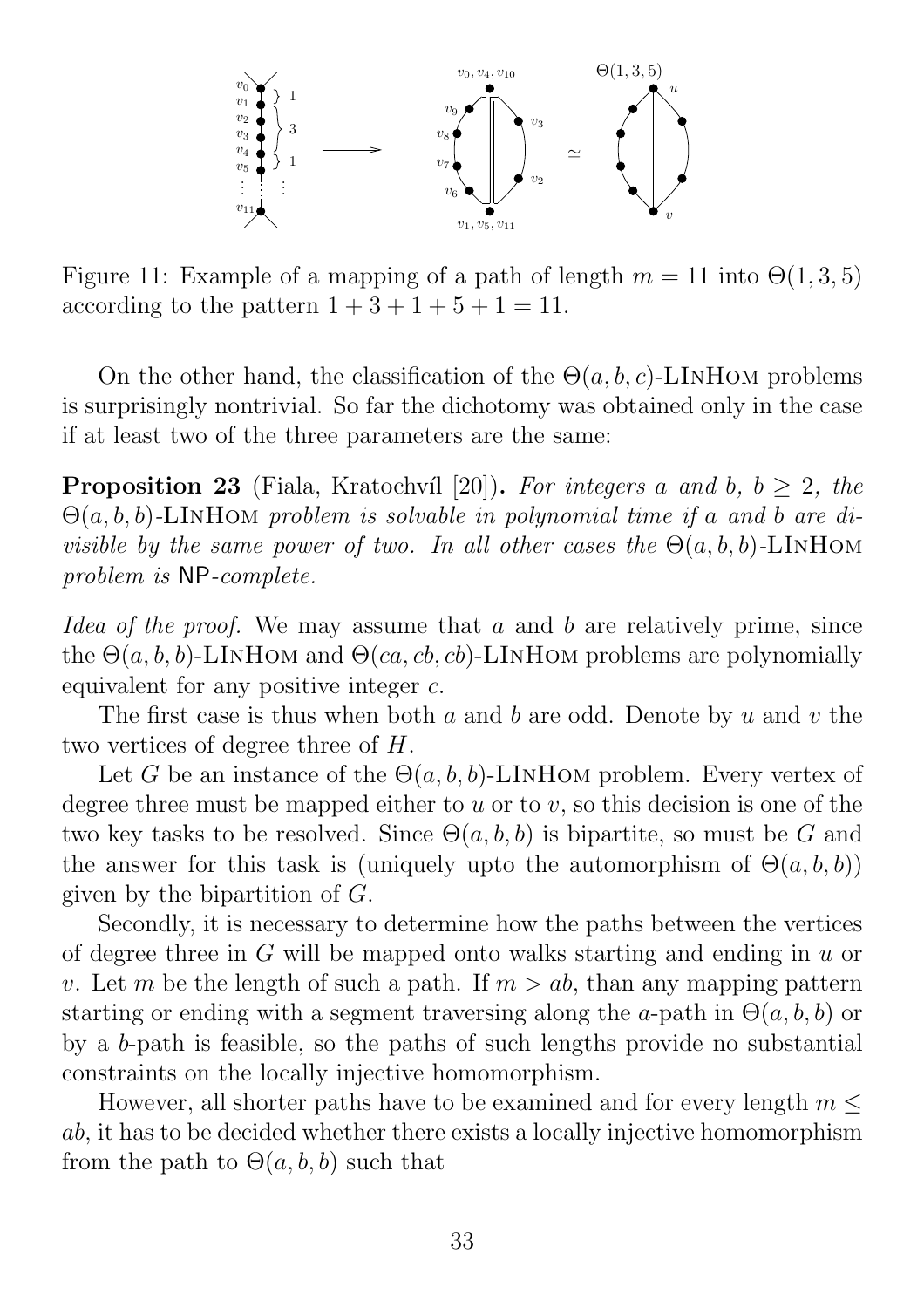

Figure 11: Example of a mapping of a path of length  $m = 11$  into  $\Theta(1,3,5)$ according to the pattern  $1+3+1+5+1=11$ .

On the other hand, the classification of the  $\Theta(a, b, c)$ -LINHOM problems is surprisingly nontrivial. So far the dichotomy was obtained only in the case if at least two of the three parameters are the same:

**Proposition 23** (Fiala, Kratochvíl [20]). For integers a and b,  $b > 2$ , the  $\Theta(a, b, b)$ -LINHOM problem is solvable in polynomial time if a and b are divisible by the same power of two. In all other cases the  $\Theta(a, b, b)$ -LINHOM problem is NP-complete.

Idea of the proof. We may assume that a and b are relatively prime, since the  $\Theta(a, b, b)$ -LINHOM and  $\Theta(ca, cb, cb)$ -LINHOM problems are polynomially equivalent for any positive integer c.

The first case is thus when both  $a$  and  $b$  are odd. Denote by  $u$  and  $v$  the two vertices of degree three of H.

Let G be an instance of the  $\Theta(a, b, b)$ -LINHOM problem. Every vertex of degree three must be mapped either to  $u$  or to  $v$ , so this decision is one of the two key tasks to be resolved. Since  $\Theta(a, b, b)$  is bipartite, so must be G and the answer for this task is (uniquely upto the automorphism of  $\Theta(a, b, b)$ ) given by the bipartition of G.

Secondly, it is necessary to determine how the paths between the vertices of degree three in G will be mapped onto walks starting and ending in u or v. Let m be the length of such a path. If  $m > ab$ , than any mapping pattern starting or ending with a segment traversing along the a-path in  $\Theta(a, b, b)$  or by a b-path is feasible, so the paths of such lengths provide no substantial constraints on the locally injective homomorphism.

However, all shorter paths have to be examined and for every length  $m \leq$ ab, it has to be decided whether there exists a locally injective homomorphism from the path to  $\Theta(a, b, b)$  such that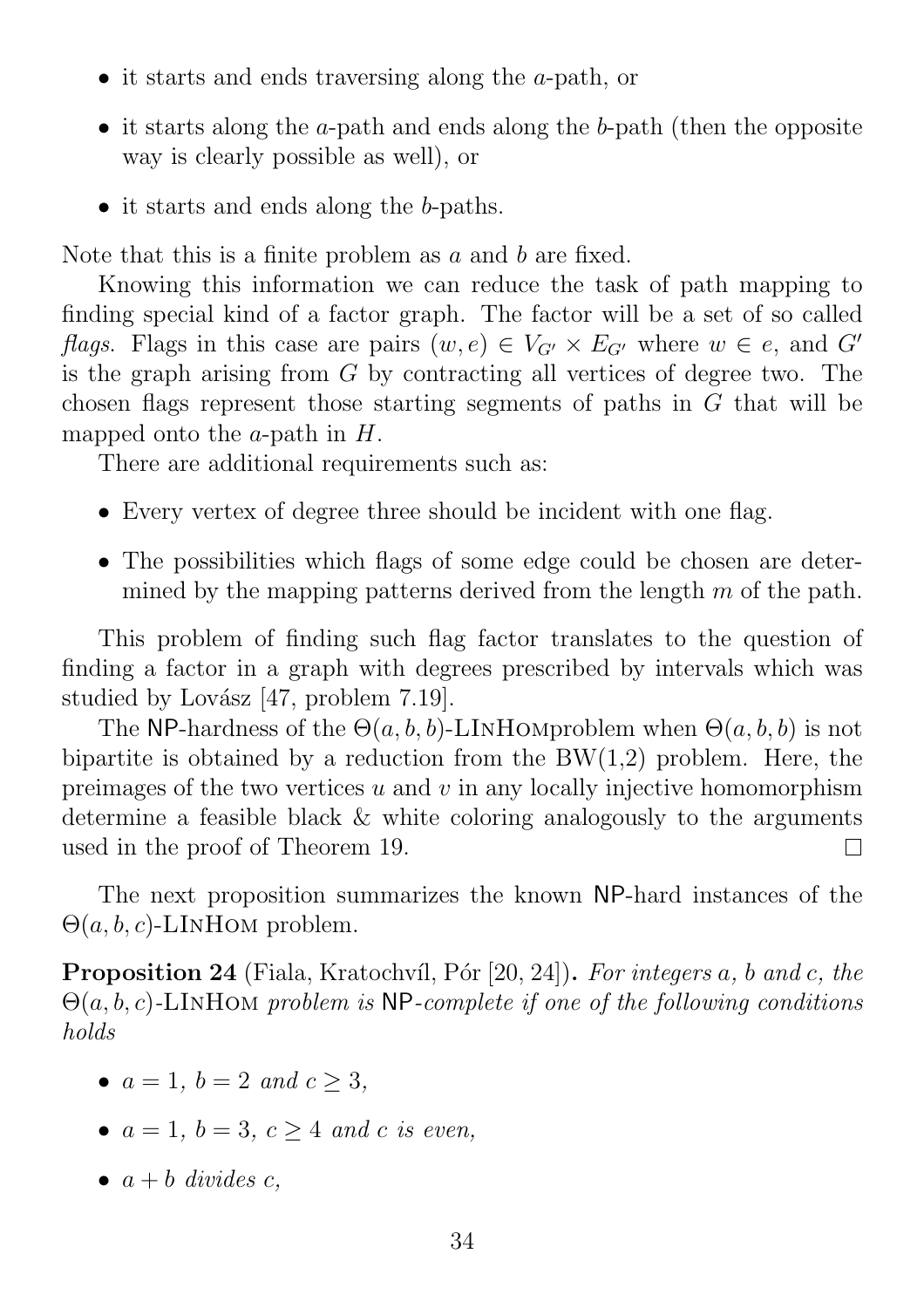- it starts and ends traversing along the a-path, or
- it starts along the a-path and ends along the b-path (then the opposite way is clearly possible as well), or
- it starts and ends along the b-paths.

Note that this is a finite problem as a and b are fixed.

Knowing this information we can reduce the task of path mapping to finding special kind of a factor graph. The factor will be a set of so called flags. Flags in this case are pairs  $(w, e) \in V_{G'} \times E_{G'}$  where  $w \in e$ , and  $G'$ is the graph arising from G by contracting all vertices of degree two. The chosen flags represent those starting segments of paths in G that will be mapped onto the  $a$ -path in  $H$ .

There are additional requirements such as:

- Every vertex of degree three should be incident with one flag.
- The possibilities which flags of some edge could be chosen are determined by the mapping patterns derived from the length  $m$  of the path.

This problem of finding such flag factor translates to the question of finding a factor in a graph with degrees prescribed by intervals which was studied by Lovász  $[47,$  problem  $7.19$ .

The NP-hardness of the  $\Theta(a, b, b)$ -LINHOMproblem when  $\Theta(a, b, b)$  is not bipartite is obtained by a reduction from the  $BW(1,2)$  problem. Here, the preimages of the two vertices  $u$  and  $v$  in any locally injective homomorphism determine a feasible black & white coloring analogously to the arguments used in the proof of Theorem 19.  $\Box$ 

The next proposition summarizes the known NP-hard instances of the  $\Theta(a, b, c)$ -LINHOM problem.

**Proposition 24** (Fiala, Kratochvíl, Pór [20, 24]). For integers a, b and c, the  $\Theta(a, b, c)$ -LINHOM problem is NP-complete if one of the following conditions holds

- $a = 1, b = 2, and c > 3$ ,
- $a = 1, b = 3, c \geq 4$  and c is even,
- $a + b$  divides c,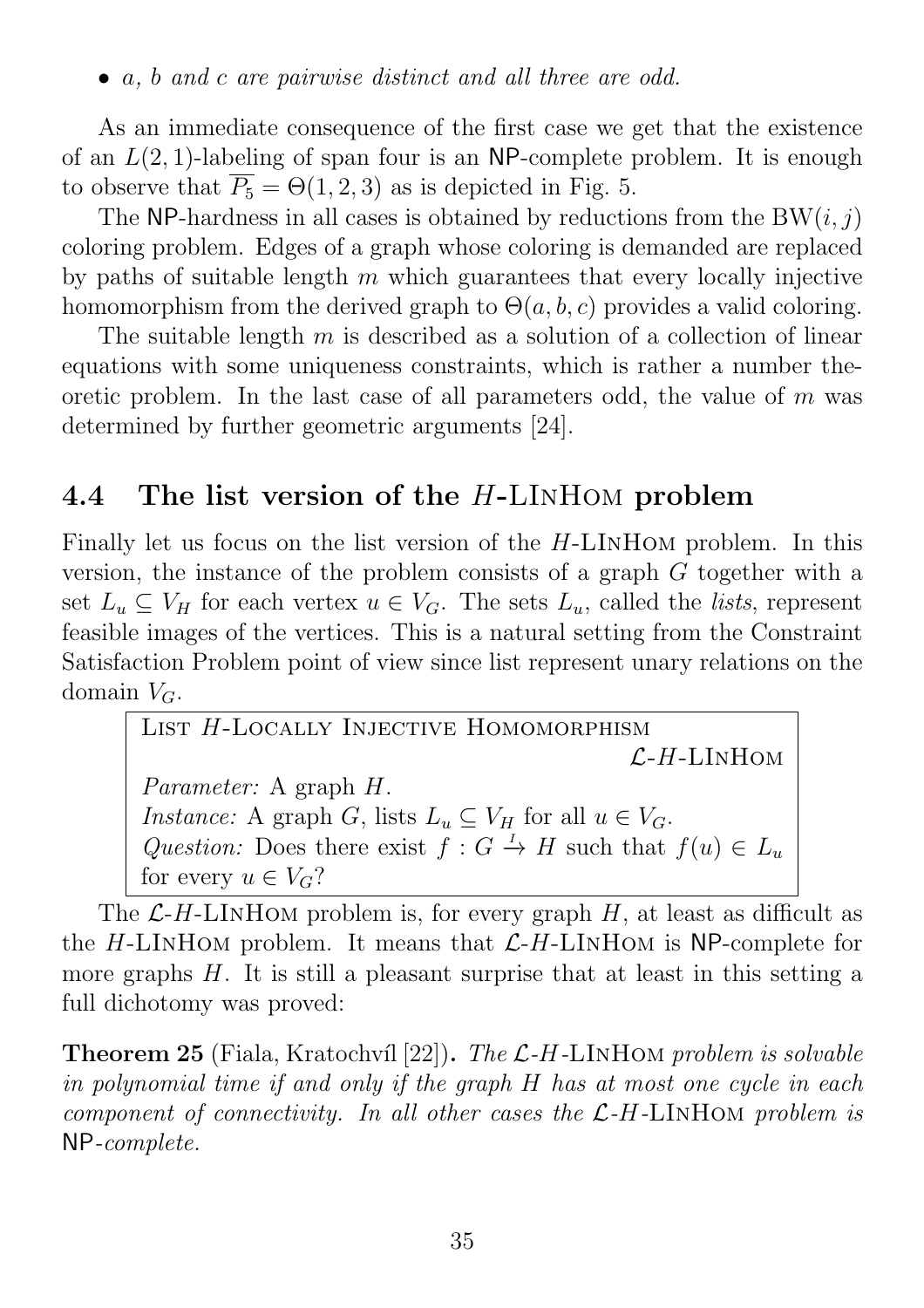#### • a, b and c are pairwise distinct and all three are odd.

As an immediate consequence of the first case we get that the existence of an  $L(2, 1)$ -labeling of span four is an NP-complete problem. It is enough to observe that  $\overline{P_5} = \Theta(1, 2, 3)$  as is depicted in Fig. 5.

The NP-hardness in all cases is obtained by reductions from the  $BW(i, j)$ coloring problem. Edges of a graph whose coloring is demanded are replaced by paths of suitable length  $m$  which guarantees that every locally injective homomorphism from the derived graph to  $\Theta(a, b, c)$  provides a valid coloring.

The suitable length  $m$  is described as a solution of a collection of linear equations with some uniqueness constraints, which is rather a number theoretic problem. In the last case of all parameters odd, the value of  $m$  was determined by further geometric arguments [24].

## 4.4 The list version of the H-LINHOM problem

Finally let us focus on the list version of the H-LInHom problem. In this version, the instance of the problem consists of a graph G together with a set  $L_u \subseteq V_H$  for each vertex  $u \in V_G$ . The sets  $L_u$ , called the *lists*, represent feasible images of the vertices. This is a natural setting from the Constraint Satisfaction Problem point of view since list represent unary relations on the domain  $V_G$ .

LIST H-LOCALLY INJECTIVE HOMOMORPHISM  $L-H-LINHOM$ Parameter: A graph H. *Instance:* A graph G, lists  $L_u \subseteq V_H$  for all  $u \in V_G$ . Question: Does there exist  $f: G \to H$  such that  $f(u) \in L_u$ for every  $u \in V_G$ ?

The  $\mathcal{L}$ -H-LINHOM problem is, for every graph H, at least as difficult as the  $H$ -LINHOM problem. It means that  $L$ - $H$ -LINHOM is NP-complete for more graphs  $H$ . It is still a pleasant surprise that at least in this setting a full dichotomy was proved:

**Theorem 25** (Fiala, Kratochvíl [22]). The  $\mathcal{L}$ -H-LINHOM problem is solvable in polynomial time if and only if the graph H has at most one cycle in each component of connectivity. In all other cases the L-H-LInHom problem is NP-complete.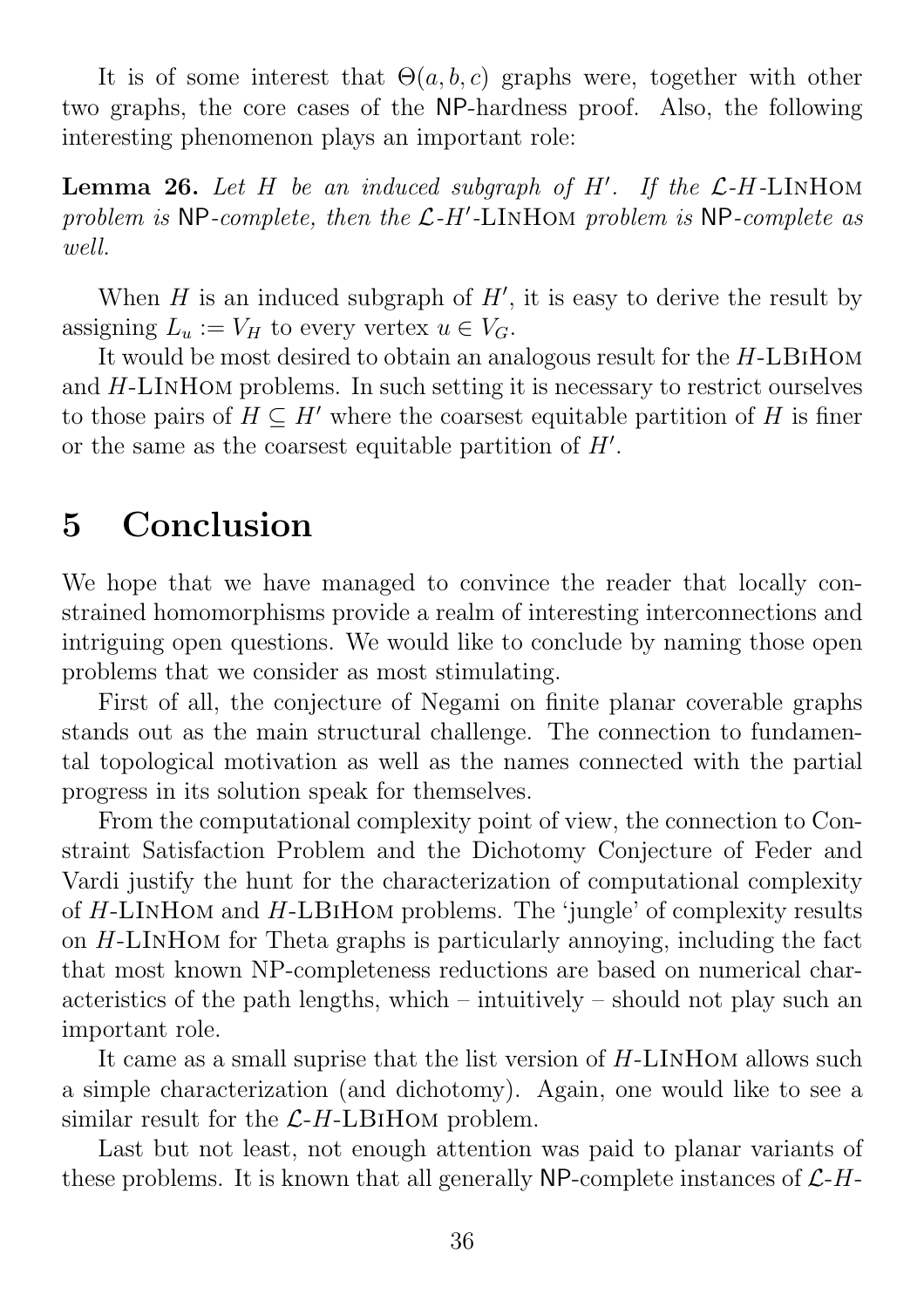It is of some interest that  $\Theta(a, b, c)$  graphs were, together with other two graphs, the core cases of the NP-hardness proof. Also, the following interesting phenomenon plays an important role:

**Lemma 26.** Let H be an induced subgraph of H'. If the  $\mathcal{L}$ -H-LINHOM problem is NP-complete, then the  $\mathcal{L}$ -H'-LINHOM problem is NP-complete as well.

When  $H$  is an induced subgraph of  $H'$ , it is easy to derive the result by assigning  $L_u := V_H$  to every vertex  $u \in V_G$ .

It would be most desired to obtain an analogous result for the H-LBiHom and  $H$ -LINHOM problems. In such setting it is necessary to restrict ourselves to those pairs of  $H \subseteq H'$  where the coarsest equitable partition of H is finer or the same as the coarsest equitable partition of  $H'$ .

# 5 Conclusion

We hope that we have managed to convince the reader that locally constrained homomorphisms provide a realm of interesting interconnections and intriguing open questions. We would like to conclude by naming those open problems that we consider as most stimulating.

First of all, the conjecture of Negami on finite planar coverable graphs stands out as the main structural challenge. The connection to fundamental topological motivation as well as the names connected with the partial progress in its solution speak for themselves.

From the computational complexity point of view, the connection to Constraint Satisfaction Problem and the Dichotomy Conjecture of Feder and Vardi justify the hunt for the characterization of computational complexity of H-LInHom and H-LBiHom problems. The 'jungle' of complexity results on H-LInHom for Theta graphs is particularly annoying, including the fact that most known NP-completeness reductions are based on numerical characteristics of the path lengths, which – intuitively – should not play such an important role.

It came as a small suprise that the list version of H-LInHom allows such a simple characterization (and dichotomy). Again, one would like to see a similar result for the  $\mathcal{L}$ -H-LBIHOM problem.

Last but not least, not enough attention was paid to planar variants of these problems. It is known that all generally NP-complete instances of  $\mathcal{L}$ -H-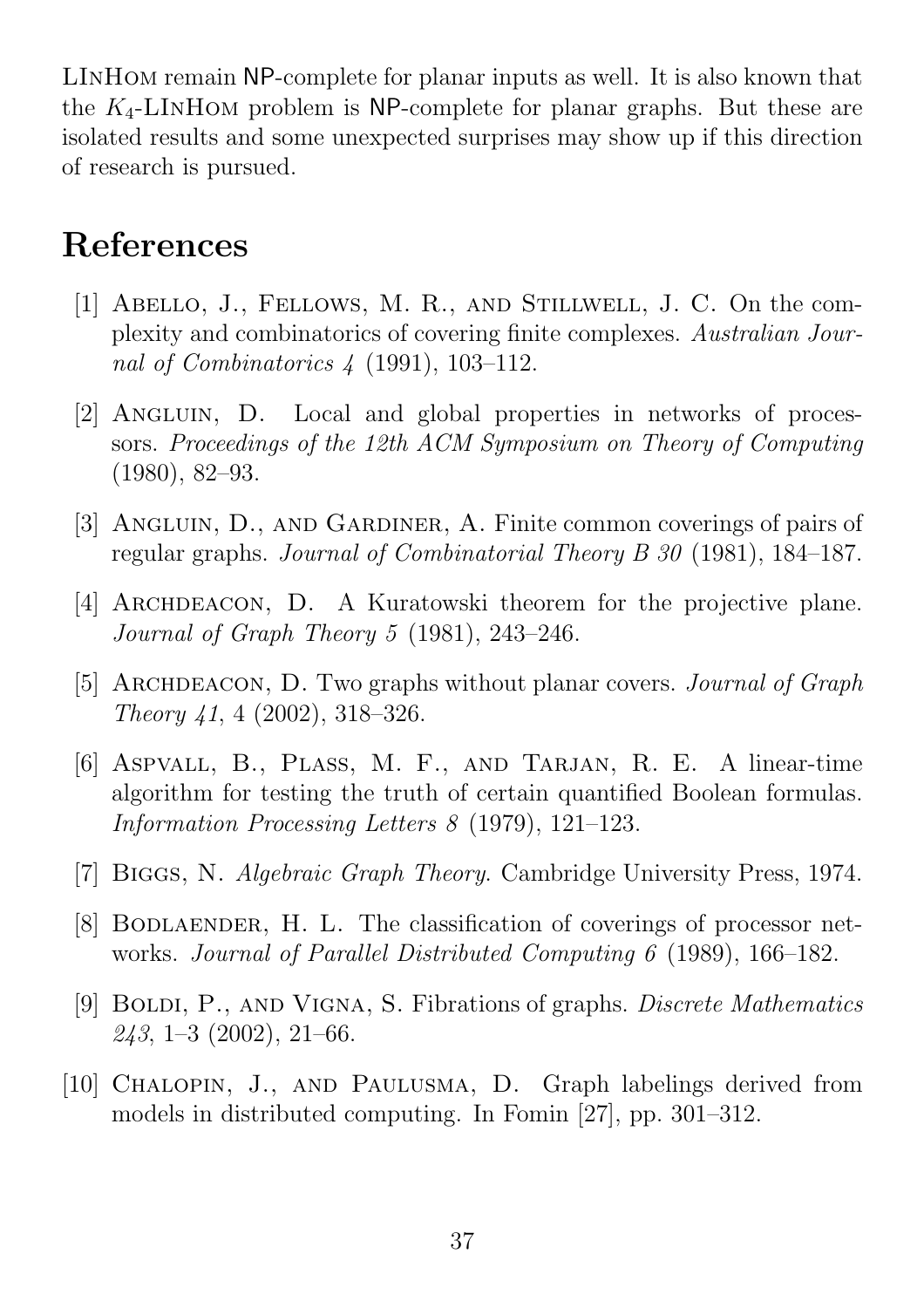LInHom remain NP-complete for planar inputs as well. It is also known that the  $K_4$ -LINHOM problem is NP-complete for planar graphs. But these are isolated results and some unexpected surprises may show up if this direction of research is pursued.

# References

- [1] Abello, J., Fellows, M. R., and Stillwell, J. C. On the complexity and combinatorics of covering finite complexes. Australian Journal of Combinatorics 4 (1991), 103–112.
- [2] Angluin, D. Local and global properties in networks of processors. Proceedings of the 12th ACM Symposium on Theory of Computing (1980), 82–93.
- [3] Angluin, D., and Gardiner, A. Finite common coverings of pairs of regular graphs. Journal of Combinatorial Theory B 30 (1981), 184–187.
- [4] ARCHDEACON, D. A Kuratowski theorem for the projective plane. Journal of Graph Theory 5 (1981), 243–246.
- [5] ARCHDEACON, D. Two graphs without planar covers. *Journal of Graph* Theory 41, 4 (2002), 318–326.
- [6] Aspvall, B., Plass, M. F., and Tarjan, R. E. A linear-time algorithm for testing the truth of certain quantified Boolean formulas. Information Processing Letters 8 (1979), 121–123.
- [7] BIGGS, N. Algebraic Graph Theory. Cambridge University Press, 1974.
- [8] Bodlaender, H. L. The classification of coverings of processor networks. Journal of Parallel Distributed Computing 6 (1989), 166–182.
- [9] BOLDI, P., AND VIGNA, S. Fibrations of graphs. *Discrete Mathematics*  $243, 1-3$  (2002), 21-66.
- [10] CHALOPIN, J., AND PAULUSMA, D. Graph labelings derived from models in distributed computing. In Fomin [27], pp. 301–312.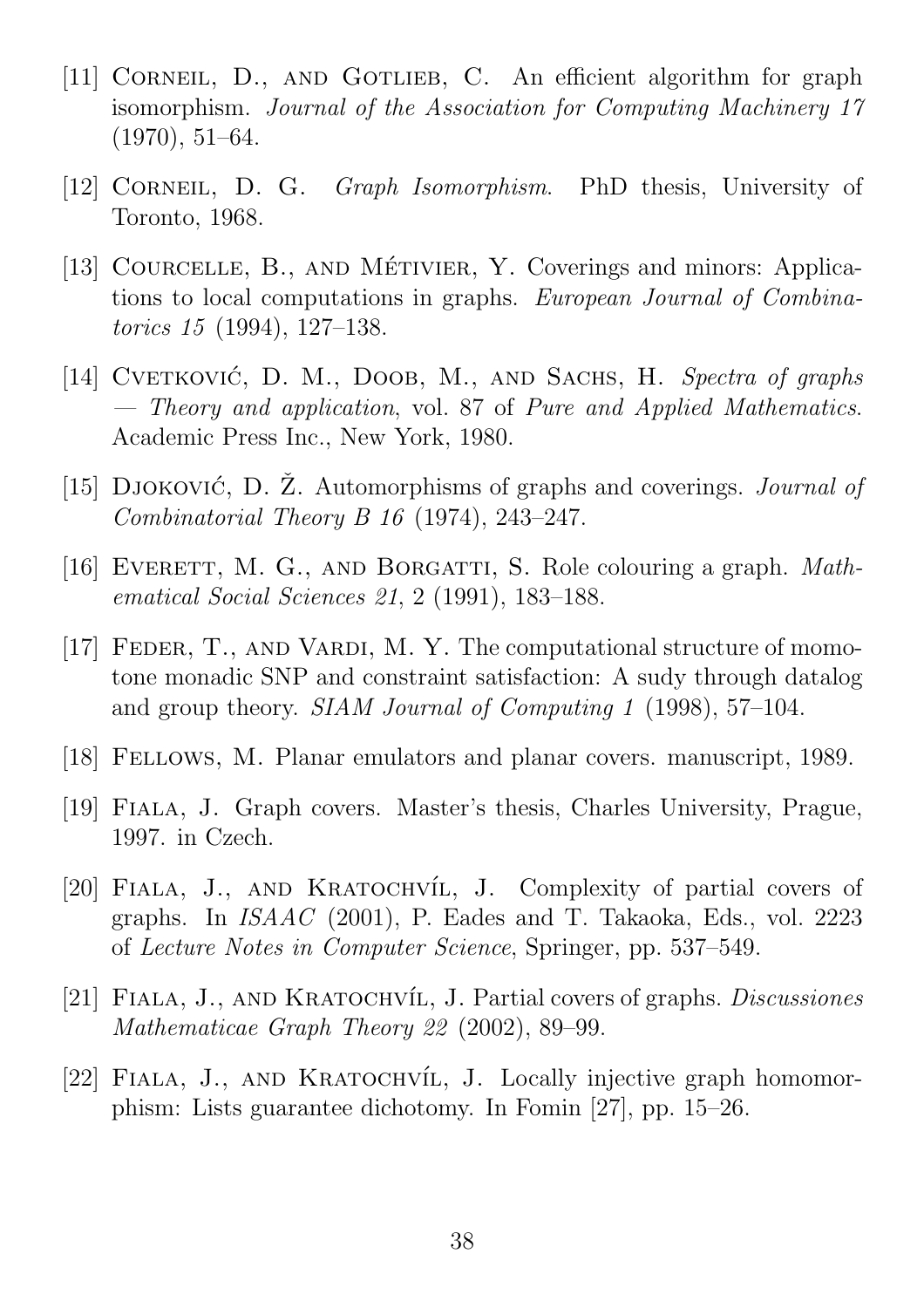- [11] CORNEIL, D., AND GOTLIEB, C. An efficient algorithm for graph isomorphism. Journal of the Association for Computing Machinery 17 (1970), 51–64.
- [12] CORNEIL, D. G. Graph Isomorphism. PhD thesis, University of Toronto, 1968.
- [13] COURCELLE, B., AND MÉTIVIER, Y. Coverings and minors: Applications to local computations in graphs. European Journal of Combinatorics 15 (1994), 127–138.
- [14] CVETKOVIĆ, D. M., DOOB, M., AND SACHS, H. Spectra of graphs — Theory and application, vol. 87 of Pure and Applied Mathematics. Academic Press Inc., New York, 1980.
- [15] DJOKOVIĆ, D.  $\check{Z}$ . Automorphisms of graphs and coverings. *Journal of* Combinatorial Theory B 16 (1974), 243–247.
- [16] EVERETT, M. G., AND BORGATTI, S. Role colouring a graph. *Math*ematical Social Sciences 21, 2 (1991), 183–188.
- [17] FEDER, T., AND VARDI, M. Y. The computational structure of momotone monadic SNP and constraint satisfaction: A sudy through datalog and group theory. SIAM Journal of Computing 1 (1998), 57–104.
- [18] Fellows, M. Planar emulators and planar covers. manuscript, 1989.
- [19] Fiala, J. Graph covers. Master's thesis, Charles University, Prague, 1997. in Czech.
- [20] FIALA, J., AND KRATOCHVÍL, J. Complexity of partial covers of graphs. In ISAAC (2001), P. Eades and T. Takaoka, Eds., vol. 2223 of Lecture Notes in Computer Science, Springer, pp. 537–549.
- [21] FIALA, J., AND KRATOCHVÍL, J. Partial covers of graphs. *Discussiones* Mathematicae Graph Theory 22 (2002), 89–99.
- [22] FIALA, J., AND KRATOCHVÍL, J. Locally injective graph homomorphism: Lists guarantee dichotomy. In Fomin [27], pp. 15–26.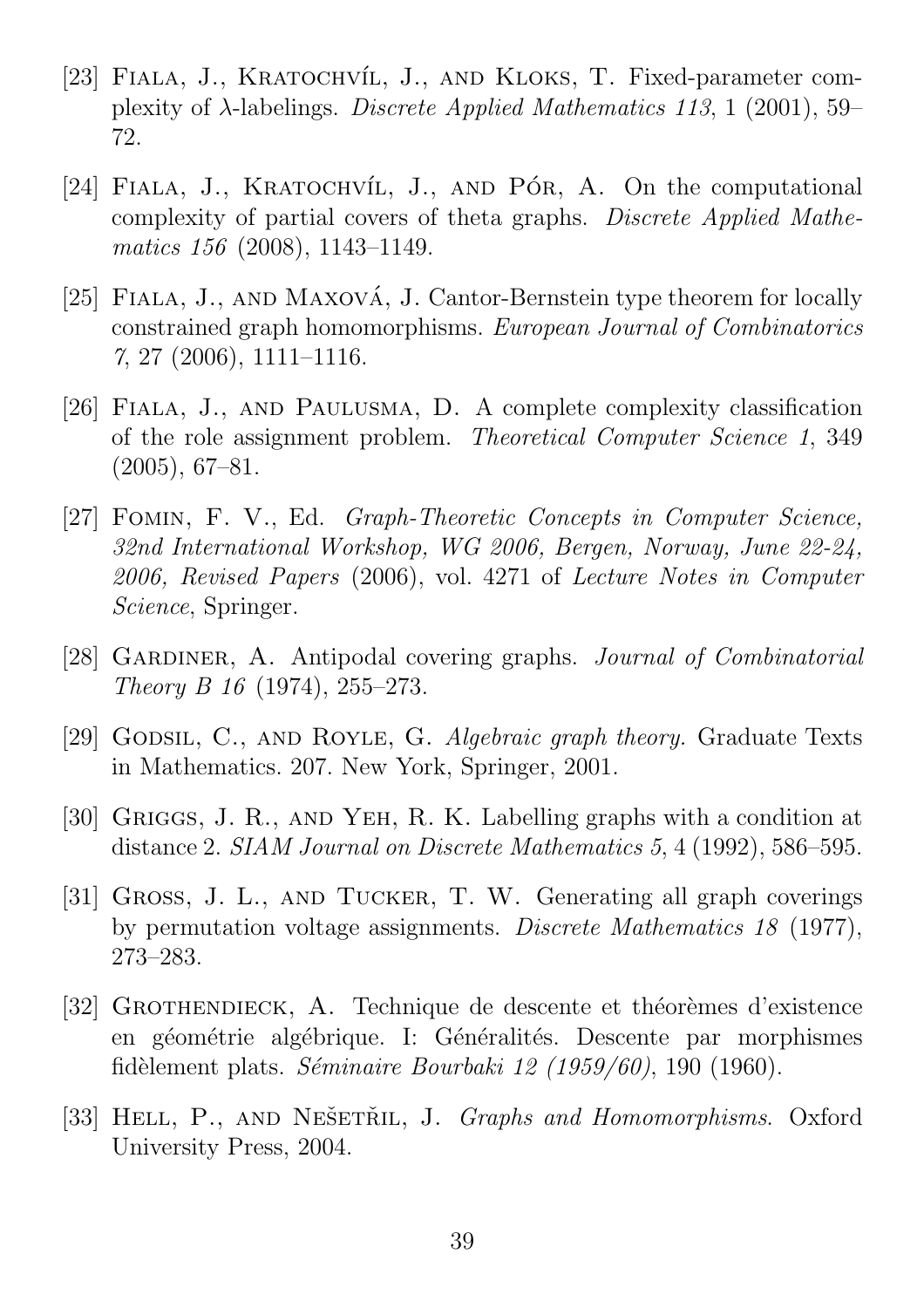- [23] FIALA, J., KRATOCHVÍL, J., AND KLOKS, T. Fixed-parameter complexity of  $\lambda$ -labelings. *Discrete Applied Mathematics 113*, 1 (2001), 59– 72.
- [24] FIALA, J., KRATOCHVÍL, J., AND PÓR, A. On the computational complexity of partial covers of theta graphs. Discrete Applied Mathematics 156 (2008), 1143–1149.
- [25] FIALA, J., AND MAXOVÁ, J. Cantor-Bernstein type theorem for locally constrained graph homomorphisms. European Journal of Combinatorics 7, 27 (2006), 1111–1116.
- [26] Fiala, J., and Paulusma, D. A complete complexity classification of the role assignment problem. Theoretical Computer Science 1, 349 (2005), 67–81.
- [27] Fomin, F. V., Ed. Graph-Theoretic Concepts in Computer Science, 32nd International Workshop, WG 2006, Bergen, Norway, June 22-24, 2006, Revised Papers (2006), vol. 4271 of Lecture Notes in Computer Science, Springer.
- [28] GARDINER, A. Antipodal covering graphs. Journal of Combinatorial Theory B 16 (1974), 255–273.
- [29] GODSIL, C., AND ROYLE, G. Algebraic graph theory. Graduate Texts in Mathematics. 207. New York, Springer, 2001.
- [30] Griggs, J. R., and Yeh, R. K. Labelling graphs with a condition at distance 2. SIAM Journal on Discrete Mathematics 5, 4 (1992), 586–595.
- [31] Gross, J. L., and Tucker, T. W. Generating all graph coverings by permutation voltage assignments. Discrete Mathematics 18 (1977), 273–283.
- [32] GROTHENDIECK, A. Technique de descente et théorèmes d'existence en géométrie algébrique. I: Généralités. Descente par morphismes fidèlement plats. Séminaire Bourbaki 12 (1959/60), 190 (1960).
- [33] HELL, P., AND NEŠETŘIL, J. *Graphs and Homomorphisms*. Oxford University Press, 2004.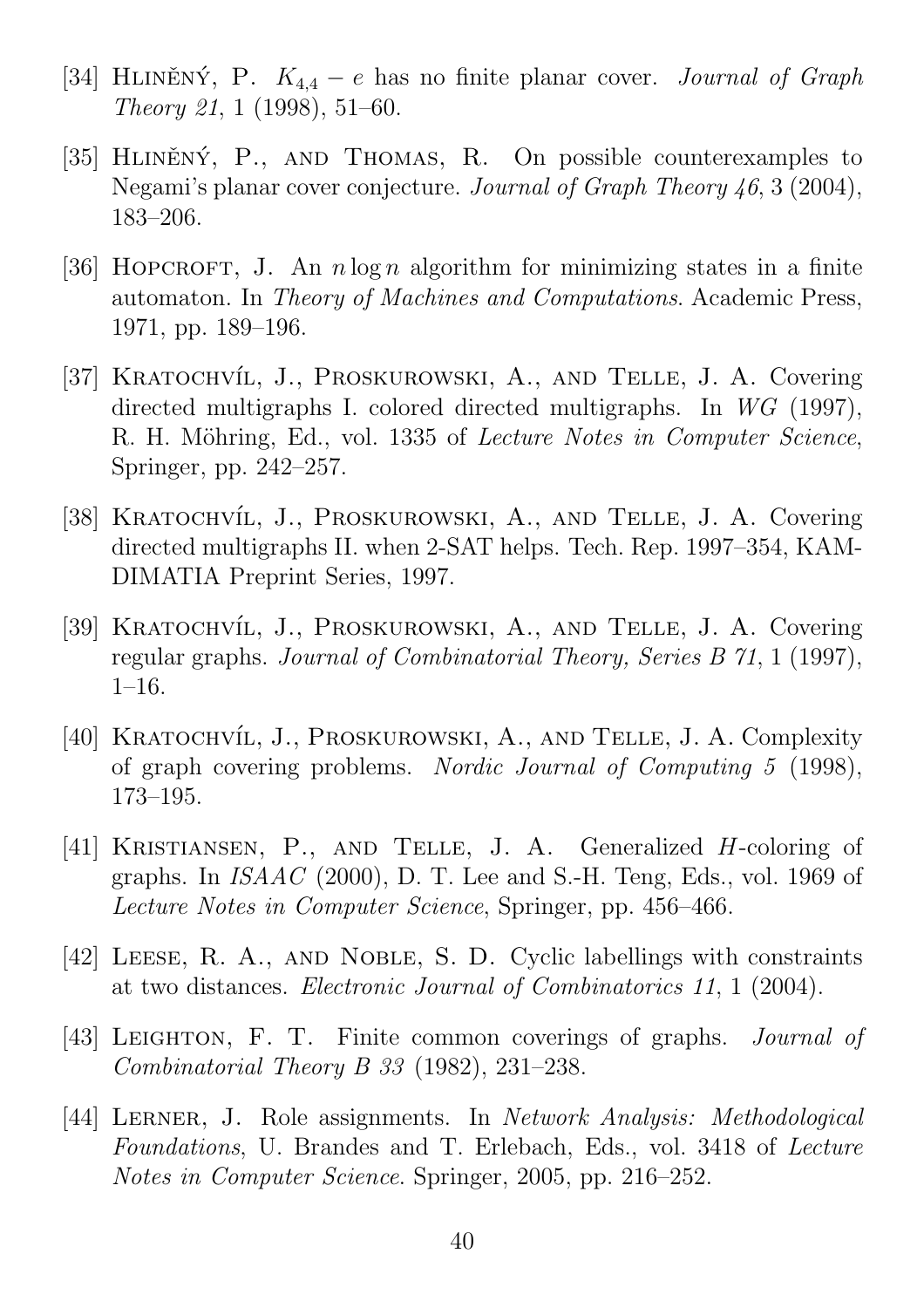- [34] HLINENÝ, P.  $K_{4,4} e$  has no finite planar cover. *Journal of Graph* Theory 21, 1 (1998), 51–60.
- [35] HLINENÝ, P., AND THOMAS, R. On possible counterexamples to Negami's planar cover conjecture. Journal of Graph Theory 46, 3 (2004), 183–206.
- [36] HOPCROFT, J. An  $n \log n$  algorithm for minimizing states in a finite automaton. In Theory of Machines and Computations. Academic Press, 1971, pp. 189–196.
- [37] KRATOCHVÍL, J., PROSKUROWSKI, A., AND TELLE, J. A. Covering directed multigraphs I. colored directed multigraphs. In WG (1997), R. H. Möhring, Ed., vol. 1335 of *Lecture Notes in Computer Science*, Springer, pp. 242–257.
- [38] KRATOCHVÍL, J., PROSKUROWSKI, A., AND TELLE, J. A. Covering directed multigraphs II. when 2-SAT helps. Tech. Rep. 1997–354, KAM-DIMATIA Preprint Series, 1997.
- [39] KRATOCHVÍL, J., PROSKUROWSKI, A., AND TELLE, J. A. Covering regular graphs. Journal of Combinatorial Theory, Series B 71, 1 (1997), 1–16.
- [40] KRATOCHVÍL, J., PROSKUROWSKI, A., AND TELLE, J. A. Complexity of graph covering problems. Nordic Journal of Computing 5 (1998), 173–195.
- [41] Kristiansen, P., and Telle, J. A. Generalized H-coloring of graphs. In ISAAC (2000), D. T. Lee and S.-H. Teng, Eds., vol. 1969 of Lecture Notes in Computer Science, Springer, pp. 456–466.
- [42] Leese, R. A., and Noble, S. D. Cyclic labellings with constraints at two distances. Electronic Journal of Combinatorics 11, 1 (2004).
- [43] LEIGHTON, F. T. Finite common coverings of graphs. *Journal of* Combinatorial Theory B 33 (1982), 231–238.
- [44] LERNER, J. Role assignments. In Network Analysis: Methodological Foundations, U. Brandes and T. Erlebach, Eds., vol. 3418 of Lecture Notes in Computer Science. Springer, 2005, pp. 216–252.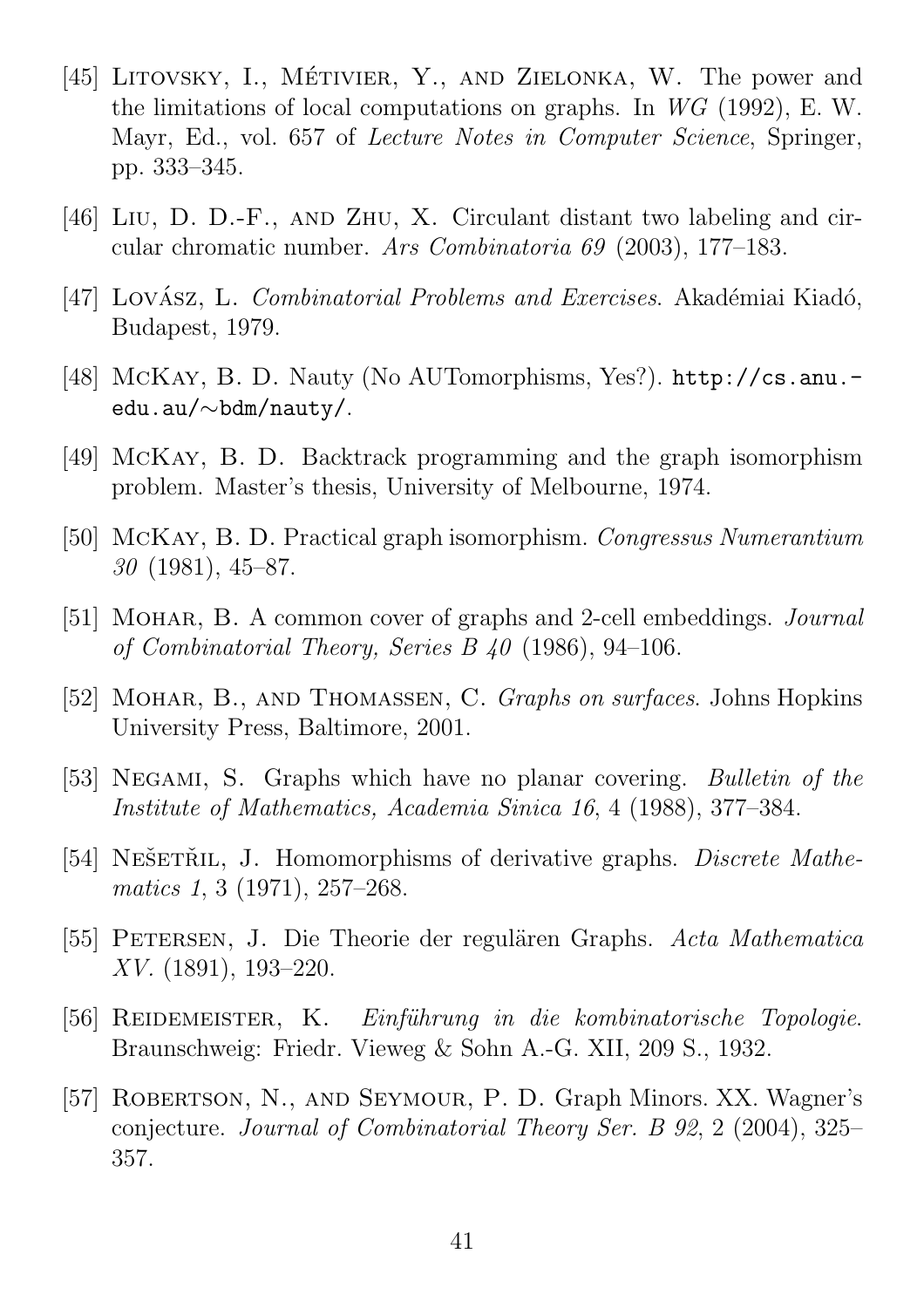- [45] LITOVSKY, I., MÉTIVIER, Y., AND ZIELONKA, W. The power and the limitations of local computations on graphs. In WG (1992), E. W. Mayr, Ed., vol. 657 of *Lecture Notes in Computer Science*, Springer, pp. 333–345.
- [46] Liu, D. D.-F., and Zhu, X. Circulant distant two labeling and circular chromatic number. Ars Combinatoria 69 (2003), 177–183.
- [47] LOVÁSZ, L. *Combinatorial Problems and Exercises*. Akadémiai Kiadó, Budapest, 1979.
- [48] McKay, B. D. Nauty (No AUTomorphisms, Yes?). http://cs.anu. edu.au/∼bdm/nauty/.
- [49] McKay, B. D. Backtrack programming and the graph isomorphism problem. Master's thesis, University of Melbourne, 1974.
- [50] McKay, B. D. Practical graph isomorphism. Congressus Numerantium 30 (1981), 45–87.
- [51] MOHAR, B. A common cover of graphs and 2-cell embeddings. *Journal* of Combinatorial Theory, Series B 40 (1986), 94–106.
- [52] MOHAR, B., AND THOMASSEN, C. Graphs on surfaces. Johns Hopkins University Press, Baltimore, 2001.
- [53] NEGAMI, S. Graphs which have no planar covering. *Bulletin of the* Institute of Mathematics, Academia Sinica 16, 4 (1988), 377–384.
- [54] NEŠETŘIL, J. Homomorphisms of derivative graphs. *Discrete Mathe*matics 1, 3 (1971), 257–268.
- [55] PETERSEN, J. Die Theorie der regulären Graphs. Acta Mathematica XV. (1891), 193–220.
- [56] REIDEMEISTER, K. Einführung in die kombinatorische Topologie. Braunschweig: Friedr. Vieweg & Sohn A.-G. XII, 209 S., 1932.
- [57] ROBERTSON, N., AND SEYMOUR, P. D. Graph Minors. XX. Wagner's conjecture. Journal of Combinatorial Theory Ser. B 92, 2 (2004), 325– 357.